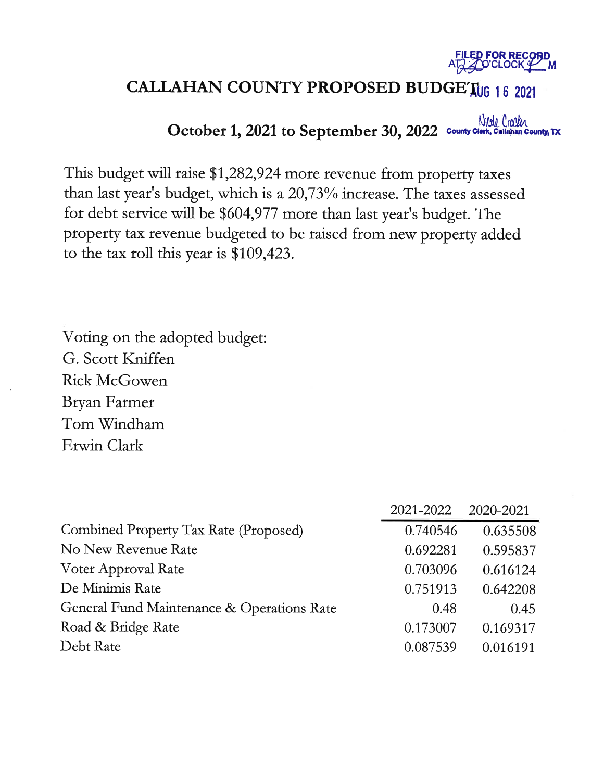

# **CALLAHAN COUNTY PROPOSED BUDGET06 16 2021**

October 1, 2021 to September 30, 2022 County Clerk, Callahan County, TX

This budget will raise \$1,282,924 more revenue from property taxes than last year's budget, which is a 20,73% increase. The taxes assessed for debt service will be \$604,977 more than last year's budget. The property tax revenue budgeted to be raised from new property added to the tax roll this year is  $$109,423$ .

Voting on the adopted budget: G. Scott Kniffen **Rick McGowen** Bryan Farmer Tom Windham Erwin Clark

|                                            | 2021-2022 | 2020-2021 |
|--------------------------------------------|-----------|-----------|
| Combined Property Tax Rate (Proposed)      | 0.740546  | 0.635508  |
| No New Revenue Rate                        | 0.692281  | 0.595837  |
| Voter Approval Rate                        | 0.703096  | 0.616124  |
| De Minimis Rate                            | 0.751913  | 0.642208  |
| General Fund Maintenance & Operations Rate | 0.48      | 0.45      |
| Road & Bridge Rate                         | 0.173007  | 0.169317  |
| Debt Rate                                  | 0.087539  | 0.016191  |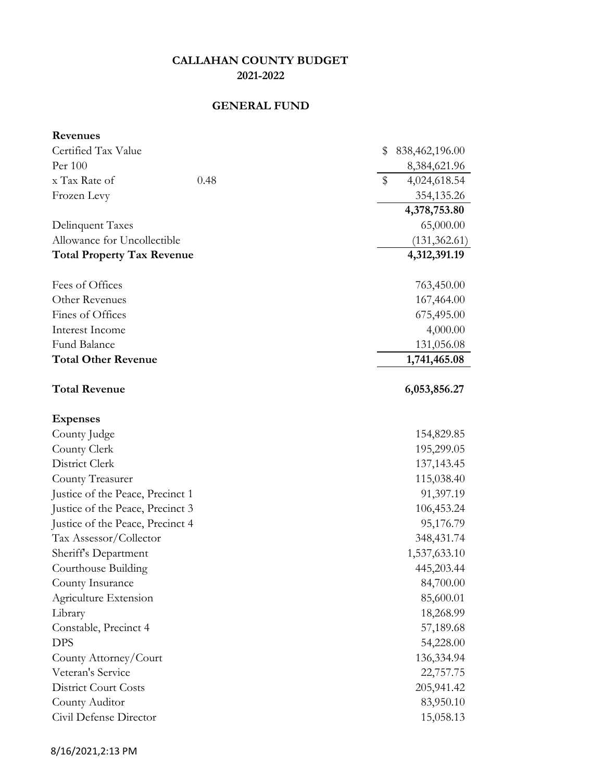## **GENERAL FUND**

| <b>Revenues</b>                   |                      |
|-----------------------------------|----------------------|
| Certified Tax Value               | \$<br>838,462,196.00 |
| Per 100                           | 8,384,621.96         |
| x Tax Rate of<br>0.48             | \$<br>4,024,618.54   |
| Frozen Levy                       | 354,135.26           |
|                                   | 4,378,753.80         |
| Delinquent Taxes                  | 65,000.00            |
| Allowance for Uncollectible       | (131, 362.61)        |
| <b>Total Property Tax Revenue</b> | 4,312,391.19         |
| Fees of Offices                   | 763,450.00           |
| Other Revenues                    | 167,464.00           |
| Fines of Offices                  | 675,495.00           |
| Interest Income                   | 4,000.00             |
| Fund Balance                      | 131,056.08           |
| <b>Total Other Revenue</b>        | 1,741,465.08         |
| <b>Total Revenue</b>              | 6,053,856.27         |
| <b>Expenses</b>                   |                      |
| County Judge                      | 154,829.85           |
| County Clerk                      | 195,299.05           |
| District Clerk                    | 137,143.45           |
| County Treasurer                  | 115,038.40           |
| Justice of the Peace, Precinct 1  | 91,397.19            |
| Justice of the Peace, Precinct 3  | 106,453.24           |
| Justice of the Peace, Precinct 4  | 95,176.79            |
| Tax Assessor/Collector            | 348, 431. 74         |
| Sheriff's Department              | 1,537,633.10         |
| Courthouse Building               | 445,203.44           |
| County Insurance                  | 84,700.00            |
| Agriculture Extension             | 85,600.01            |
| Library                           | 18,268.99            |
| Constable, Precinct 4             | 57,189.68            |
| <b>DPS</b>                        | 54,228.00            |
| County Attorney/Court             | 136,334.94           |
| Veteran's Service                 | 22,757.75            |
| <b>District Court Costs</b>       | 205,941.42           |
| County Auditor                    | 83,950.10            |
| Civil Defense Director            | 15,058.13            |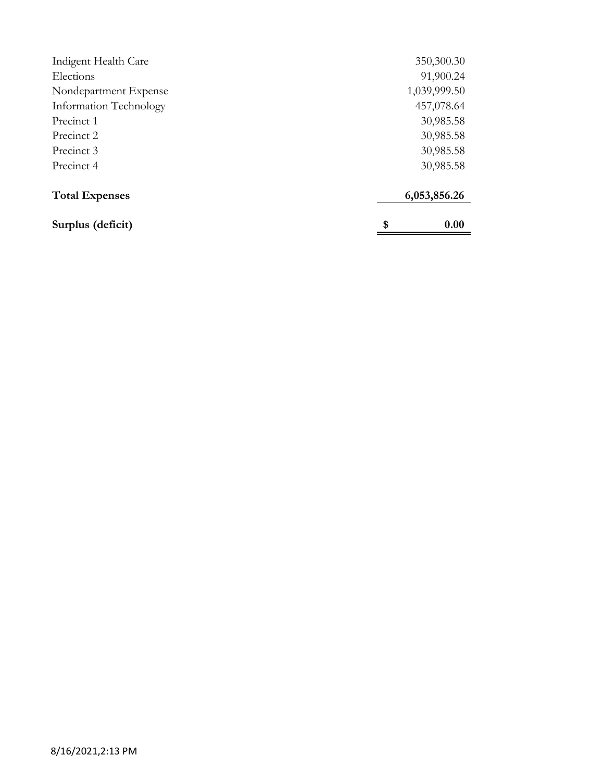| Indigent Health Care   | 350,300.30   |
|------------------------|--------------|
| Elections              | 91,900.24    |
| Nondepartment Expense  | 1,039,999.50 |
| Information Technology | 457,078.64   |
| Precinct 1             | 30,985.58    |
| Precinct 2             | 30,985.58    |
| Precinct 3             | 30,985.58    |
| Precinct 4             | 30,985.58    |
| <b>Total Expenses</b>  | 6,053,856.26 |
| Surplus (deficit)      | \$<br>0.00   |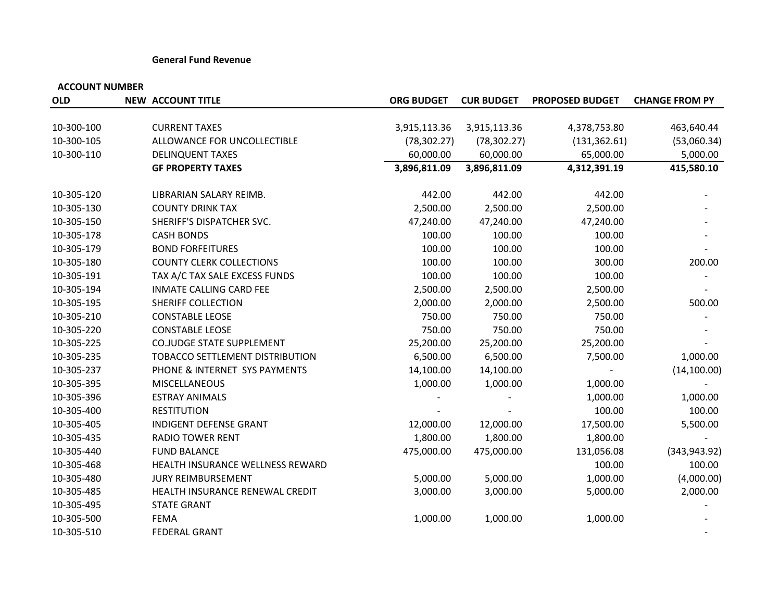#### **General Fund Revenue**

| <b>OLD</b> | <b>NEW ACCOUNT TITLE</b>         | <b>ORG BUDGET</b> | <b>CUR BUDGET</b> | <b>PROPOSED BUDGET</b> | <b>CHANGE FROM PY</b> |
|------------|----------------------------------|-------------------|-------------------|------------------------|-----------------------|
|            |                                  |                   |                   |                        |                       |
| 10-300-100 | <b>CURRENT TAXES</b>             | 3,915,113.36      | 3,915,113.36      | 4,378,753.80           | 463,640.44            |
| 10-300-105 | ALLOWANCE FOR UNCOLLECTIBLE      | (78, 302.27)      | (78, 302.27)      | (131, 362.61)          | (53,060.34)           |
| 10-300-110 | <b>DELINQUENT TAXES</b>          | 60,000.00         | 60,000.00         | 65,000.00              | 5,000.00              |
|            | <b>GF PROPERTY TAXES</b>         | 3,896,811.09      | 3,896,811.09      | 4,312,391.19           | 415,580.10            |
| 10-305-120 | LIBRARIAN SALARY REIMB.          | 442.00            | 442.00            | 442.00                 |                       |
| 10-305-130 | <b>COUNTY DRINK TAX</b>          | 2,500.00          | 2,500.00          | 2,500.00               |                       |
| 10-305-150 | SHERIFF'S DISPATCHER SVC.        | 47,240.00         | 47,240.00         | 47,240.00              |                       |
| 10-305-178 | <b>CASH BONDS</b>                | 100.00            | 100.00            | 100.00                 |                       |
| 10-305-179 | <b>BOND FORFEITURES</b>          | 100.00            | 100.00            | 100.00                 |                       |
| 10-305-180 | <b>COUNTY CLERK COLLECTIONS</b>  | 100.00            | 100.00            | 300.00                 | 200.00                |
| 10-305-191 | TAX A/C TAX SALE EXCESS FUNDS    | 100.00            | 100.00            | 100.00                 |                       |
| 10-305-194 | <b>INMATE CALLING CARD FEE</b>   | 2,500.00          | 2,500.00          | 2,500.00               |                       |
| 10-305-195 | SHERIFF COLLECTION               | 2,000.00          | 2,000.00          | 2,500.00               | 500.00                |
| 10-305-210 | <b>CONSTABLE LEOSE</b>           | 750.00            | 750.00            | 750.00                 |                       |
| 10-305-220 | <b>CONSTABLE LEOSE</b>           | 750.00            | 750.00            | 750.00                 |                       |
| 10-305-225 | <b>CO.JUDGE STATE SUPPLEMENT</b> | 25,200.00         | 25,200.00         | 25,200.00              |                       |
| 10-305-235 | TOBACCO SETTLEMENT DISTRIBUTION  | 6,500.00          | 6,500.00          | 7,500.00               | 1,000.00              |
| 10-305-237 | PHONE & INTERNET SYS PAYMENTS    | 14,100.00         | 14,100.00         |                        | (14, 100.00)          |
| 10-305-395 | MISCELLANEOUS                    | 1,000.00          | 1,000.00          | 1,000.00               |                       |
| 10-305-396 | <b>ESTRAY ANIMALS</b>            |                   |                   | 1,000.00               | 1,000.00              |
| 10-305-400 | <b>RESTITUTION</b>               |                   |                   | 100.00                 | 100.00                |
| 10-305-405 | <b>INDIGENT DEFENSE GRANT</b>    | 12,000.00         | 12,000.00         | 17,500.00              | 5,500.00              |
| 10-305-435 | <b>RADIO TOWER RENT</b>          | 1,800.00          | 1,800.00          | 1,800.00               |                       |
| 10-305-440 | <b>FUND BALANCE</b>              | 475,000.00        | 475,000.00        | 131,056.08             | (343, 943.92)         |
| 10-305-468 | HEALTH INSURANCE WELLNESS REWARD |                   |                   | 100.00                 | 100.00                |
| 10-305-480 | JURY REIMBURSEMENT               | 5,000.00          | 5,000.00          | 1,000.00               | (4,000.00)            |
| 10-305-485 | HEALTH INSURANCE RENEWAL CREDIT  | 3,000.00          | 3,000.00          | 5,000.00               | 2,000.00              |
| 10-305-495 | <b>STATE GRANT</b>               |                   |                   |                        |                       |
| 10-305-500 | <b>FEMA</b>                      | 1,000.00          | 1,000.00          | 1,000.00               |                       |
| 10-305-510 | <b>FEDERAL GRANT</b>             |                   |                   |                        |                       |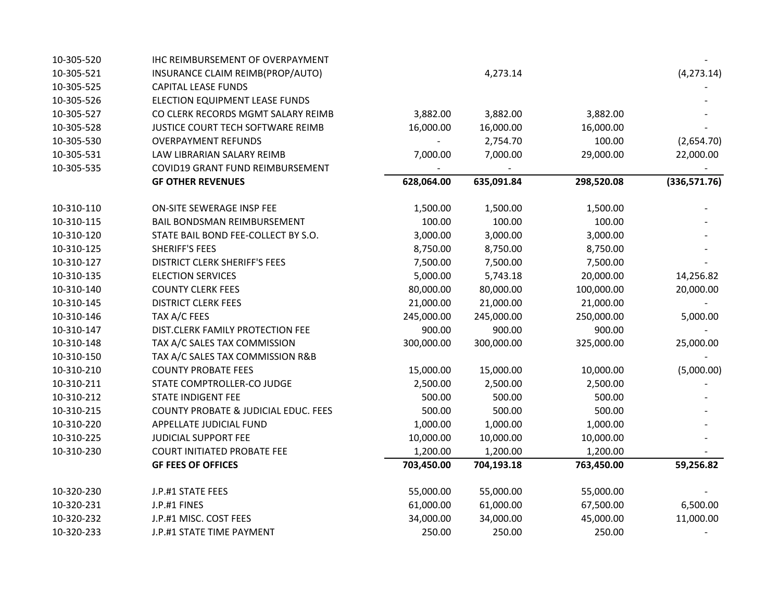| 10-305-520 | IHC REIMBURSEMENT OF OVERPAYMENT                |            |            |            |              |
|------------|-------------------------------------------------|------------|------------|------------|--------------|
| 10-305-521 | INSURANCE CLAIM REIMB(PROP/AUTO)                |            | 4,273.14   |            | (4, 273.14)  |
| 10-305-525 | <b>CAPITAL LEASE FUNDS</b>                      |            |            |            |              |
| 10-305-526 | ELECTION EQUIPMENT LEASE FUNDS                  |            |            |            |              |
| 10-305-527 | CO CLERK RECORDS MGMT SALARY REIMB              | 3,882.00   | 3,882.00   | 3,882.00   |              |
| 10-305-528 | JUSTICE COURT TECH SOFTWARE REIMB               | 16,000.00  | 16,000.00  | 16,000.00  |              |
| 10-305-530 | <b>OVERPAYMENT REFUNDS</b>                      |            | 2,754.70   | 100.00     | (2,654.70)   |
| 10-305-531 | LAW LIBRARIAN SALARY REIMB                      | 7,000.00   | 7,000.00   | 29,000.00  | 22,000.00    |
| 10-305-535 | COVID19 GRANT FUND REIMBURSEMENT                |            |            |            |              |
|            | <b>GF OTHER REVENUES</b>                        | 628,064.00 | 635,091.84 | 298,520.08 | (336,571.76) |
| 10-310-110 | ON-SITE SEWERAGE INSP FEE                       | 1,500.00   | 1,500.00   | 1,500.00   |              |
| 10-310-115 | BAIL BONDSMAN REIMBURSEMENT                     | 100.00     | 100.00     | 100.00     |              |
| 10-310-120 | STATE BAIL BOND FEE-COLLECT BY S.O.             | 3,000.00   | 3,000.00   | 3,000.00   |              |
| 10-310-125 | <b>SHERIFF'S FEES</b>                           | 8,750.00   | 8,750.00   | 8,750.00   |              |
| 10-310-127 | <b>DISTRICT CLERK SHERIFF'S FEES</b>            | 7,500.00   | 7,500.00   | 7,500.00   |              |
| 10-310-135 | <b>ELECTION SERVICES</b>                        | 5,000.00   | 5,743.18   | 20,000.00  | 14,256.82    |
| 10-310-140 | <b>COUNTY CLERK FEES</b>                        | 80,000.00  | 80,000.00  | 100,000.00 | 20,000.00    |
| 10-310-145 | <b>DISTRICT CLERK FEES</b>                      | 21,000.00  | 21,000.00  | 21,000.00  |              |
| 10-310-146 | TAX A/C FEES                                    | 245,000.00 | 245,000.00 | 250,000.00 | 5,000.00     |
| 10-310-147 | DIST.CLERK FAMILY PROTECTION FEE                | 900.00     | 900.00     | 900.00     |              |
| 10-310-148 | TAX A/C SALES TAX COMMISSION                    | 300,000.00 | 300,000.00 | 325,000.00 | 25,000.00    |
| 10-310-150 | TAX A/C SALES TAX COMMISSION R&B                |            |            |            |              |
| 10-310-210 | <b>COUNTY PROBATE FEES</b>                      | 15,000.00  | 15,000.00  | 10,000.00  | (5,000.00)   |
| 10-310-211 | STATE COMPTROLLER-CO JUDGE                      | 2,500.00   | 2,500.00   | 2,500.00   |              |
| 10-310-212 | <b>STATE INDIGENT FEE</b>                       | 500.00     | 500.00     | 500.00     |              |
| 10-310-215 | <b>COUNTY PROBATE &amp; JUDICIAL EDUC. FEES</b> | 500.00     | 500.00     | 500.00     |              |
| 10-310-220 | APPELLATE JUDICIAL FUND                         | 1,000.00   | 1,000.00   | 1,000.00   |              |
| 10-310-225 | JUDICIAL SUPPORT FEE                            | 10,000.00  | 10,000.00  | 10,000.00  |              |
| 10-310-230 | <b>COURT INITIATED PROBATE FEE</b>              | 1,200.00   | 1,200.00   | 1,200.00   |              |
|            | <b>GF FEES OF OFFICES</b>                       | 703,450.00 | 704,193.18 | 763,450.00 | 59,256.82    |
| 10-320-230 | J.P.#1 STATE FEES                               | 55,000.00  | 55,000.00  | 55,000.00  |              |
| 10-320-231 | J.P.#1 FINES                                    | 61,000.00  | 61,000.00  | 67,500.00  | 6,500.00     |
| 10-320-232 | J.P.#1 MISC. COST FEES                          | 34,000.00  | 34,000.00  | 45,000.00  | 11,000.00    |
| 10-320-233 | J.P.#1 STATE TIME PAYMENT                       | 250.00     | 250.00     | 250.00     |              |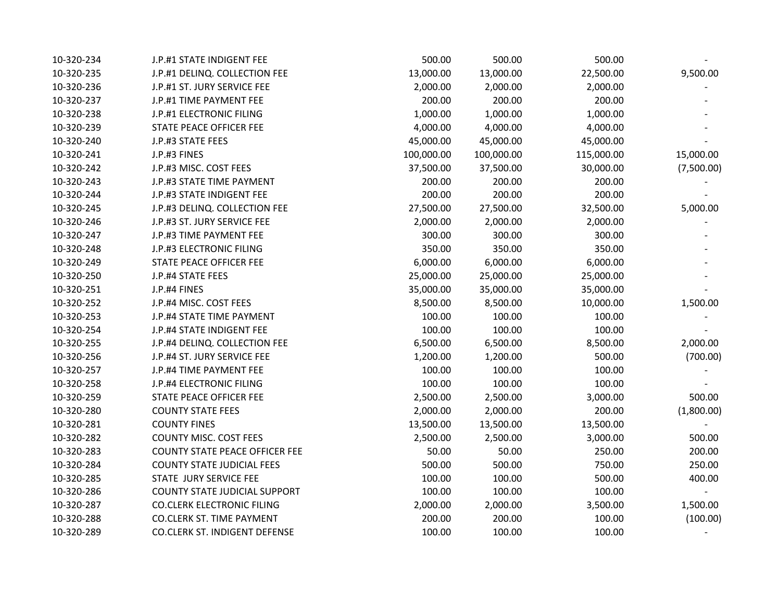| 10-320-234 | J.P.#1 STATE INDIGENT FEE             | 500.00     | 500.00     | 500.00     |            |
|------------|---------------------------------------|------------|------------|------------|------------|
| 10-320-235 | J.P.#1 DELINQ. COLLECTION FEE         | 13,000.00  | 13,000.00  | 22,500.00  | 9,500.00   |
| 10-320-236 | J.P.#1 ST. JURY SERVICE FEE           | 2,000.00   | 2,000.00   | 2,000.00   |            |
| 10-320-237 | J.P.#1 TIME PAYMENT FEE               | 200.00     | 200.00     | 200.00     |            |
| 10-320-238 | J.P.#1 ELECTRONIC FILING              | 1,000.00   | 1,000.00   | 1,000.00   |            |
| 10-320-239 | STATE PEACE OFFICER FEE               | 4,000.00   | 4,000.00   | 4,000.00   |            |
| 10-320-240 | J.P.#3 STATE FEES                     | 45,000.00  | 45,000.00  | 45,000.00  |            |
| 10-320-241 | J.P.#3 FINES                          | 100,000.00 | 100,000.00 | 115,000.00 | 15,000.00  |
| 10-320-242 | J.P.#3 MISC. COST FEES                | 37,500.00  | 37,500.00  | 30,000.00  | (7,500.00) |
| 10-320-243 | J.P.#3 STATE TIME PAYMENT             | 200.00     | 200.00     | 200.00     |            |
| 10-320-244 | J.P.#3 STATE INDIGENT FEE             | 200.00     | 200.00     | 200.00     |            |
| 10-320-245 | J.P.#3 DELINQ. COLLECTION FEE         | 27,500.00  | 27,500.00  | 32,500.00  | 5,000.00   |
| 10-320-246 | J.P.#3 ST. JURY SERVICE FEE           | 2,000.00   | 2,000.00   | 2,000.00   |            |
| 10-320-247 | J.P.#3 TIME PAYMENT FEE               | 300.00     | 300.00     | 300.00     |            |
| 10-320-248 | J.P.#3 ELECTRONIC FILING              | 350.00     | 350.00     | 350.00     |            |
| 10-320-249 | STATE PEACE OFFICER FEE               | 6,000.00   | 6,000.00   | 6,000.00   |            |
| 10-320-250 | J.P.#4 STATE FEES                     | 25,000.00  | 25,000.00  | 25,000.00  |            |
| 10-320-251 | J.P.#4 FINES                          | 35,000.00  | 35,000.00  | 35,000.00  |            |
| 10-320-252 | J.P.#4 MISC. COST FEES                | 8,500.00   | 8,500.00   | 10,000.00  | 1,500.00   |
| 10-320-253 | J.P.#4 STATE TIME PAYMENT             | 100.00     | 100.00     | 100.00     |            |
| 10-320-254 | J.P.#4 STATE INDIGENT FEE             | 100.00     | 100.00     | 100.00     |            |
| 10-320-255 | J.P.#4 DELINQ. COLLECTION FEE         | 6,500.00   | 6,500.00   | 8,500.00   | 2,000.00   |
| 10-320-256 | J.P.#4 ST. JURY SERVICE FEE           | 1,200.00   | 1,200.00   | 500.00     | (700.00)   |
| 10-320-257 | J.P.#4 TIME PAYMENT FEE               | 100.00     | 100.00     | 100.00     |            |
| 10-320-258 | J.P.#4 ELECTRONIC FILING              | 100.00     | 100.00     | 100.00     |            |
| 10-320-259 | STATE PEACE OFFICER FEE               | 2,500.00   | 2,500.00   | 3,000.00   | 500.00     |
| 10-320-280 | <b>COUNTY STATE FEES</b>              | 2,000.00   | 2,000.00   | 200.00     | (1,800.00) |
| 10-320-281 | <b>COUNTY FINES</b>                   | 13,500.00  | 13,500.00  | 13,500.00  |            |
| 10-320-282 | <b>COUNTY MISC. COST FEES</b>         | 2,500.00   | 2,500.00   | 3,000.00   | 500.00     |
| 10-320-283 | <b>COUNTY STATE PEACE OFFICER FEE</b> | 50.00      | 50.00      | 250.00     | 200.00     |
| 10-320-284 | <b>COUNTY STATE JUDICIAL FEES</b>     | 500.00     | 500.00     | 750.00     | 250.00     |
| 10-320-285 | STATE JURY SERVICE FEE                | 100.00     | 100.00     | 500.00     | 400.00     |
| 10-320-286 | <b>COUNTY STATE JUDICIAL SUPPORT</b>  | 100.00     | 100.00     | 100.00     |            |
| 10-320-287 | <b>CO.CLERK ELECTRONIC FILING</b>     | 2,000.00   | 2,000.00   | 3,500.00   | 1,500.00   |
| 10-320-288 | <b>CO.CLERK ST. TIME PAYMENT</b>      | 200.00     | 200.00     | 100.00     | (100.00)   |
| 10-320-289 | <b>CO.CLERK ST. INDIGENT DEFENSE</b>  | 100.00     | 100.00     | 100.00     |            |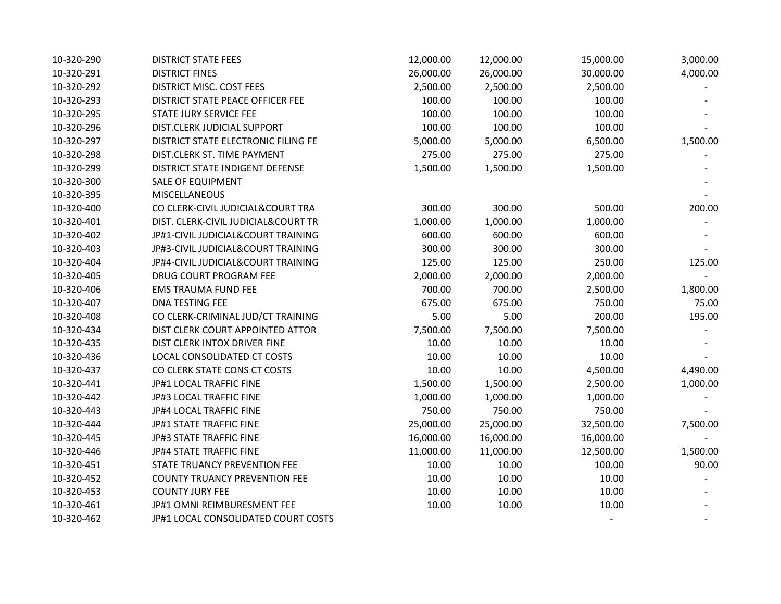| 10-320-290 | <b>DISTRICT STATE FEES</b>           | 12,000.00 | 12,000.00 | 15,000.00 | 3,000.00 |
|------------|--------------------------------------|-----------|-----------|-----------|----------|
| 10-320-291 | <b>DISTRICT FINES</b>                | 26,000.00 | 26,000.00 | 30,000.00 | 4,000.00 |
| 10-320-292 | DISTRICT MISC. COST FEES             | 2,500.00  | 2,500.00  | 2,500.00  |          |
| 10-320-293 | DISTRICT STATE PEACE OFFICER FEE     | 100.00    | 100.00    | 100.00    |          |
| 10-320-295 | STATE JURY SERVICE FEE               | 100.00    | 100.00    | 100.00    |          |
| 10-320-296 | DIST.CLERK JUDICIAL SUPPORT          | 100.00    | 100.00    | 100.00    |          |
| 10-320-297 | DISTRICT STATE ELECTRONIC FILING FE  | 5,000.00  | 5,000.00  | 6,500.00  | 1,500.00 |
| 10-320-298 | DIST.CLERK ST. TIME PAYMENT          | 275.00    | 275.00    | 275.00    |          |
| 10-320-299 | DISTRICT STATE INDIGENT DEFENSE      | 1,500.00  | 1,500.00  | 1,500.00  |          |
| 10-320-300 | SALE OF EQUIPMENT                    |           |           |           |          |
| 10-320-395 | <b>MISCELLANEOUS</b>                 |           |           |           |          |
| 10-320-400 | CO CLERK-CIVIL JUDICIAL&COURT TRA    | 300.00    | 300.00    | 500.00    | 200.00   |
| 10-320-401 | DIST. CLERK-CIVIL JUDICIAL&COURT TR  | 1,000.00  | 1,000.00  | 1,000.00  |          |
| 10-320-402 | JP#1-CIVIL JUDICIAL&COURT TRAINING   | 600.00    | 600.00    | 600.00    |          |
| 10-320-403 | JP#3-CIVIL JUDICIAL&COURT TRAINING   | 300.00    | 300.00    | 300.00    |          |
| 10-320-404 | JP#4-CIVIL JUDICIAL&COURT TRAINING   | 125.00    | 125.00    | 250.00    | 125.00   |
| 10-320-405 | DRUG COURT PROGRAM FEE               | 2,000.00  | 2,000.00  | 2,000.00  |          |
| 10-320-406 | <b>EMS TRAUMA FUND FEE</b>           | 700.00    | 700.00    | 2,500.00  | 1,800.00 |
| 10-320-407 | DNA TESTING FEE                      | 675.00    | 675.00    | 750.00    | 75.00    |
| 10-320-408 | CO CLERK-CRIMINAL JUD/CT TRAINING    | 5.00      | 5.00      | 200.00    | 195.00   |
| 10-320-434 | DIST CLERK COURT APPOINTED ATTOR     | 7,500.00  | 7,500.00  | 7,500.00  |          |
| 10-320-435 | DIST CLERK INTOX DRIVER FINE         | 10.00     | 10.00     | 10.00     |          |
| 10-320-436 | LOCAL CONSOLIDATED CT COSTS          | 10.00     | 10.00     | 10.00     |          |
| 10-320-437 | CO CLERK STATE CONS CT COSTS         | 10.00     | 10.00     | 4,500.00  | 4,490.00 |
| 10-320-441 | JP#1 LOCAL TRAFFIC FINE              | 1,500.00  | 1,500.00  | 2,500.00  | 1,000.00 |
| 10-320-442 | JP#3 LOCAL TRAFFIC FINE              | 1,000.00  | 1,000.00  | 1,000.00  |          |
| 10-320-443 | JP#4 LOCAL TRAFFIC FINE              | 750.00    | 750.00    | 750.00    |          |
| 10-320-444 | JP#1 STATE TRAFFIC FINE              | 25,000.00 | 25,000.00 | 32,500.00 | 7,500.00 |
| 10-320-445 | <b>JP#3 STATE TRAFFIC FINE</b>       | 16,000.00 | 16,000.00 | 16,000.00 |          |
| 10-320-446 | JP#4 STATE TRAFFIC FINE              | 11,000.00 | 11,000.00 | 12,500.00 | 1,500.00 |
| 10-320-451 | STATE TRUANCY PREVENTION FEE         | 10.00     | 10.00     | 100.00    | 90.00    |
| 10-320-452 | <b>COUNTY TRUANCY PREVENTION FEE</b> | 10.00     | 10.00     | 10.00     |          |
| 10-320-453 | <b>COUNTY JURY FEE</b>               | 10.00     | 10.00     | 10.00     |          |
| 10-320-461 | JP#1 OMNI REIMBURESMENT FEE          | 10.00     | 10.00     | 10.00     |          |
| 10-320-462 | JP#1 LOCAL CONSOLIDATED COURT COSTS  |           |           |           |          |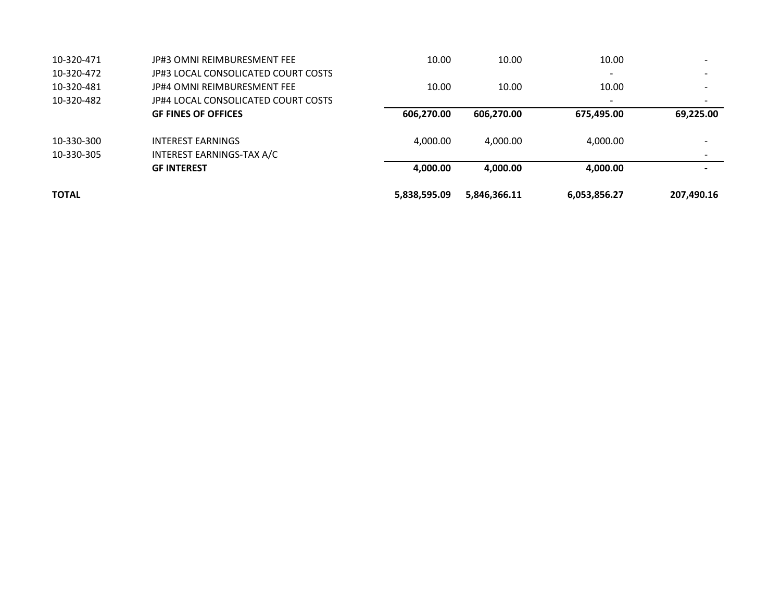| <b>TOTAL</b> |                                     | 5,838,595.09 | 5,846,366.11 | 6,053,856.27             | 207,490.16 |
|--------------|-------------------------------------|--------------|--------------|--------------------------|------------|
|              | <b>GF INTEREST</b>                  | 4,000.00     | 4,000.00     | 4,000.00                 |            |
| 10-330-305   | INTEREST EARNINGS-TAX A/C           |              |              |                          |            |
| 10-330-300   | <b>INTEREST EARNINGS</b>            | 4,000.00     | 4,000.00     | 4,000.00                 |            |
|              | <b>GF FINES OF OFFICES</b>          | 606.270.00   | 606,270.00   | 675,495.00               | 69,225.00  |
| 10-320-482   | IP#4 LOCAL CONSOLICATED COURT COSTS |              |              | $\overline{\phantom{a}}$ |            |
| 10-320-481   | JP#4 OMNI REIMBURESMENT FEE         | 10.00        | 10.00        | 10.00                    |            |
| 10-320-472   | JP#3 LOCAL CONSOLICATED COURT COSTS |              |              | $\overline{\phantom{0}}$ |            |
| 10-320-471   | JP#3 OMNI REIMBURESMENT FEE         | 10.00        | 10.00        | 10.00                    |            |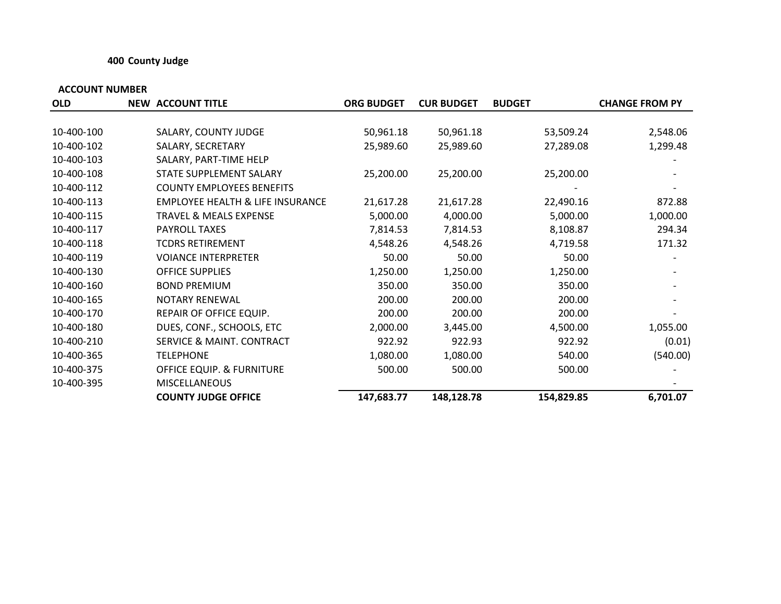## **400 County Judge**

| <b>OLD</b> | <b>NEW ACCOUNT TITLE</b>                    | <b>ORG BUDGET</b> | <b>CUR BUDGET</b> | <b>BUDGET</b> | <b>CHANGE FROM PY</b> |
|------------|---------------------------------------------|-------------------|-------------------|---------------|-----------------------|
|            |                                             |                   |                   |               |                       |
| 10-400-100 | SALARY, COUNTY JUDGE                        | 50,961.18         | 50,961.18         | 53,509.24     | 2,548.06              |
| 10-400-102 | SALARY, SECRETARY                           | 25,989.60         | 25,989.60         | 27,289.08     | 1,299.48              |
| 10-400-103 | SALARY, PART-TIME HELP                      |                   |                   |               |                       |
| 10-400-108 | STATE SUPPLEMENT SALARY                     | 25,200.00         | 25,200.00         | 25,200.00     |                       |
| 10-400-112 | <b>COUNTY EMPLOYEES BENEFITS</b>            |                   |                   |               |                       |
| 10-400-113 | <b>EMPLOYEE HEALTH &amp; LIFE INSURANCE</b> | 21,617.28         | 21,617.28         | 22,490.16     | 872.88                |
| 10-400-115 | <b>TRAVEL &amp; MEALS EXPENSE</b>           | 5,000.00          | 4,000.00          | 5,000.00      | 1,000.00              |
| 10-400-117 | PAYROLL TAXES                               | 7,814.53          | 7,814.53          | 8,108.87      | 294.34                |
| 10-400-118 | <b>TCDRS RETIREMENT</b>                     | 4,548.26          | 4,548.26          | 4,719.58      | 171.32                |
| 10-400-119 | <b>VOIANCE INTERPRETER</b>                  | 50.00             | 50.00             | 50.00         |                       |
| 10-400-130 | <b>OFFICE SUPPLIES</b>                      | 1,250.00          | 1,250.00          | 1,250.00      |                       |
| 10-400-160 | <b>BOND PREMIUM</b>                         | 350.00            | 350.00            | 350.00        |                       |
| 10-400-165 | <b>NOTARY RENEWAL</b>                       | 200.00            | 200.00            | 200.00        |                       |
| 10-400-170 | REPAIR OF OFFICE EQUIP.                     | 200.00            | 200.00            | 200.00        |                       |
| 10-400-180 | DUES, CONF., SCHOOLS, ETC                   | 2,000.00          | 3,445.00          | 4,500.00      | 1,055.00              |
| 10-400-210 | SERVICE & MAINT. CONTRACT                   | 922.92            | 922.93            | 922.92        | (0.01)                |
| 10-400-365 | <b>TELEPHONE</b>                            | 1,080.00          | 1,080.00          | 540.00        | (540.00)              |
| 10-400-375 | OFFICE EQUIP. & FURNITURE                   | 500.00            | 500.00            | 500.00        |                       |
| 10-400-395 | <b>MISCELLANEOUS</b>                        |                   |                   |               |                       |
|            | <b>COUNTY JUDGE OFFICE</b>                  | 147,683.77        | 148,128.78        | 154,829.85    | 6,701.07              |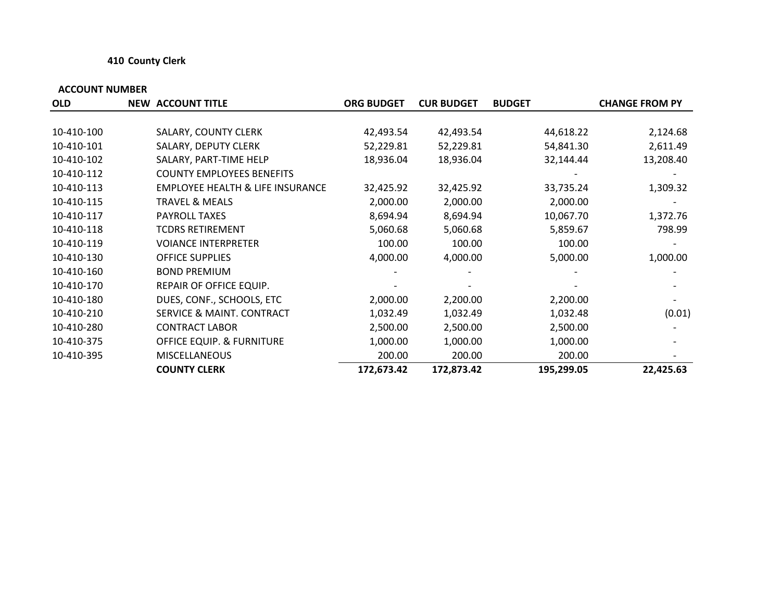## **410 County Clerk**

| <b>OLD</b> | <b>NEW ACCOUNT TITLE</b>                    | <b>ORG BUDGET</b> | <b>CUR BUDGET</b> | <b>BUDGET</b> | <b>CHANGE FROM PY</b> |
|------------|---------------------------------------------|-------------------|-------------------|---------------|-----------------------|
|            |                                             |                   |                   |               |                       |
| 10-410-100 | SALARY, COUNTY CLERK                        | 42,493.54         | 42,493.54         | 44,618.22     | 2,124.68              |
| 10-410-101 | SALARY, DEPUTY CLERK                        | 52,229.81         | 52,229.81         | 54,841.30     | 2,611.49              |
| 10-410-102 | SALARY, PART-TIME HELP                      | 18,936.04         | 18,936.04         | 32,144.44     | 13,208.40             |
| 10-410-112 | <b>COUNTY EMPLOYEES BENEFITS</b>            |                   |                   |               |                       |
| 10-410-113 | <b>EMPLOYEE HEALTH &amp; LIFE INSURANCE</b> | 32,425.92         | 32,425.92         | 33,735.24     | 1,309.32              |
| 10-410-115 | <b>TRAVEL &amp; MEALS</b>                   | 2,000.00          | 2,000.00          | 2,000.00      |                       |
| 10-410-117 | PAYROLL TAXES                               | 8,694.94          | 8,694.94          | 10,067.70     | 1,372.76              |
| 10-410-118 | <b>TCDRS RETIREMENT</b>                     | 5,060.68          | 5,060.68          | 5,859.67      | 798.99                |
| 10-410-119 | <b>VOIANCE INTERPRETER</b>                  | 100.00            | 100.00            | 100.00        |                       |
| 10-410-130 | <b>OFFICE SUPPLIES</b>                      | 4,000.00          | 4,000.00          | 5,000.00      | 1,000.00              |
| 10-410-160 | <b>BOND PREMIUM</b>                         |                   |                   |               |                       |
| 10-410-170 | REPAIR OF OFFICE EQUIP.                     |                   |                   |               |                       |
| 10-410-180 | DUES, CONF., SCHOOLS, ETC                   | 2,000.00          | 2,200.00          | 2,200.00      |                       |
| 10-410-210 | SERVICE & MAINT. CONTRACT                   | 1,032.49          | 1,032.49          | 1,032.48      | (0.01)                |
| 10-410-280 | <b>CONTRACT LABOR</b>                       | 2,500.00          | 2,500.00          | 2,500.00      |                       |
| 10-410-375 | <b>OFFICE EQUIP. &amp; FURNITURE</b>        | 1,000.00          | 1,000.00          | 1,000.00      |                       |
| 10-410-395 | <b>MISCELLANEOUS</b>                        | 200.00            | 200.00            | 200.00        |                       |
|            | <b>COUNTY CLERK</b>                         | 172,673.42        | 172,873.42        | 195,299.05    | 22,425.63             |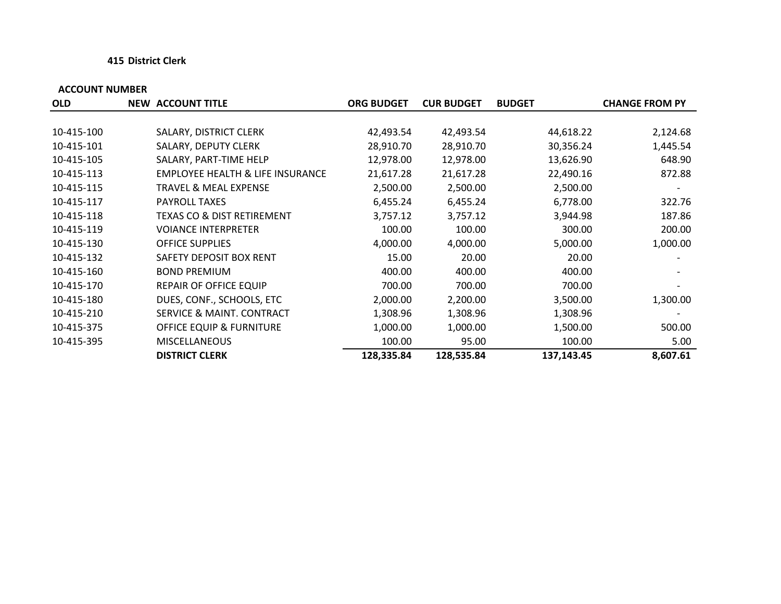## **415 District Clerk**

| <b>OLD</b> | <b>NEW ACCOUNT TITLE</b>                    | <b>ORG BUDGET</b> | <b>CUR BUDGET</b> | <b>BUDGET</b> | <b>CHANGE FROM PY</b> |
|------------|---------------------------------------------|-------------------|-------------------|---------------|-----------------------|
|            |                                             |                   |                   |               |                       |
| 10-415-100 | SALARY, DISTRICT CLERK                      | 42,493.54         | 42,493.54         | 44,618.22     | 2,124.68              |
| 10-415-101 | SALARY, DEPUTY CLERK                        | 28,910.70         | 28,910.70         | 30,356.24     | 1,445.54              |
| 10-415-105 | SALARY, PART-TIME HELP                      | 12,978.00         | 12,978.00         | 13,626.90     | 648.90                |
| 10-415-113 | <b>EMPLOYEE HEALTH &amp; LIFE INSURANCE</b> | 21,617.28         | 21,617.28         | 22,490.16     | 872.88                |
| 10-415-115 | <b>TRAVEL &amp; MEAL EXPENSE</b>            | 2,500.00          | 2,500.00          | 2,500.00      |                       |
| 10-415-117 | PAYROLL TAXES                               | 6,455.24          | 6,455.24          | 6,778.00      | 322.76                |
| 10-415-118 | TEXAS CO & DIST RETIREMENT                  | 3,757.12          | 3,757.12          | 3,944.98      | 187.86                |
| 10-415-119 | <b>VOIANCE INTERPRETER</b>                  | 100.00            | 100.00            | 300.00        | 200.00                |
| 10-415-130 | <b>OFFICE SUPPLIES</b>                      | 4,000.00          | 4,000.00          | 5,000.00      | 1,000.00              |
| 10-415-132 | SAFETY DEPOSIT BOX RENT                     | 15.00             | 20.00             | 20.00         |                       |
| 10-415-160 | <b>BOND PREMIUM</b>                         | 400.00            | 400.00            | 400.00        |                       |
| 10-415-170 | <b>REPAIR OF OFFICE EQUIP</b>               | 700.00            | 700.00            | 700.00        |                       |
| 10-415-180 | DUES, CONF., SCHOOLS, ETC                   | 2,000.00          | 2,200.00          | 3,500.00      | 1,300.00              |
| 10-415-210 | <b>SERVICE &amp; MAINT. CONTRACT</b>        | 1,308.96          | 1,308.96          | 1,308.96      |                       |
| 10-415-375 | <b>OFFICE EQUIP &amp; FURNITURE</b>         | 1,000.00          | 1,000.00          | 1,500.00      | 500.00                |
| 10-415-395 | <b>MISCELLANEOUS</b>                        | 100.00            | 95.00             | 100.00        | 5.00                  |
|            | <b>DISTRICT CLERK</b>                       | 128,335.84        | 128,535.84        | 137,143.45    | 8,607.61              |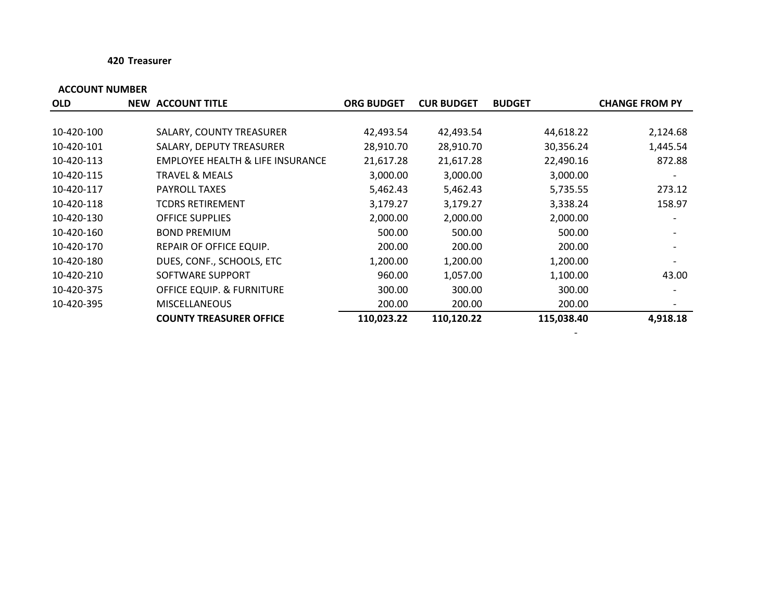## **420 Treasurer**

## **ACCOUNT NUMBER**

| <b>OLD</b> | <b>NEW ACCOUNT TITLE</b>                    | <b>ORG BUDGET</b> | <b>CUR BUDGET</b> | <b>BUDGET</b> | <b>CHANGE FROM PY</b> |
|------------|---------------------------------------------|-------------------|-------------------|---------------|-----------------------|
|            |                                             |                   |                   |               |                       |
| 10-420-100 | SALARY, COUNTY TREASURER                    | 42,493.54         | 42,493.54         | 44,618.22     | 2,124.68              |
| 10-420-101 | SALARY, DEPUTY TREASURER                    | 28,910.70         | 28,910.70         | 30,356.24     | 1,445.54              |
| 10-420-113 | <b>EMPLOYEE HEALTH &amp; LIFE INSURANCE</b> | 21,617.28         | 21,617.28         | 22,490.16     | 872.88                |
| 10-420-115 | TRAVEL & MEALS                              | 3,000.00          | 3,000.00          | 3,000.00      |                       |
| 10-420-117 | <b>PAYROLL TAXES</b>                        | 5,462.43          | 5,462.43          | 5,735.55      | 273.12                |
| 10-420-118 | TCDRS RETIREMENT                            | 3,179.27          | 3,179.27          | 3,338.24      | 158.97                |
| 10-420-130 | <b>OFFICE SUPPLIES</b>                      | 2,000.00          | 2,000.00          | 2,000.00      |                       |
| 10-420-160 | <b>BOND PREMIUM</b>                         | 500.00            | 500.00            | 500.00        |                       |
| 10-420-170 | REPAIR OF OFFICE EQUIP.                     | 200.00            | 200.00            | 200.00        |                       |
| 10-420-180 | DUES, CONF., SCHOOLS, ETC                   | 1,200.00          | 1,200.00          | 1,200.00      |                       |
| 10-420-210 | SOFTWARE SUPPORT                            | 960.00            | 1,057.00          | 1,100.00      | 43.00                 |
| 10-420-375 | OFFICE EQUIP. & FURNITURE                   | 300.00            | 300.00            | 300.00        |                       |
| 10-420-395 | <b>MISCELLANEOUS</b>                        | 200.00            | 200.00            | 200.00        |                       |
|            | <b>COUNTY TREASURER OFFICE</b>              | 110,023.22        | 110,120.22        | 115,038.40    | 4,918.18              |

**Contract Contract**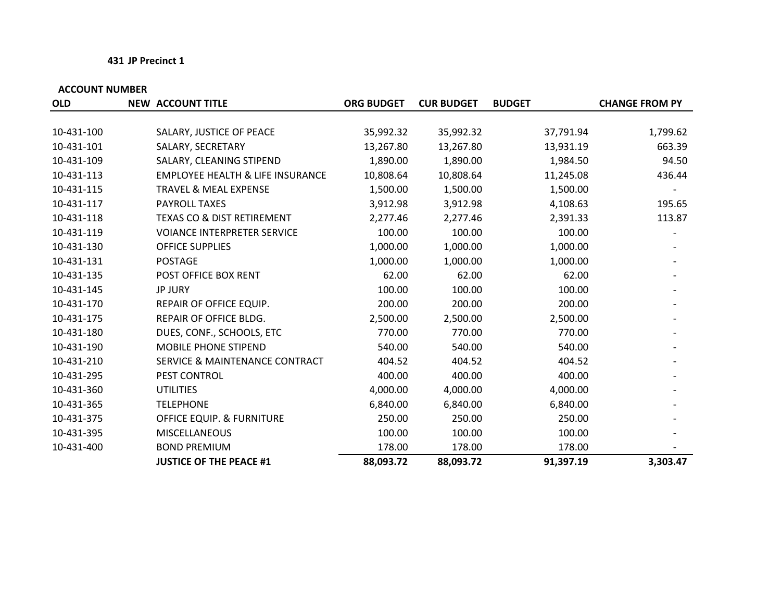## **431 JP Precinct 1**

| <b>OLD</b> | <b>NEW ACCOUNT TITLE</b>                    | <b>ORG BUDGET</b> | <b>CUR BUDGET</b> | <b>BUDGET</b> | <b>CHANGE FROM PY</b> |
|------------|---------------------------------------------|-------------------|-------------------|---------------|-----------------------|
|            |                                             |                   |                   |               |                       |
| 10-431-100 | SALARY, JUSTICE OF PEACE                    | 35,992.32         | 35,992.32         | 37,791.94     | 1,799.62              |
| 10-431-101 | SALARY, SECRETARY                           | 13,267.80         | 13,267.80         | 13,931.19     | 663.39                |
| 10-431-109 | SALARY, CLEANING STIPEND                    | 1,890.00          | 1,890.00          | 1,984.50      | 94.50                 |
| 10-431-113 | <b>EMPLOYEE HEALTH &amp; LIFE INSURANCE</b> | 10,808.64         | 10,808.64         | 11,245.08     | 436.44                |
| 10-431-115 | <b>TRAVEL &amp; MEAL EXPENSE</b>            | 1,500.00          | 1,500.00          | 1,500.00      |                       |
| 10-431-117 | <b>PAYROLL TAXES</b>                        | 3,912.98          | 3,912.98          | 4,108.63      | 195.65                |
| 10-431-118 | <b>TEXAS CO &amp; DIST RETIREMENT</b>       | 2,277.46          | 2,277.46          | 2,391.33      | 113.87                |
| 10-431-119 | <b>VOIANCE INTERPRETER SERVICE</b>          | 100.00            | 100.00            | 100.00        |                       |
| 10-431-130 | <b>OFFICE SUPPLIES</b>                      | 1,000.00          | 1,000.00          | 1,000.00      |                       |
| 10-431-131 | <b>POSTAGE</b>                              | 1,000.00          | 1,000.00          | 1,000.00      |                       |
| 10-431-135 | POST OFFICE BOX RENT                        | 62.00             | 62.00             | 62.00         |                       |
| 10-431-145 | <b>JP JURY</b>                              | 100.00            | 100.00            | 100.00        |                       |
| 10-431-170 | REPAIR OF OFFICE EQUIP.                     | 200.00            | 200.00            | 200.00        |                       |
| 10-431-175 | REPAIR OF OFFICE BLDG.                      | 2,500.00          | 2,500.00          | 2,500.00      |                       |
| 10-431-180 | DUES, CONF., SCHOOLS, ETC                   | 770.00            | 770.00            | 770.00        |                       |
| 10-431-190 | <b>MOBILE PHONE STIPEND</b>                 | 540.00            | 540.00            | 540.00        |                       |
| 10-431-210 | <b>SERVICE &amp; MAINTENANCE CONTRACT</b>   | 404.52            | 404.52            | 404.52        |                       |
| 10-431-295 | PEST CONTROL                                | 400.00            | 400.00            | 400.00        |                       |
| 10-431-360 | <b>UTILITIES</b>                            | 4,000.00          | 4,000.00          | 4,000.00      |                       |
| 10-431-365 | <b>TELEPHONE</b>                            | 6,840.00          | 6,840.00          | 6,840.00      |                       |
| 10-431-375 | <b>OFFICE EQUIP. &amp; FURNITURE</b>        | 250.00            | 250.00            | 250.00        |                       |
| 10-431-395 | <b>MISCELLANEOUS</b>                        | 100.00            | 100.00            | 100.00        |                       |
| 10-431-400 | <b>BOND PREMIUM</b>                         | 178.00            | 178.00            | 178.00        |                       |
|            | <b>JUSTICE OF THE PEACE #1</b>              | 88,093.72         | 88,093.72         | 91,397.19     | 3,303.47              |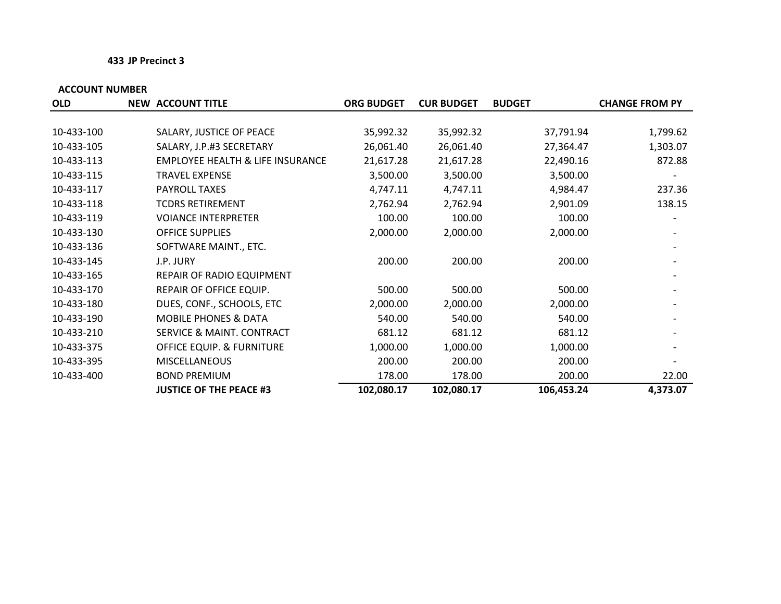## **433 JP Precinct 3**

| <b>OLD</b> | <b>NEW ACCOUNT TITLE</b>                    | <b>ORG BUDGET</b> | <b>CUR BUDGET</b> | <b>BUDGET</b> | <b>CHANGE FROM PY</b> |
|------------|---------------------------------------------|-------------------|-------------------|---------------|-----------------------|
|            |                                             |                   |                   |               |                       |
| 10-433-100 | SALARY, JUSTICE OF PEACE                    | 35,992.32         | 35,992.32         | 37,791.94     | 1,799.62              |
| 10-433-105 | SALARY, J.P.#3 SECRETARY                    | 26,061.40         | 26,061.40         | 27,364.47     | 1,303.07              |
| 10-433-113 | <b>EMPLOYEE HEALTH &amp; LIFE INSURANCE</b> | 21,617.28         | 21,617.28         | 22,490.16     | 872.88                |
| 10-433-115 | <b>TRAVEL EXPENSE</b>                       | 3,500.00          | 3,500.00          | 3,500.00      |                       |
| 10-433-117 | PAYROLL TAXES                               | 4,747.11          | 4,747.11          | 4,984.47      | 237.36                |
| 10-433-118 | <b>TCDRS RETIREMENT</b>                     | 2,762.94          | 2,762.94          | 2,901.09      | 138.15                |
| 10-433-119 | <b>VOIANCE INTERPRETER</b>                  | 100.00            | 100.00            | 100.00        |                       |
| 10-433-130 | <b>OFFICE SUPPLIES</b>                      | 2,000.00          | 2,000.00          | 2,000.00      |                       |
| 10-433-136 | SOFTWARE MAINT., ETC.                       |                   |                   |               |                       |
| 10-433-145 | J.P. JURY                                   | 200.00            | 200.00            | 200.00        |                       |
| 10-433-165 | REPAIR OF RADIO EQUIPMENT                   |                   |                   |               |                       |
| 10-433-170 | REPAIR OF OFFICE EQUIP.                     | 500.00            | 500.00            | 500.00        |                       |
| 10-433-180 | DUES, CONF., SCHOOLS, ETC                   | 2,000.00          | 2,000.00          | 2,000.00      |                       |
| 10-433-190 | <b>MOBILE PHONES &amp; DATA</b>             | 540.00            | 540.00            | 540.00        |                       |
| 10-433-210 | SERVICE & MAINT. CONTRACT                   | 681.12            | 681.12            | 681.12        |                       |
| 10-433-375 | <b>OFFICE EQUIP. &amp; FURNITURE</b>        | 1,000.00          | 1,000.00          | 1,000.00      |                       |
| 10-433-395 | <b>MISCELLANEOUS</b>                        | 200.00            | 200.00            | 200.00        |                       |
| 10-433-400 | <b>BOND PREMIUM</b>                         | 178.00            | 178.00            | 200.00        | 22.00                 |
|            | <b>JUSTICE OF THE PEACE #3</b>              | 102,080.17        | 102,080.17        | 106,453.24    | 4,373.07              |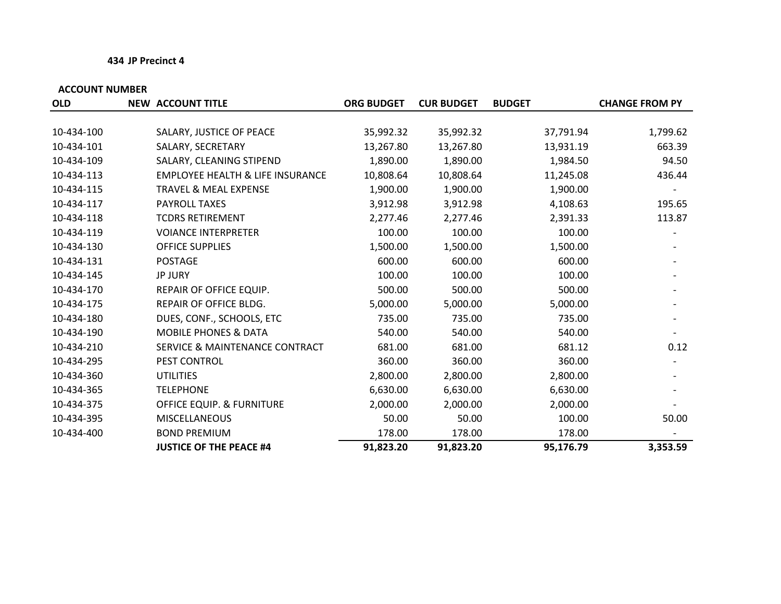## **434 JP Precinct 4**

| <b>OLD</b> | <b>NEW ACCOUNT TITLE</b>                    | <b>ORG BUDGET</b> | <b>CUR BUDGET</b> | <b>BUDGET</b> | <b>CHANGE FROM PY</b> |
|------------|---------------------------------------------|-------------------|-------------------|---------------|-----------------------|
|            |                                             |                   |                   |               |                       |
| 10-434-100 | SALARY, JUSTICE OF PEACE                    | 35,992.32         | 35,992.32         | 37,791.94     | 1,799.62              |
| 10-434-101 | SALARY, SECRETARY                           | 13,267.80         | 13,267.80         | 13,931.19     | 663.39                |
| 10-434-109 | SALARY, CLEANING STIPEND                    | 1,890.00          | 1,890.00          | 1,984.50      | 94.50                 |
| 10-434-113 | <b>EMPLOYEE HEALTH &amp; LIFE INSURANCE</b> | 10,808.64         | 10,808.64         | 11,245.08     | 436.44                |
| 10-434-115 | <b>TRAVEL &amp; MEAL EXPENSE</b>            | 1,900.00          | 1,900.00          | 1,900.00      |                       |
| 10-434-117 | PAYROLL TAXES                               | 3,912.98          | 3,912.98          | 4,108.63      | 195.65                |
| 10-434-118 | <b>TCDRS RETIREMENT</b>                     | 2,277.46          | 2,277.46          | 2,391.33      | 113.87                |
| 10-434-119 | <b>VOIANCE INTERPRETER</b>                  | 100.00            | 100.00            | 100.00        |                       |
| 10-434-130 | <b>OFFICE SUPPLIES</b>                      | 1,500.00          | 1,500.00          | 1,500.00      |                       |
| 10-434-131 | <b>POSTAGE</b>                              | 600.00            | 600.00            | 600.00        |                       |
| 10-434-145 | <b>JP JURY</b>                              | 100.00            | 100.00            | 100.00        |                       |
| 10-434-170 | REPAIR OF OFFICE EQUIP.                     | 500.00            | 500.00            | 500.00        |                       |
| 10-434-175 | REPAIR OF OFFICE BLDG.                      | 5,000.00          | 5,000.00          | 5,000.00      |                       |
| 10-434-180 | DUES, CONF., SCHOOLS, ETC                   | 735.00            | 735.00            | 735.00        |                       |
| 10-434-190 | <b>MOBILE PHONES &amp; DATA</b>             | 540.00            | 540.00            | 540.00        |                       |
| 10-434-210 | <b>SERVICE &amp; MAINTENANCE CONTRACT</b>   | 681.00            | 681.00            | 681.12        | 0.12                  |
| 10-434-295 | PEST CONTROL                                | 360.00            | 360.00            | 360.00        |                       |
| 10-434-360 | <b>UTILITIES</b>                            | 2,800.00          | 2,800.00          | 2,800.00      |                       |
| 10-434-365 | <b>TELEPHONE</b>                            | 6,630.00          | 6,630.00          | 6,630.00      |                       |
| 10-434-375 | <b>OFFICE EQUIP. &amp; FURNITURE</b>        | 2,000.00          | 2,000.00          | 2,000.00      |                       |
| 10-434-395 | <b>MISCELLANEOUS</b>                        | 50.00             | 50.00             | 100.00        | 50.00                 |
| 10-434-400 | <b>BOND PREMIUM</b>                         | 178.00            | 178.00            | 178.00        |                       |
|            | <b>JUSTICE OF THE PEACE #4</b>              | 91,823.20         | 91,823.20         | 95,176.79     | 3,353.59              |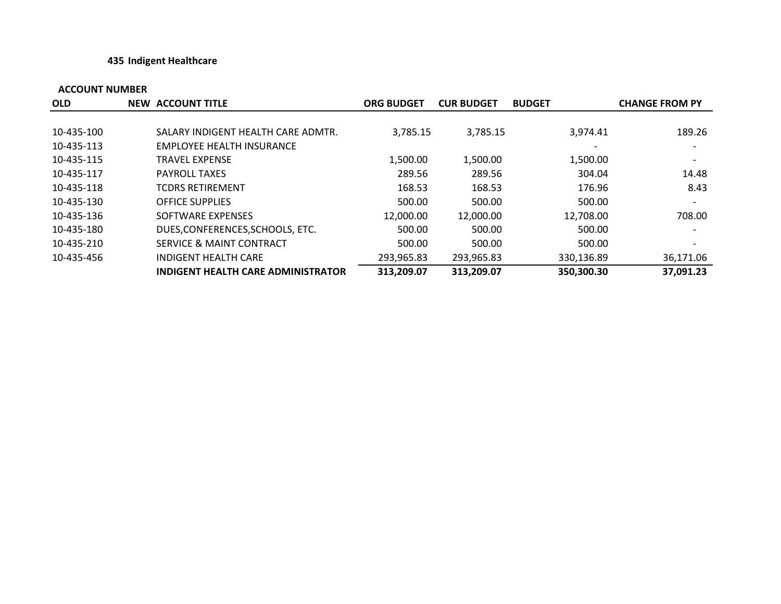## **435 Indigent Healthcare**

| <b>OLD</b> | <b>NEW ACCOUNT TITLE</b>                  | <b>ORG BUDGET</b> | <b>CUR BUDGET</b> | <b>BUDGET</b> | <b>CHANGE FROM PY</b> |
|------------|-------------------------------------------|-------------------|-------------------|---------------|-----------------------|
|            |                                           |                   |                   |               |                       |
| 10-435-100 | SALARY INDIGENT HEALTH CARE ADMTR.        | 3,785.15          | 3,785.15          | 3.974.41      | 189.26                |
| 10-435-113 | <b>EMPLOYEE HEALTH INSURANCE</b>          |                   |                   |               |                       |
| 10-435-115 | <b>TRAVEL EXPENSE</b>                     | 1,500.00          | 1,500.00          | 1,500.00      |                       |
| 10-435-117 | <b>PAYROLL TAXES</b>                      | 289.56            | 289.56            | 304.04        | 14.48                 |
| 10-435-118 | <b>TCDRS RETIREMENT</b>                   | 168.53            | 168.53            | 176.96        | 8.43                  |
| 10-435-130 | <b>OFFICE SUPPLIES</b>                    | 500.00            | 500.00            | 500.00        |                       |
| 10-435-136 | SOFTWARE EXPENSES                         | 12,000.00         | 12,000.00         | 12,708.00     | 708.00                |
| 10-435-180 | DUES, CONFERENCES, SCHOOLS, ETC.          | 500.00            | 500.00            | 500.00        |                       |
| 10-435-210 | SERVICE & MAINT CONTRACT                  | 500.00            | 500.00            | 500.00        |                       |
| 10-435-456 | INDIGENT HEALTH CARE                      | 293,965.83        | 293,965.83        | 330,136.89    | 36,171.06             |
|            | <b>INDIGENT HEALTH CARE ADMINISTRATOR</b> | 313,209.07        | 313,209.07        | 350,300.30    | 37,091.23             |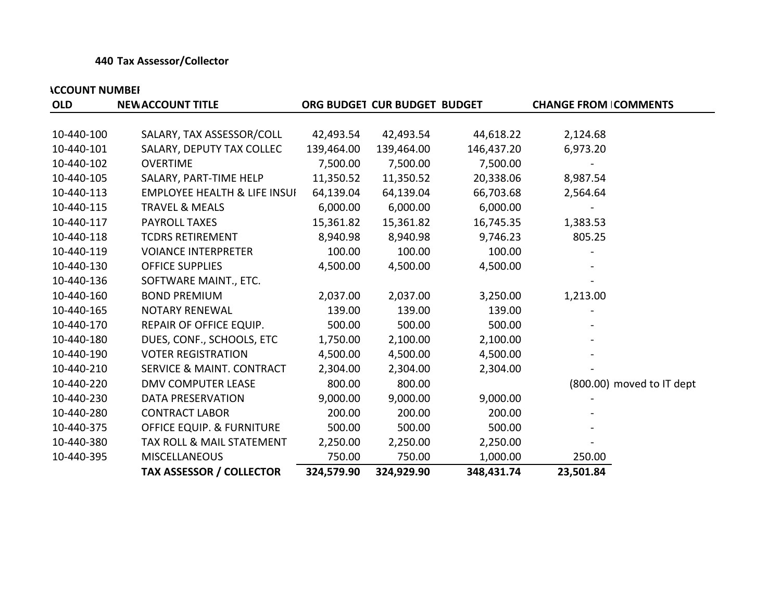## **440 Tax Assessor/Collector**

| <b>OLD</b> | <b>NEW ACCOUNT TITLE</b>                |            | ORG BUDGET CUR BUDGET BUDGET |            | <b>CHANGE FROM COMMENTS</b> |
|------------|-----------------------------------------|------------|------------------------------|------------|-----------------------------|
|            |                                         |            |                              |            |                             |
| 10-440-100 | SALARY, TAX ASSESSOR/COLL               | 42,493.54  | 42,493.54                    | 44,618.22  | 2,124.68                    |
| 10-440-101 | SALARY, DEPUTY TAX COLLEC               | 139,464.00 | 139,464.00                   | 146,437.20 | 6,973.20                    |
| 10-440-102 | <b>OVERTIME</b>                         | 7,500.00   | 7,500.00                     | 7,500.00   |                             |
| 10-440-105 | SALARY, PART-TIME HELP                  | 11,350.52  | 11,350.52                    | 20,338.06  | 8,987.54                    |
| 10-440-113 | <b>EMPLOYEE HEALTH &amp; LIFE INSUI</b> | 64,139.04  | 64,139.04                    | 66,703.68  | 2,564.64                    |
| 10-440-115 | <b>TRAVEL &amp; MEALS</b>               | 6,000.00   | 6,000.00                     | 6,000.00   |                             |
| 10-440-117 | <b>PAYROLL TAXES</b>                    | 15,361.82  | 15,361.82                    | 16,745.35  | 1,383.53                    |
| 10-440-118 | <b>TCDRS RETIREMENT</b>                 | 8,940.98   | 8,940.98                     | 9,746.23   | 805.25                      |
| 10-440-119 | <b>VOIANCE INTERPRETER</b>              | 100.00     | 100.00                       | 100.00     |                             |
| 10-440-130 | <b>OFFICE SUPPLIES</b>                  | 4,500.00   | 4,500.00                     | 4,500.00   |                             |
| 10-440-136 | SOFTWARE MAINT., ETC.                   |            |                              |            |                             |
| 10-440-160 | <b>BOND PREMIUM</b>                     | 2,037.00   | 2,037.00                     | 3,250.00   | 1,213.00                    |
| 10-440-165 | <b>NOTARY RENEWAL</b>                   | 139.00     | 139.00                       | 139.00     |                             |
| 10-440-170 | REPAIR OF OFFICE EQUIP.                 | 500.00     | 500.00                       | 500.00     |                             |
| 10-440-180 | DUES, CONF., SCHOOLS, ETC               | 1,750.00   | 2,100.00                     | 2,100.00   |                             |
| 10-440-190 | <b>VOTER REGISTRATION</b>               | 4,500.00   | 4,500.00                     | 4,500.00   |                             |
| 10-440-210 | <b>SERVICE &amp; MAINT. CONTRACT</b>    | 2,304.00   | 2,304.00                     | 2,304.00   |                             |
| 10-440-220 | <b>DMV COMPUTER LEASE</b>               | 800.00     | 800.00                       |            | (800.00) moved to IT dept   |
| 10-440-230 | DATA PRESERVATION                       | 9,000.00   | 9,000.00                     | 9,000.00   |                             |
| 10-440-280 | <b>CONTRACT LABOR</b>                   | 200.00     | 200.00                       | 200.00     |                             |
| 10-440-375 | <b>OFFICE EQUIP. &amp; FURNITURE</b>    | 500.00     | 500.00                       | 500.00     |                             |
| 10-440-380 | TAX ROLL & MAIL STATEMENT               | 2,250.00   | 2,250.00                     | 2,250.00   |                             |
| 10-440-395 | <b>MISCELLANEOUS</b>                    | 750.00     | 750.00                       | 1,000.00   | 250.00                      |
|            | <b>TAX ASSESSOR / COLLECTOR</b>         | 324,579.90 | 324,929.90                   | 348,431.74 | 23,501.84                   |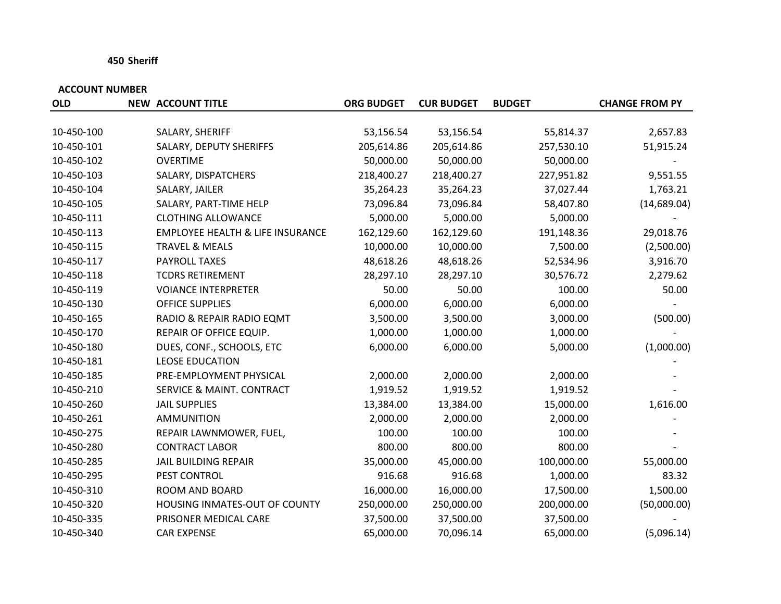## **450 Sheriff**

| <b>OLD</b> | <b>NEW ACCOUNT TITLE</b>                    | <b>ORG BUDGET</b> | <b>CUR BUDGET</b> | <b>BUDGET</b> | <b>CHANGE FROM PY</b> |
|------------|---------------------------------------------|-------------------|-------------------|---------------|-----------------------|
|            |                                             |                   |                   |               |                       |
| 10-450-100 | SALARY, SHERIFF                             | 53,156.54         | 53,156.54         | 55,814.37     | 2,657.83              |
| 10-450-101 | SALARY, DEPUTY SHERIFFS                     | 205,614.86        | 205,614.86        | 257,530.10    | 51,915.24             |
| 10-450-102 | <b>OVERTIME</b>                             | 50,000.00         | 50,000.00         | 50,000.00     |                       |
| 10-450-103 | SALARY, DISPATCHERS                         | 218,400.27        | 218,400.27        | 227,951.82    | 9,551.55              |
| 10-450-104 | SALARY, JAILER                              | 35,264.23         | 35,264.23         | 37,027.44     | 1,763.21              |
| 10-450-105 | SALARY, PART-TIME HELP                      | 73,096.84         | 73,096.84         | 58,407.80     | (14,689.04)           |
| 10-450-111 | <b>CLOTHING ALLOWANCE</b>                   | 5,000.00          | 5,000.00          | 5,000.00      |                       |
| 10-450-113 | <b>EMPLOYEE HEALTH &amp; LIFE INSURANCE</b> | 162,129.60        | 162,129.60        | 191,148.36    | 29,018.76             |
| 10-450-115 | <b>TRAVEL &amp; MEALS</b>                   | 10,000.00         | 10,000.00         | 7,500.00      | (2,500.00)            |
| 10-450-117 | PAYROLL TAXES                               | 48,618.26         | 48,618.26         | 52,534.96     | 3,916.70              |
| 10-450-118 | <b>TCDRS RETIREMENT</b>                     | 28,297.10         | 28,297.10         | 30,576.72     | 2,279.62              |
| 10-450-119 | <b>VOIANCE INTERPRETER</b>                  | 50.00             | 50.00             | 100.00        | 50.00                 |
| 10-450-130 | <b>OFFICE SUPPLIES</b>                      | 6,000.00          | 6,000.00          | 6,000.00      |                       |
| 10-450-165 | RADIO & REPAIR RADIO EQMT                   | 3,500.00          | 3,500.00          | 3,000.00      | (500.00)              |
| 10-450-170 | REPAIR OF OFFICE EQUIP.                     | 1,000.00          | 1,000.00          | 1,000.00      |                       |
| 10-450-180 | DUES, CONF., SCHOOLS, ETC                   | 6,000.00          | 6,000.00          | 5,000.00      | (1,000.00)            |
| 10-450-181 | <b>LEOSE EDUCATION</b>                      |                   |                   |               |                       |
| 10-450-185 | PRE-EMPLOYMENT PHYSICAL                     | 2,000.00          | 2,000.00          | 2,000.00      |                       |
| 10-450-210 | SERVICE & MAINT. CONTRACT                   | 1,919.52          | 1,919.52          | 1,919.52      |                       |
| 10-450-260 | <b>JAIL SUPPLIES</b>                        | 13,384.00         | 13,384.00         | 15,000.00     | 1,616.00              |
| 10-450-261 | <b>AMMUNITION</b>                           | 2,000.00          | 2,000.00          | 2,000.00      |                       |
| 10-450-275 | REPAIR LAWNMOWER, FUEL,                     | 100.00            | 100.00            | 100.00        |                       |
| 10-450-280 | <b>CONTRACT LABOR</b>                       | 800.00            | 800.00            | 800.00        |                       |
| 10-450-285 | <b>JAIL BUILDING REPAIR</b>                 | 35,000.00         | 45,000.00         | 100,000.00    | 55,000.00             |
| 10-450-295 | PEST CONTROL                                | 916.68            | 916.68            | 1,000.00      | 83.32                 |
| 10-450-310 | ROOM AND BOARD                              | 16,000.00         | 16,000.00         | 17,500.00     | 1,500.00              |
| 10-450-320 | HOUSING INMATES-OUT OF COUNTY               | 250,000.00        | 250,000.00        | 200,000.00    | (50,000.00)           |
| 10-450-335 | PRISONER MEDICAL CARE                       | 37,500.00         | 37,500.00         | 37,500.00     |                       |
| 10-450-340 | <b>CAR EXPENSE</b>                          | 65,000.00         | 70,096.14         | 65,000.00     | (5,096.14)            |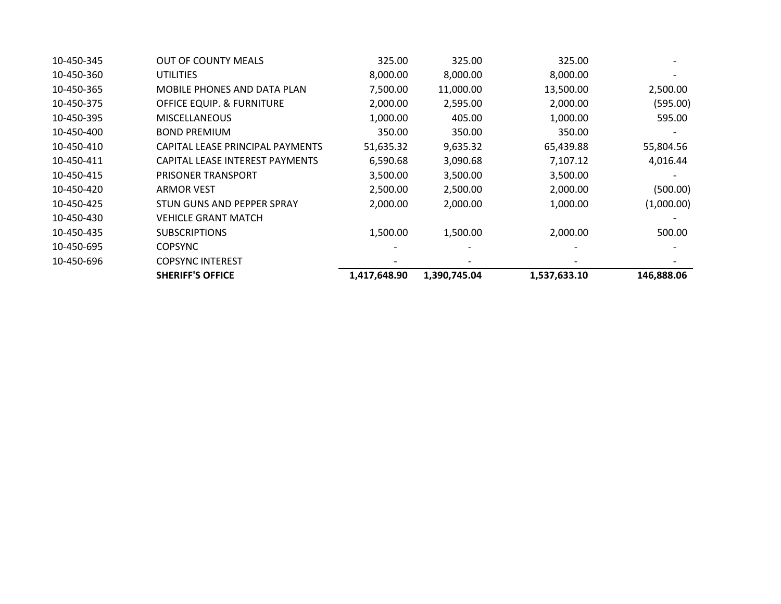|            | <b>SHERIFF'S OFFICE</b>              | 1,417,648.90 | 1,390,745.04 | 1,537,633.10 | 146,888.06 |
|------------|--------------------------------------|--------------|--------------|--------------|------------|
| 10-450-696 | <b>COPSYNC INTEREST</b>              |              |              |              |            |
| 10-450-695 | <b>COPSYNC</b>                       |              |              |              |            |
| 10-450-435 | <b>SUBSCRIPTIONS</b>                 | 1,500.00     | 1,500.00     | 2,000.00     | 500.00     |
| 10-450-430 | VEHICLE GRANT MATCH                  |              |              |              |            |
| 10-450-425 | STUN GUNS AND PEPPER SPRAY           | 2,000.00     | 2,000.00     | 1,000.00     | (1,000.00) |
| 10-450-420 | <b>ARMOR VEST</b>                    | 2,500.00     | 2,500.00     | 2,000.00     | (500.00)   |
| 10-450-415 | PRISONER TRANSPORT                   | 3,500.00     | 3,500.00     | 3,500.00     |            |
| 10-450-411 | CAPITAL LEASE INTEREST PAYMENTS      | 6,590.68     | 3,090.68     | 7,107.12     | 4,016.44   |
| 10-450-410 | CAPITAL LEASE PRINCIPAL PAYMENTS     | 51,635.32    | 9,635.32     | 65,439.88    | 55,804.56  |
| 10-450-400 | <b>BOND PREMIUM</b>                  | 350.00       | 350.00       | 350.00       |            |
| 10-450-395 | <b>MISCELLANEOUS</b>                 | 1,000.00     | 405.00       | 1,000.00     | 595.00     |
| 10-450-375 | <b>OFFICE EQUIP. &amp; FURNITURE</b> | 2,000.00     | 2,595.00     | 2,000.00     | (595.00)   |
| 10-450-365 | MOBILE PHONES AND DATA PLAN          | 7,500.00     | 11,000.00    | 13,500.00    | 2,500.00   |
| 10-450-360 | <b>UTILITIES</b>                     | 8,000.00     | 8,000.00     | 8,000.00     |            |
| 10-450-345 | <b>OUT OF COUNTY MEALS</b>           | 325.00       | 325.00       | 325.00       |            |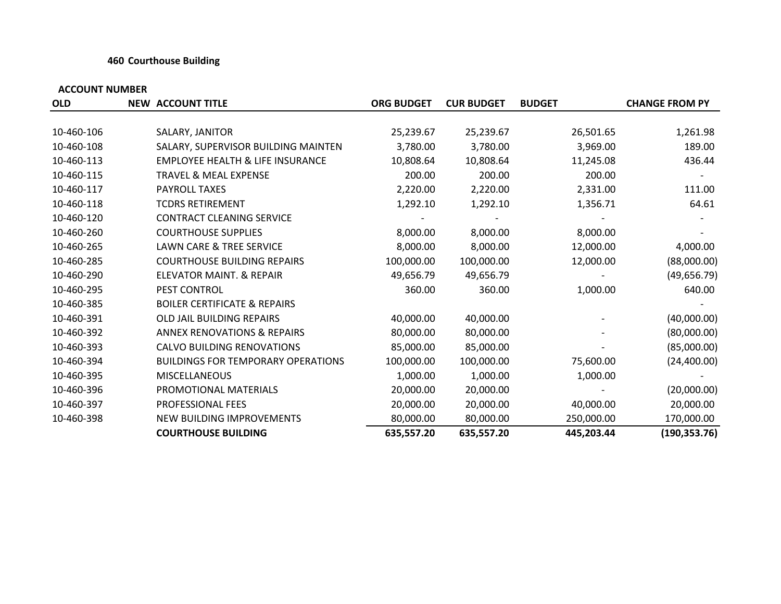## **460 Courthouse Building**

| <b>OLD</b> | <b>NEW ACCOUNT TITLE</b>                    | <b>ORG BUDGET</b> | <b>CUR BUDGET</b> | <b>BUDGET</b> | <b>CHANGE FROM PY</b> |
|------------|---------------------------------------------|-------------------|-------------------|---------------|-----------------------|
|            |                                             |                   |                   |               |                       |
| 10-460-106 | SALARY, JANITOR                             | 25,239.67         | 25,239.67         | 26,501.65     | 1,261.98              |
| 10-460-108 | SALARY, SUPERVISOR BUILDING MAINTEN         | 3,780.00          | 3,780.00          | 3,969.00      | 189.00                |
| 10-460-113 | <b>EMPLOYEE HEALTH &amp; LIFE INSURANCE</b> | 10,808.64         | 10,808.64         | 11,245.08     | 436.44                |
| 10-460-115 | <b>TRAVEL &amp; MEAL EXPENSE</b>            | 200.00            | 200.00            | 200.00        |                       |
| 10-460-117 | <b>PAYROLL TAXES</b>                        | 2,220.00          | 2,220.00          | 2,331.00      | 111.00                |
| 10-460-118 | <b>TCDRS RETIREMENT</b>                     | 1,292.10          | 1,292.10          | 1,356.71      | 64.61                 |
| 10-460-120 | <b>CONTRACT CLEANING SERVICE</b>            |                   |                   |               |                       |
| 10-460-260 | <b>COURTHOUSE SUPPLIES</b>                  | 8,000.00          | 8,000.00          | 8,000.00      |                       |
| 10-460-265 | <b>LAWN CARE &amp; TREE SERVICE</b>         | 8,000.00          | 8,000.00          | 12,000.00     | 4,000.00              |
| 10-460-285 | <b>COURTHOUSE BUILDING REPAIRS</b>          | 100,000.00        | 100,000.00        | 12,000.00     | (88,000.00)           |
| 10-460-290 | ELEVATOR MAINT. & REPAIR                    | 49,656.79         | 49,656.79         |               | (49, 656.79)          |
| 10-460-295 | PEST CONTROL                                | 360.00            | 360.00            | 1,000.00      | 640.00                |
| 10-460-385 | <b>BOILER CERTIFICATE &amp; REPAIRS</b>     |                   |                   |               |                       |
| 10-460-391 | <b>OLD JAIL BUILDING REPAIRS</b>            | 40,000.00         | 40,000.00         |               | (40,000.00)           |
| 10-460-392 | <b>ANNEX RENOVATIONS &amp; REPAIRS</b>      | 80,000.00         | 80,000.00         |               | (80,000.00)           |
| 10-460-393 | CALVO BUILDING RENOVATIONS                  | 85,000.00         | 85,000.00         |               | (85,000.00)           |
| 10-460-394 | <b>BUILDINGS FOR TEMPORARY OPERATIONS</b>   | 100,000.00        | 100,000.00        | 75,600.00     | (24,400.00)           |
| 10-460-395 | <b>MISCELLANEOUS</b>                        | 1,000.00          | 1,000.00          | 1,000.00      |                       |
| 10-460-396 | PROMOTIONAL MATERIALS                       | 20,000.00         | 20,000.00         |               | (20,000.00)           |
| 10-460-397 | PROFESSIONAL FEES                           | 20,000.00         | 20,000.00         | 40,000.00     | 20,000.00             |
| 10-460-398 | NEW BUILDING IMPROVEMENTS                   | 80,000.00         | 80,000.00         | 250,000.00    | 170,000.00            |
|            | <b>COURTHOUSE BUILDING</b>                  | 635,557.20        | 635,557.20        | 445,203.44    | (190, 353.76)         |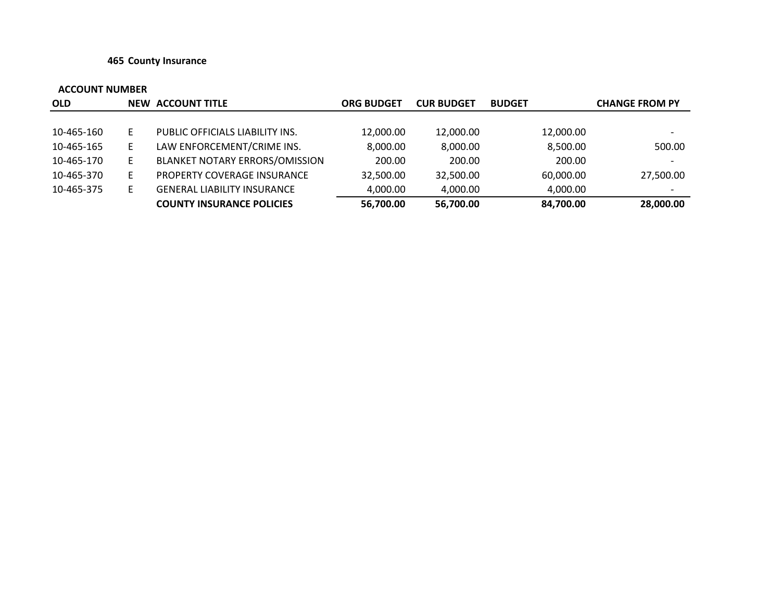## **465 County Insurance**

| <b>OLD</b> |    | <b>NEW ACCOUNT TITLE</b>           | <b>ORG BUDGET</b> | <b>CUR BUDGET</b> | <b>BUDGET</b> | <b>CHANGE FROM PY</b>    |
|------------|----|------------------------------------|-------------------|-------------------|---------------|--------------------------|
|            |    |                                    |                   |                   |               |                          |
| 10-465-160 | E. | PUBLIC OFFICIALS LIABILITY INS.    | 12,000.00         | 12,000.00         | 12,000.00     | $\overline{\phantom{0}}$ |
| 10-465-165 | E. | LAW ENFORCEMENT/CRIME INS.         | 8,000.00          | 8,000.00          | 8,500.00      | 500.00                   |
| 10-465-170 | Е  | BLANKET NOTARY ERRORS/OMISSION     | 200.00            | 200.00            | 200.00        | $\overline{\phantom{0}}$ |
| 10-465-370 | Е  | PROPERTY COVERAGE INSURANCE        | 32,500.00         | 32,500.00         | 60,000.00     | 27,500.00                |
| 10-465-375 | Е  | <b>GENERAL LIABILITY INSURANCE</b> | 4,000.00          | 4,000.00          | 4,000.00      | $\overline{\phantom{0}}$ |
|            |    | <b>COUNTY INSURANCE POLICIES</b>   | 56,700.00         | 56,700.00         | 84,700.00     | 28,000.00                |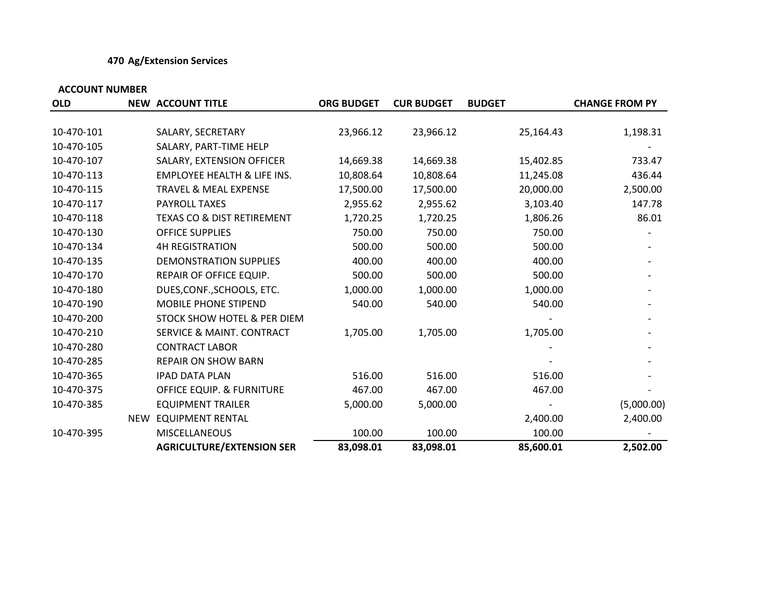## **470 Ag/Extension Services**

| <b>OLD</b> | <b>NEW ACCOUNT TITLE</b>               | <b>ORG BUDGET</b> | <b>CUR BUDGET</b> | <b>BUDGET</b> | <b>CHANGE FROM PY</b> |
|------------|----------------------------------------|-------------------|-------------------|---------------|-----------------------|
|            |                                        |                   |                   |               |                       |
| 10-470-101 | SALARY, SECRETARY                      | 23,966.12         | 23,966.12         | 25,164.43     | 1,198.31              |
| 10-470-105 | SALARY, PART-TIME HELP                 |                   |                   |               |                       |
| 10-470-107 | SALARY, EXTENSION OFFICER              | 14,669.38         | 14,669.38         | 15,402.85     | 733.47                |
| 10-470-113 | <b>EMPLOYEE HEALTH &amp; LIFE INS.</b> | 10,808.64         | 10,808.64         | 11,245.08     | 436.44                |
| 10-470-115 | <b>TRAVEL &amp; MEAL EXPENSE</b>       | 17,500.00         | 17,500.00         | 20,000.00     | 2,500.00              |
| 10-470-117 | PAYROLL TAXES                          | 2,955.62          | 2,955.62          | 3,103.40      | 147.78                |
| 10-470-118 | <b>TEXAS CO &amp; DIST RETIREMENT</b>  | 1,720.25          | 1,720.25          | 1,806.26      | 86.01                 |
| 10-470-130 | <b>OFFICE SUPPLIES</b>                 | 750.00            | 750.00            | 750.00        |                       |
| 10-470-134 | <b>4H REGISTRATION</b>                 | 500.00            | 500.00            | 500.00        |                       |
| 10-470-135 | <b>DEMONSTRATION SUPPLIES</b>          | 400.00            | 400.00            | 400.00        |                       |
| 10-470-170 | REPAIR OF OFFICE EQUIP.                | 500.00            | 500.00            | 500.00        |                       |
| 10-470-180 | DUES, CONF., SCHOOLS, ETC.             | 1,000.00          | 1,000.00          | 1,000.00      |                       |
| 10-470-190 | MOBILE PHONE STIPEND                   | 540.00            | 540.00            | 540.00        |                       |
| 10-470-200 | <b>STOCK SHOW HOTEL &amp; PER DIEM</b> |                   |                   |               |                       |
| 10-470-210 | <b>SERVICE &amp; MAINT. CONTRACT</b>   | 1,705.00          | 1,705.00          | 1,705.00      |                       |
| 10-470-280 | <b>CONTRACT LABOR</b>                  |                   |                   |               |                       |
| 10-470-285 | <b>REPAIR ON SHOW BARN</b>             |                   |                   |               |                       |
| 10-470-365 | <b>IPAD DATA PLAN</b>                  | 516.00            | 516.00            | 516.00        |                       |
| 10-470-375 | OFFICE EQUIP. & FURNITURE              | 467.00            | 467.00            | 467.00        |                       |
| 10-470-385 | <b>EQUIPMENT TRAILER</b>               | 5,000.00          | 5,000.00          |               | (5,000.00)            |
|            | NEW EQUIPMENT RENTAL                   |                   |                   | 2,400.00      | 2,400.00              |
| 10-470-395 | <b>MISCELLANEOUS</b>                   | 100.00            | 100.00            | 100.00        |                       |
|            | <b>AGRICULTURE/EXTENSION SER</b>       | 83,098.01         | 83,098.01         | 85,600.01     | 2,502.00              |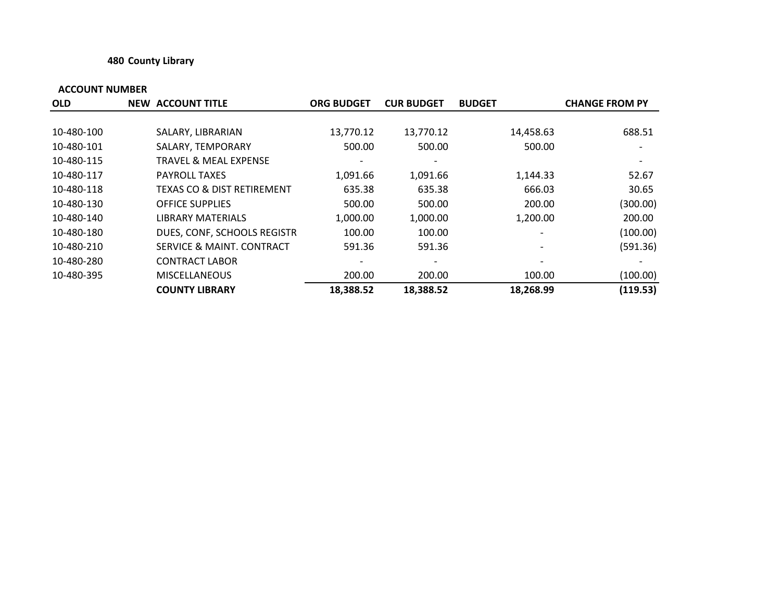## **480 County Library**

| <b>OLD</b> | <b>NEW ACCOUNT TITLE</b>         | <b>ORG BUDGET</b> | <b>CUR BUDGET</b> | <b>BUDGET</b> | <b>CHANGE FROM PY</b> |
|------------|----------------------------------|-------------------|-------------------|---------------|-----------------------|
|            |                                  |                   |                   |               |                       |
| 10-480-100 | SALARY, LIBRARIAN                | 13,770.12         | 13,770.12         | 14,458.63     | 688.51                |
| 10-480-101 | SALARY, TEMPORARY                | 500.00            | 500.00            | 500.00        |                       |
| 10-480-115 | <b>TRAVEL &amp; MEAL EXPENSE</b> |                   |                   |               |                       |
| 10-480-117 | <b>PAYROLL TAXES</b>             | 1,091.66          | 1,091.66          | 1,144.33      | 52.67                 |
| 10-480-118 | TEXAS CO & DIST RETIREMENT       | 635.38            | 635.38            | 666.03        | 30.65                 |
| 10-480-130 | <b>OFFICE SUPPLIES</b>           | 500.00            | 500.00            | 200.00        | (300.00)              |
| 10-480-140 | <b>LIBRARY MATERIALS</b>         | 1,000.00          | 1,000.00          | 1,200.00      | 200.00                |
| 10-480-180 | DUES, CONF, SCHOOLS REGISTR      | 100.00            | 100.00            |               | (100.00)              |
| 10-480-210 | SERVICE & MAINT. CONTRACT        | 591.36            | 591.36            |               | (591.36)              |
| 10-480-280 | <b>CONTRACT LABOR</b>            |                   |                   |               |                       |
| 10-480-395 | <b>MISCELLANEOUS</b>             | 200.00            | 200.00            | 100.00        | (100.00)              |
|            | <b>COUNTY LIBRARY</b>            | 18,388.52         | 18,388.52         | 18,268.99     | (119.53)              |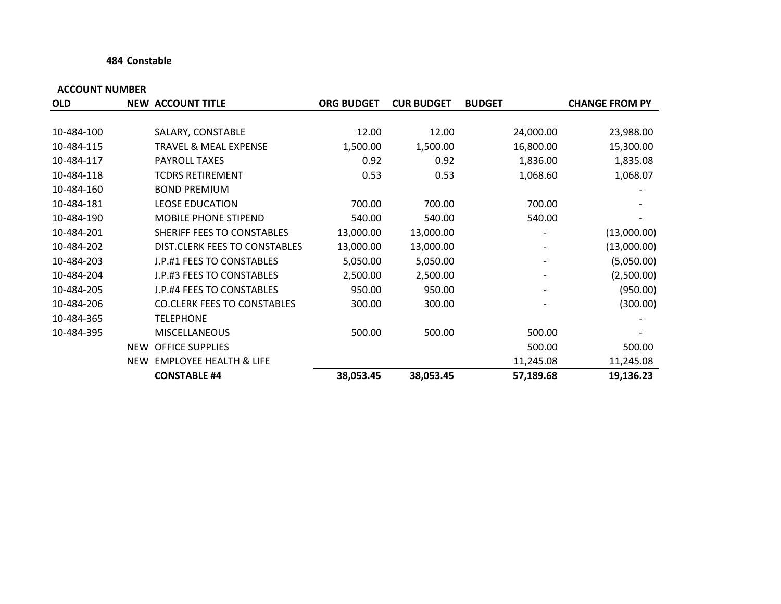## **484 Constable**

| <b>OLD</b> |     | <b>NEW ACCOUNT TITLE</b>           | <b>ORG BUDGET</b> | <b>CUR BUDGET</b> | <b>BUDGET</b> | <b>CHANGE FROM PY</b> |
|------------|-----|------------------------------------|-------------------|-------------------|---------------|-----------------------|
|            |     |                                    |                   |                   |               |                       |
| 10-484-100 |     | SALARY, CONSTABLE                  | 12.00             | 12.00             | 24,000.00     | 23,988.00             |
| 10-484-115 |     | <b>TRAVEL &amp; MEAL EXPENSE</b>   | 1,500.00          | 1,500.00          | 16,800.00     | 15,300.00             |
| 10-484-117 |     | <b>PAYROLL TAXES</b>               | 0.92              | 0.92              | 1,836.00      | 1,835.08              |
| 10-484-118 |     | <b>TCDRS RETIREMENT</b>            | 0.53              | 0.53              | 1,068.60      | 1,068.07              |
| 10-484-160 |     | <b>BOND PREMIUM</b>                |                   |                   |               |                       |
| 10-484-181 |     | <b>LEOSE EDUCATION</b>             | 700.00            | 700.00            | 700.00        |                       |
| 10-484-190 |     | <b>MOBILE PHONE STIPEND</b>        | 540.00            | 540.00            | 540.00        |                       |
| 10-484-201 |     | SHERIFF FEES TO CONSTABLES         | 13,000.00         | 13,000.00         |               | (13,000.00)           |
| 10-484-202 |     | DIST.CLERK FEES TO CONSTABLES      | 13,000.00         | 13,000.00         |               | (13,000.00)           |
| 10-484-203 |     | J.P.#1 FEES TO CONSTABLES          | 5,050.00          | 5,050.00          |               | (5,050.00)            |
| 10-484-204 |     | J.P.#3 FEES TO CONSTABLES          | 2,500.00          | 2,500.00          |               | (2,500.00)            |
| 10-484-205 |     | J.P.#4 FEES TO CONSTABLES          | 950.00            | 950.00            |               | (950.00)              |
| 10-484-206 |     | <b>CO.CLERK FEES TO CONSTABLES</b> | 300.00            | 300.00            |               | (300.00)              |
| 10-484-365 |     | <b>TELEPHONE</b>                   |                   |                   |               |                       |
| 10-484-395 |     | <b>MISCELLANEOUS</b>               | 500.00            | 500.00            | 500.00        |                       |
|            |     | NEW OFFICE SUPPLIES                |                   |                   | 500.00        | 500.00                |
|            | NEW | <b>EMPLOYEE HEALTH &amp; LIFE</b>  |                   |                   | 11,245.08     | 11,245.08             |
|            |     | <b>CONSTABLE #4</b>                | 38,053.45         | 38,053.45         | 57,189.68     | 19,136.23             |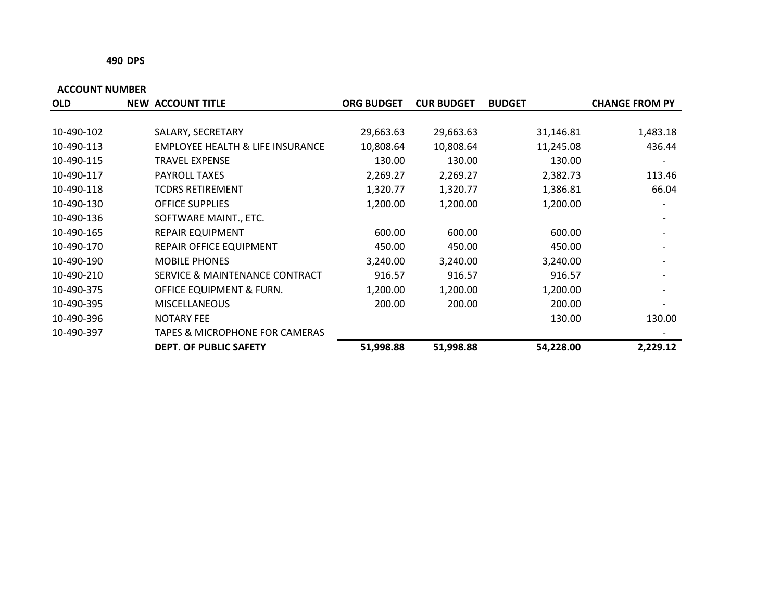#### **490 DPS**

| <b>OLD</b> | <b>NEW ACCOUNT TITLE</b>                    | <b>ORG BUDGET</b> | <b>CUR BUDGET</b> | <b>BUDGET</b> | <b>CHANGE FROM PY</b> |
|------------|---------------------------------------------|-------------------|-------------------|---------------|-----------------------|
|            |                                             |                   |                   |               |                       |
| 10-490-102 | SALARY, SECRETARY                           | 29,663.63         | 29,663.63         | 31,146.81     | 1,483.18              |
| 10-490-113 | <b>EMPLOYEE HEALTH &amp; LIFE INSURANCE</b> | 10,808.64         | 10,808.64         | 11,245.08     | 436.44                |
| 10-490-115 | <b>TRAVEL EXPENSE</b>                       | 130.00            | 130.00            | 130.00        |                       |
| 10-490-117 | <b>PAYROLL TAXES</b>                        | 2,269.27          | 2,269.27          | 2,382.73      | 113.46                |
| 10-490-118 | TCDRS RETIREMENT                            | 1,320.77          | 1,320.77          | 1,386.81      | 66.04                 |
| 10-490-130 | <b>OFFICE SUPPLIES</b>                      | 1,200.00          | 1,200.00          | 1,200.00      |                       |
| 10-490-136 | SOFTWARE MAINT., ETC.                       |                   |                   |               |                       |
| 10-490-165 | <b>REPAIR EQUIPMENT</b>                     | 600.00            | 600.00            | 600.00        |                       |
| 10-490-170 | REPAIR OFFICE EQUIPMENT                     | 450.00            | 450.00            | 450.00        |                       |
| 10-490-190 | <b>MOBILE PHONES</b>                        | 3,240.00          | 3,240.00          | 3,240.00      |                       |
| 10-490-210 | SERVICE & MAINTENANCE CONTRACT              | 916.57            | 916.57            | 916.57        |                       |
| 10-490-375 | OFFICE EQUIPMENT & FURN.                    | 1,200.00          | 1,200.00          | 1,200.00      |                       |
| 10-490-395 | <b>MISCELLANEOUS</b>                        | 200.00            | 200.00            | 200.00        |                       |
| 10-490-396 | <b>NOTARY FEE</b>                           |                   |                   | 130.00        | 130.00                |
| 10-490-397 | <b>TAPES &amp; MICROPHONE FOR CAMERAS</b>   |                   |                   |               |                       |
|            | <b>DEPT. OF PUBLIC SAFETY</b>               | 51,998.88         | 51,998.88         | 54,228.00     | 2,229.12              |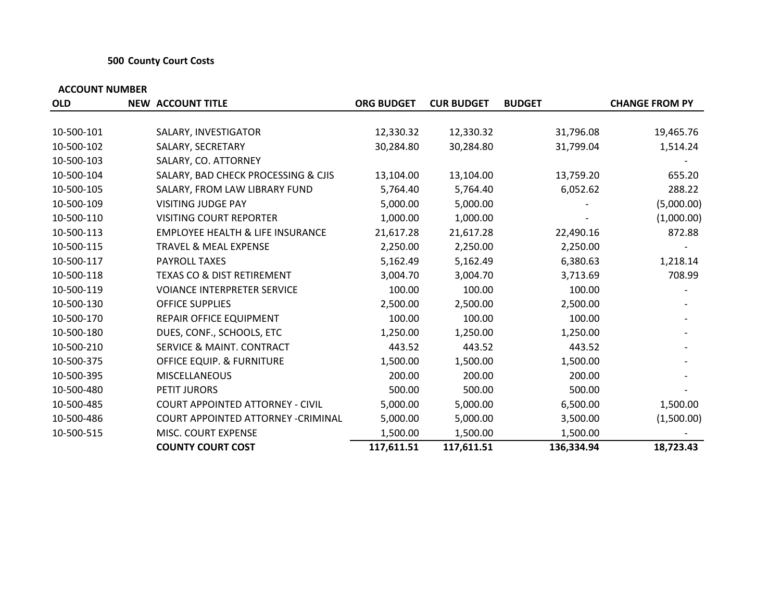## **500 County Court Costs**

| <b>OLD</b> | <b>NEW ACCOUNT TITLE</b>                    | <b>ORG BUDGET</b> | <b>CUR BUDGET</b> | <b>BUDGET</b> | <b>CHANGE FROM PY</b> |
|------------|---------------------------------------------|-------------------|-------------------|---------------|-----------------------|
|            |                                             |                   |                   |               |                       |
| 10-500-101 | SALARY, INVESTIGATOR                        | 12,330.32         | 12,330.32         | 31,796.08     | 19,465.76             |
| 10-500-102 | SALARY, SECRETARY                           | 30,284.80         | 30,284.80         | 31,799.04     | 1,514.24              |
| 10-500-103 | SALARY, CO. ATTORNEY                        |                   |                   |               |                       |
| 10-500-104 | SALARY, BAD CHECK PROCESSING & CJIS         | 13,104.00         | 13,104.00         | 13,759.20     | 655.20                |
| 10-500-105 | SALARY, FROM LAW LIBRARY FUND               | 5,764.40          | 5,764.40          | 6,052.62      | 288.22                |
| 10-500-109 | <b>VISITING JUDGE PAY</b>                   | 5,000.00          | 5,000.00          |               | (5,000.00)            |
| 10-500-110 | <b>VISITING COURT REPORTER</b>              | 1,000.00          | 1,000.00          |               | (1,000.00)            |
| 10-500-113 | <b>EMPLOYEE HEALTH &amp; LIFE INSURANCE</b> | 21,617.28         | 21,617.28         | 22,490.16     | 872.88                |
| 10-500-115 | <b>TRAVEL &amp; MEAL EXPENSE</b>            | 2,250.00          | 2,250.00          | 2,250.00      |                       |
| 10-500-117 | <b>PAYROLL TAXES</b>                        | 5,162.49          | 5,162.49          | 6,380.63      | 1,218.14              |
| 10-500-118 | <b>TEXAS CO &amp; DIST RETIREMENT</b>       | 3,004.70          | 3,004.70          | 3,713.69      | 708.99                |
| 10-500-119 | <b>VOIANCE INTERPRETER SERVICE</b>          | 100.00            | 100.00            | 100.00        |                       |
| 10-500-130 | <b>OFFICE SUPPLIES</b>                      | 2,500.00          | 2,500.00          | 2,500.00      |                       |
| 10-500-170 | REPAIR OFFICE EQUIPMENT                     | 100.00            | 100.00            | 100.00        |                       |
| 10-500-180 | DUES, CONF., SCHOOLS, ETC                   | 1,250.00          | 1,250.00          | 1,250.00      |                       |
| 10-500-210 | <b>SERVICE &amp; MAINT. CONTRACT</b>        | 443.52            | 443.52            | 443.52        |                       |
| 10-500-375 | OFFICE EQUIP. & FURNITURE                   | 1,500.00          | 1,500.00          | 1,500.00      |                       |
| 10-500-395 | <b>MISCELLANEOUS</b>                        | 200.00            | 200.00            | 200.00        |                       |
| 10-500-480 | PETIT JURORS                                | 500.00            | 500.00            | 500.00        |                       |
| 10-500-485 | <b>COURT APPOINTED ATTORNEY - CIVIL</b>     | 5,000.00          | 5,000.00          | 6,500.00      | 1,500.00              |
| 10-500-486 | COURT APPOINTED ATTORNEY - CRIMINAL         | 5,000.00          | 5,000.00          | 3,500.00      | (1,500.00)            |
| 10-500-515 | MISC. COURT EXPENSE                         | 1,500.00          | 1,500.00          | 1,500.00      |                       |
|            | <b>COUNTY COURT COST</b>                    | 117,611.51        | 117,611.51        | 136,334.94    | 18,723.43             |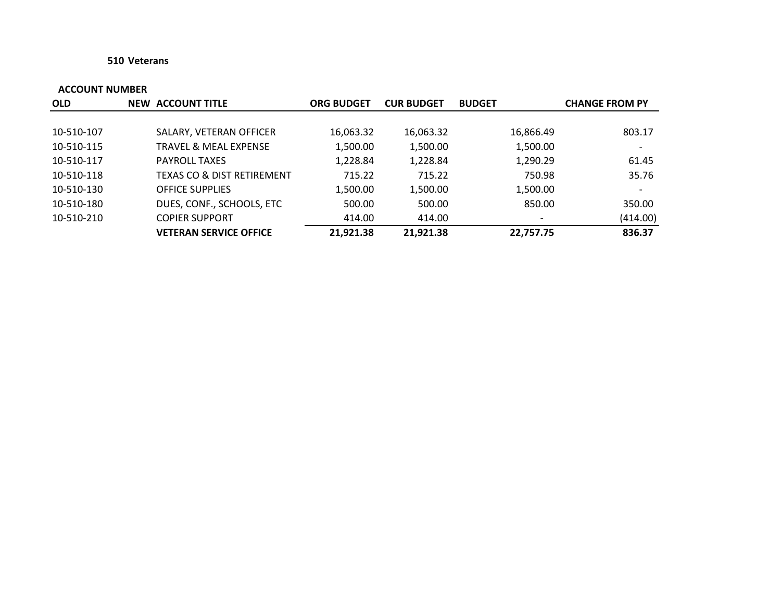## **510 Veterans**

| <b>OLD</b> | <b>NEW ACCOUNT TITLE</b>              | <b>ORG BUDGET</b> | <b>CUR BUDGET</b> | <b>BUDGET</b>            | <b>CHANGE FROM PY</b>    |
|------------|---------------------------------------|-------------------|-------------------|--------------------------|--------------------------|
|            |                                       |                   |                   |                          |                          |
| 10-510-107 | SALARY, VETERAN OFFICER               | 16,063.32         | 16,063.32         | 16,866.49                | 803.17                   |
| 10-510-115 | <b>TRAVEL &amp; MEAL EXPENSE</b>      | 1,500.00          | 1,500.00          | 1,500.00                 | $\overline{\phantom{a}}$ |
| 10-510-117 | <b>PAYROLL TAXES</b>                  | 1,228.84          | 1,228.84          | 1,290.29                 | 61.45                    |
| 10-510-118 | <b>TEXAS CO &amp; DIST RETIREMENT</b> | 715.22            | 715.22            | 750.98                   | 35.76                    |
| 10-510-130 | <b>OFFICE SUPPLIES</b>                | 1,500.00          | 1,500.00          | 1,500.00                 |                          |
| 10-510-180 | DUES, CONF., SCHOOLS, ETC             | 500.00            | 500.00            | 850.00                   | 350.00                   |
| 10-510-210 | <b>COPIER SUPPORT</b>                 | 414.00            | 414.00            | $\overline{\phantom{a}}$ | (414.00)                 |
|            | <b>VETERAN SERVICE OFFICE</b>         | 21,921.38         | 21,921.38         | 22.757.75                | 836.37                   |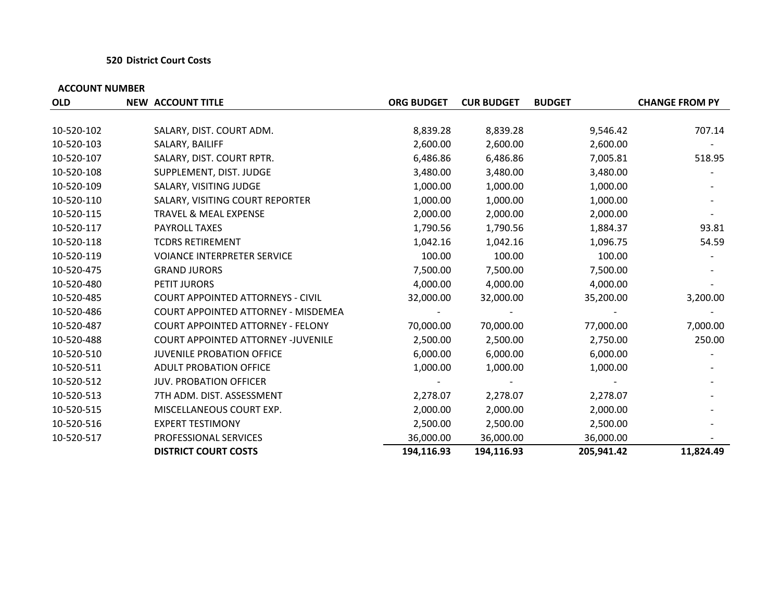## **520 District Court Costs**

| <b>OLD</b> | <b>NEW ACCOUNT TITLE</b>                  | <b>ORG BUDGET</b> | <b>CUR BUDGET</b> | <b>BUDGET</b> | <b>CHANGE FROM PY</b> |
|------------|-------------------------------------------|-------------------|-------------------|---------------|-----------------------|
|            |                                           |                   |                   |               |                       |
| 10-520-102 | SALARY, DIST. COURT ADM.                  | 8,839.28          | 8,839.28          | 9,546.42      | 707.14                |
| 10-520-103 | SALARY, BAILIFF                           | 2,600.00          | 2,600.00          | 2,600.00      |                       |
| 10-520-107 | SALARY, DIST. COURT RPTR.                 | 6,486.86          | 6,486.86          | 7,005.81      | 518.95                |
| 10-520-108 | SUPPLEMENT, DIST. JUDGE                   | 3,480.00          | 3,480.00          | 3,480.00      |                       |
| 10-520-109 | SALARY, VISITING JUDGE                    | 1,000.00          | 1,000.00          | 1,000.00      |                       |
| 10-520-110 | SALARY, VISITING COURT REPORTER           | 1,000.00          | 1,000.00          | 1,000.00      |                       |
| 10-520-115 | TRAVEL & MEAL EXPENSE                     | 2,000.00          | 2,000.00          | 2,000.00      |                       |
| 10-520-117 | <b>PAYROLL TAXES</b>                      | 1,790.56          | 1,790.56          | 1,884.37      | 93.81                 |
| 10-520-118 | <b>TCDRS RETIREMENT</b>                   | 1,042.16          | 1,042.16          | 1,096.75      | 54.59                 |
| 10-520-119 | <b>VOIANCE INTERPRETER SERVICE</b>        | 100.00            | 100.00            | 100.00        |                       |
| 10-520-475 | <b>GRAND JURORS</b>                       | 7,500.00          | 7,500.00          | 7,500.00      |                       |
| 10-520-480 | PETIT JURORS                              | 4,000.00          | 4,000.00          | 4,000.00      |                       |
| 10-520-485 | <b>COURT APPOINTED ATTORNEYS - CIVIL</b>  | 32,000.00         | 32,000.00         | 35,200.00     | 3,200.00              |
| 10-520-486 | COURT APPOINTED ATTORNEY - MISDEMEA       |                   |                   |               |                       |
| 10-520-487 | <b>COURT APPOINTED ATTORNEY - FELONY</b>  | 70,000.00         | 70,000.00         | 77,000.00     | 7,000.00              |
| 10-520-488 | <b>COURT APPOINTED ATTORNEY -JUVENILE</b> | 2,500.00          | 2,500.00          | 2,750.00      | 250.00                |
| 10-520-510 | <b>JUVENILE PROBATION OFFICE</b>          | 6,000.00          | 6,000.00          | 6,000.00      |                       |
| 10-520-511 | <b>ADULT PROBATION OFFICE</b>             | 1,000.00          | 1,000.00          | 1,000.00      |                       |
| 10-520-512 | <b>JUV. PROBATION OFFICER</b>             |                   |                   |               |                       |
| 10-520-513 | 7TH ADM. DIST. ASSESSMENT                 | 2,278.07          | 2,278.07          | 2,278.07      |                       |
| 10-520-515 | MISCELLANEOUS COURT EXP.                  | 2,000.00          | 2,000.00          | 2,000.00      |                       |
| 10-520-516 | <b>EXPERT TESTIMONY</b>                   | 2,500.00          | 2,500.00          | 2,500.00      |                       |
| 10-520-517 | <b>PROFESSIONAL SERVICES</b>              | 36,000.00         | 36,000.00         | 36,000.00     |                       |
|            | <b>DISTRICT COURT COSTS</b>               | 194,116.93        | 194,116.93        | 205,941.42    | 11,824.49             |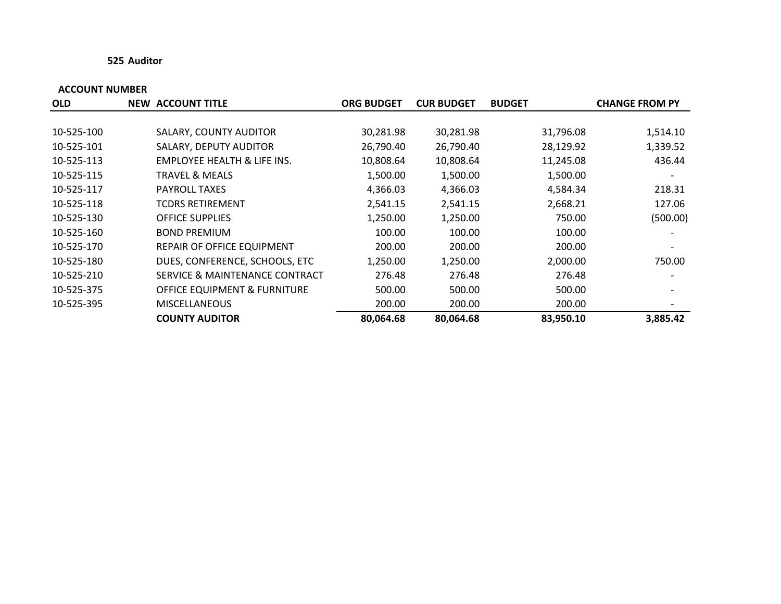## **525 Auditor**

| <b>OLD</b> | <b>NEW ACCOUNT TITLE</b>               | <b>ORG BUDGET</b> | <b>CUR BUDGET</b> | <b>BUDGET</b> | <b>CHANGE FROM PY</b>    |
|------------|----------------------------------------|-------------------|-------------------|---------------|--------------------------|
|            |                                        |                   |                   |               |                          |
| 10-525-100 | SALARY, COUNTY AUDITOR                 | 30,281.98         | 30,281.98         | 31,796.08     | 1,514.10                 |
| 10-525-101 | SALARY, DEPUTY AUDITOR                 | 26,790.40         | 26,790.40         | 28,129.92     | 1,339.52                 |
| 10-525-113 | <b>EMPLOYEE HEALTH &amp; LIFE INS.</b> | 10,808.64         | 10,808.64         | 11,245.08     | 436.44                   |
| 10-525-115 | TRAVEL & MEALS                         | 1,500.00          | 1,500.00          | 1,500.00      |                          |
| 10-525-117 | <b>PAYROLL TAXES</b>                   | 4,366.03          | 4,366.03          | 4,584.34      | 218.31                   |
| 10-525-118 | <b>TCDRS RETIREMENT</b>                | 2,541.15          | 2,541.15          | 2,668.21      | 127.06                   |
| 10-525-130 | <b>OFFICE SUPPLIES</b>                 | 1,250.00          | 1,250.00          | 750.00        | (500.00)                 |
| 10-525-160 | <b>BOND PREMIUM</b>                    | 100.00            | 100.00            | 100.00        | $\overline{\phantom{a}}$ |
| 10-525-170 | REPAIR OF OFFICE EQUIPMENT             | 200.00            | 200.00            | 200.00        |                          |
| 10-525-180 | DUES, CONFERENCE, SCHOOLS, ETC         | 1,250.00          | 1,250.00          | 2,000.00      | 750.00                   |
| 10-525-210 | SERVICE & MAINTENANCE CONTRACT         | 276.48            | 276.48            | 276.48        |                          |
| 10-525-375 | OFFICE EQUIPMENT & FURNITURE           | 500.00            | 500.00            | 500.00        |                          |
| 10-525-395 | <b>MISCELLANEOUS</b>                   | 200.00            | 200.00            | 200.00        |                          |
|            | <b>COUNTY AUDITOR</b>                  | 80,064.68         | 80,064.68         | 83,950.10     | 3,885.42                 |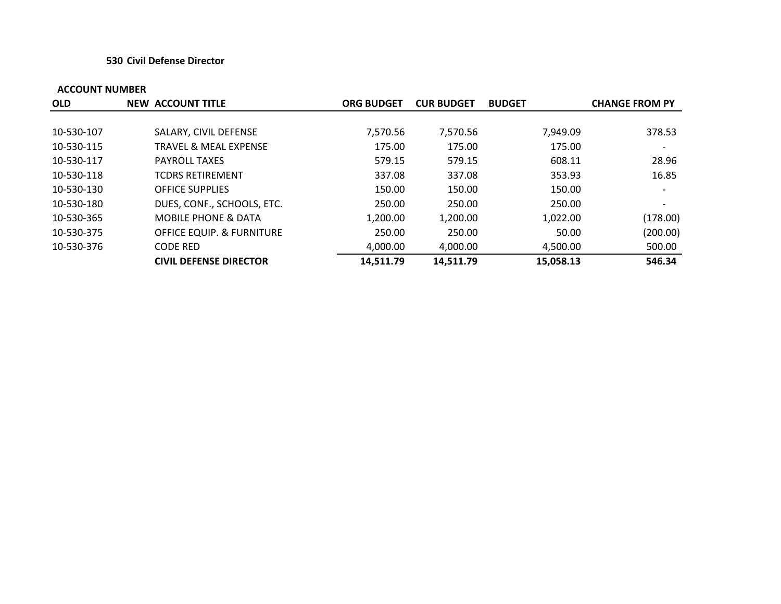## **530 Civil Defense Director**

| <b>OLD</b> | <b>NEW ACCOUNT TITLE</b>             | <b>ORG BUDGET</b> | <b>CUR BUDGET</b> | <b>BUDGET</b> | <b>CHANGE FROM PY</b> |
|------------|--------------------------------------|-------------------|-------------------|---------------|-----------------------|
|            |                                      |                   |                   |               |                       |
| 10-530-107 | SALARY, CIVIL DEFENSE                | 7,570.56          | 7,570.56          | 7,949.09      | 378.53                |
| 10-530-115 | <b>TRAVEL &amp; MEAL EXPENSE</b>     | 175.00            | 175.00            | 175.00        |                       |
| 10-530-117 | <b>PAYROLL TAXES</b>                 | 579.15            | 579.15            | 608.11        | 28.96                 |
| 10-530-118 | <b>TCDRS RETIREMENT</b>              | 337.08            | 337.08            | 353.93        | 16.85                 |
| 10-530-130 | <b>OFFICE SUPPLIES</b>               | 150.00            | 150.00            | 150.00        |                       |
| 10-530-180 | DUES, CONF., SCHOOLS, ETC.           | 250.00            | 250.00            | 250.00        |                       |
| 10-530-365 | <b>MOBILE PHONE &amp; DATA</b>       | 1,200.00          | 1,200.00          | 1,022.00      | (178.00)              |
| 10-530-375 | <b>OFFICE EQUIP. &amp; FURNITURE</b> | 250.00            | 250.00            | 50.00         | (200.00)              |
| 10-530-376 | <b>CODE RED</b>                      | 4,000.00          | 4,000.00          | 4,500.00      | 500.00                |
|            | <b>CIVIL DEFENSE DIRECTOR</b>        | 14,511.79         | 14,511.79         | 15,058.13     | 546.34                |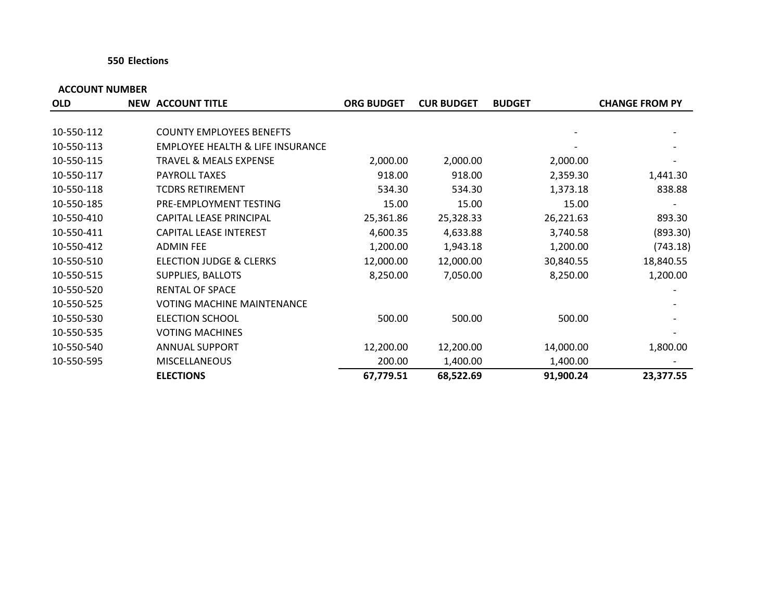## **550 Elections**

| <b>OLD</b> | <b>NEW ACCOUNT TITLE</b>                    | <b>ORG BUDGET</b> | <b>CUR BUDGET</b> | <b>BUDGET</b> | <b>CHANGE FROM PY</b> |
|------------|---------------------------------------------|-------------------|-------------------|---------------|-----------------------|
|            |                                             |                   |                   |               |                       |
| 10-550-112 | <b>COUNTY EMPLOYEES BENEFTS</b>             |                   |                   |               |                       |
| 10-550-113 | <b>EMPLOYEE HEALTH &amp; LIFE INSURANCE</b> |                   |                   |               |                       |
| 10-550-115 | <b>TRAVEL &amp; MEALS EXPENSE</b>           | 2,000.00          | 2,000.00          | 2,000.00      |                       |
| 10-550-117 | <b>PAYROLL TAXES</b>                        | 918.00            | 918.00            | 2,359.30      | 1,441.30              |
| 10-550-118 | <b>TCDRS RETIREMENT</b>                     | 534.30            | 534.30            | 1,373.18      | 838.88                |
| 10-550-185 | PRE-EMPLOYMENT TESTING                      | 15.00             | 15.00             | 15.00         |                       |
| 10-550-410 | CAPITAL LEASE PRINCIPAL                     | 25,361.86         | 25,328.33         | 26,221.63     | 893.30                |
| 10-550-411 | CAPITAL LEASE INTEREST                      | 4,600.35          | 4,633.88          | 3,740.58      | (893.30)              |
| 10-550-412 | <b>ADMIN FEE</b>                            | 1,200.00          | 1,943.18          | 1,200.00      | (743.18)              |
| 10-550-510 | <b>ELECTION JUDGE &amp; CLERKS</b>          | 12,000.00         | 12,000.00         | 30,840.55     | 18,840.55             |
| 10-550-515 | SUPPLIES, BALLOTS                           | 8,250.00          | 7,050.00          | 8,250.00      | 1,200.00              |
| 10-550-520 | <b>RENTAL OF SPACE</b>                      |                   |                   |               |                       |
| 10-550-525 | <b>VOTING MACHINE MAINTENANCE</b>           |                   |                   |               |                       |
| 10-550-530 | <b>ELECTION SCHOOL</b>                      | 500.00            | 500.00            | 500.00        |                       |
| 10-550-535 | <b>VOTING MACHINES</b>                      |                   |                   |               |                       |
| 10-550-540 | <b>ANNUAL SUPPORT</b>                       | 12,200.00         | 12,200.00         | 14,000.00     | 1,800.00              |
| 10-550-595 | <b>MISCELLANEOUS</b>                        | 200.00            | 1,400.00          | 1,400.00      |                       |
|            | <b>ELECTIONS</b>                            | 67,779.51         | 68,522.69         | 91,900.24     | 23,377.55             |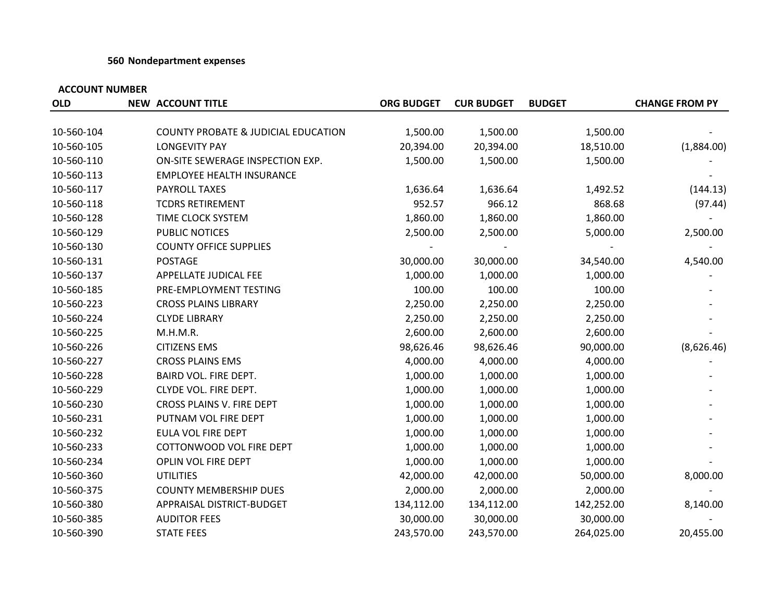## **560 Nondepartment expenses**

| <b>OLD</b> | <b>NEW ACCOUNT TITLE</b>                       | <b>ORG BUDGET</b> | <b>CUR BUDGET</b> | <b>BUDGET</b> | <b>CHANGE FROM PY</b> |
|------------|------------------------------------------------|-------------------|-------------------|---------------|-----------------------|
|            |                                                |                   |                   |               |                       |
| 10-560-104 | <b>COUNTY PROBATE &amp; JUDICIAL EDUCATION</b> | 1,500.00          | 1,500.00          | 1,500.00      |                       |
| 10-560-105 | <b>LONGEVITY PAY</b>                           | 20,394.00         | 20,394.00         | 18,510.00     | (1,884.00)            |
| 10-560-110 | ON-SITE SEWERAGE INSPECTION EXP.               | 1,500.00          | 1,500.00          | 1,500.00      |                       |
| 10-560-113 | <b>EMPLOYEE HEALTH INSURANCE</b>               |                   |                   |               |                       |
| 10-560-117 | PAYROLL TAXES                                  | 1,636.64          | 1,636.64          | 1,492.52      | (144.13)              |
| 10-560-118 | <b>TCDRS RETIREMENT</b>                        | 952.57            | 966.12            | 868.68        | (97.44)               |
| 10-560-128 | TIME CLOCK SYSTEM                              | 1,860.00          | 1,860.00          | 1,860.00      |                       |
| 10-560-129 | PUBLIC NOTICES                                 | 2,500.00          | 2,500.00          | 5,000.00      | 2,500.00              |
| 10-560-130 | <b>COUNTY OFFICE SUPPLIES</b>                  |                   |                   |               |                       |
| 10-560-131 | <b>POSTAGE</b>                                 | 30,000.00         | 30,000.00         | 34,540.00     | 4,540.00              |
| 10-560-137 | APPELLATE JUDICAL FEE                          | 1,000.00          | 1,000.00          | 1,000.00      |                       |
| 10-560-185 | PRE-EMPLOYMENT TESTING                         | 100.00            | 100.00            | 100.00        |                       |
| 10-560-223 | <b>CROSS PLAINS LIBRARY</b>                    | 2,250.00          | 2,250.00          | 2,250.00      |                       |
| 10-560-224 | <b>CLYDE LIBRARY</b>                           | 2,250.00          | 2,250.00          | 2,250.00      |                       |
| 10-560-225 | M.H.M.R.                                       | 2,600.00          | 2,600.00          | 2,600.00      |                       |
| 10-560-226 | <b>CITIZENS EMS</b>                            | 98,626.46         | 98,626.46         | 90,000.00     | (8,626.46)            |
| 10-560-227 | <b>CROSS PLAINS EMS</b>                        | 4,000.00          | 4,000.00          | 4,000.00      |                       |
| 10-560-228 | BAIRD VOL. FIRE DEPT.                          | 1,000.00          | 1,000.00          | 1,000.00      |                       |
| 10-560-229 | CLYDE VOL. FIRE DEPT.                          | 1,000.00          | 1,000.00          | 1,000.00      |                       |
| 10-560-230 | CROSS PLAINS V. FIRE DEPT                      | 1,000.00          | 1,000.00          | 1,000.00      |                       |
| 10-560-231 | PUTNAM VOL FIRE DEPT                           | 1,000.00          | 1,000.00          | 1,000.00      |                       |
| 10-560-232 | EULA VOL FIRE DEPT                             | 1,000.00          | 1,000.00          | 1,000.00      |                       |
| 10-560-233 | COTTONWOOD VOL FIRE DEPT                       | 1,000.00          | 1,000.00          | 1,000.00      |                       |
| 10-560-234 | OPLIN VOL FIRE DEPT                            | 1,000.00          | 1,000.00          | 1,000.00      |                       |
| 10-560-360 | <b>UTILITIES</b>                               | 42,000.00         | 42,000.00         | 50,000.00     | 8,000.00              |
| 10-560-375 | <b>COUNTY MEMBERSHIP DUES</b>                  | 2,000.00          | 2,000.00          | 2,000.00      |                       |
| 10-560-380 | APPRAISAL DISTRICT-BUDGET                      | 134,112.00        | 134,112.00        | 142,252.00    | 8,140.00              |
| 10-560-385 | <b>AUDITOR FEES</b>                            | 30,000.00         | 30,000.00         | 30,000.00     |                       |
| 10-560-390 | <b>STATE FEES</b>                              | 243,570.00        | 243,570.00        | 264,025.00    | 20,455.00             |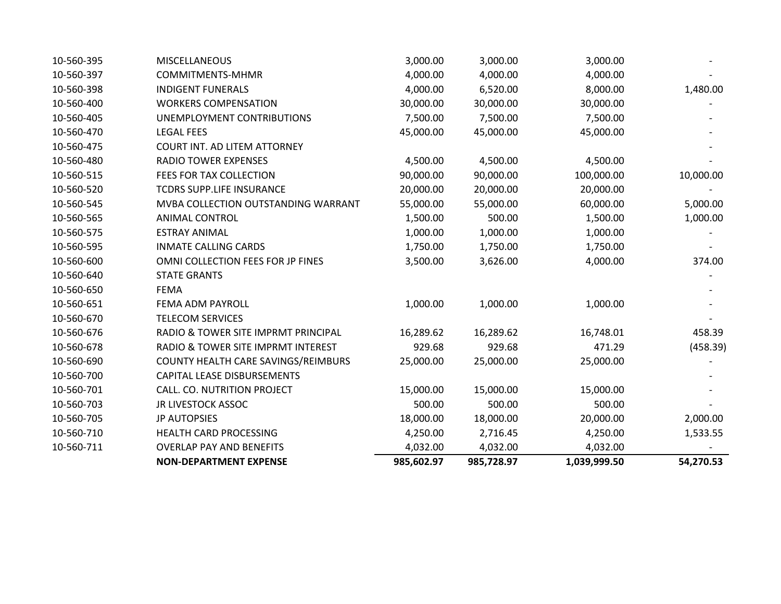| 10-560-395 | <b>MISCELLANEOUS</b>                | 3,000.00   | 3,000.00   | 3,000.00     |           |
|------------|-------------------------------------|------------|------------|--------------|-----------|
| 10-560-397 | <b>COMMITMENTS-MHMR</b>             | 4,000.00   | 4,000.00   | 4,000.00     |           |
| 10-560-398 | <b>INDIGENT FUNERALS</b>            | 4,000.00   | 6,520.00   | 8,000.00     | 1,480.00  |
| 10-560-400 | <b>WORKERS COMPENSATION</b>         | 30,000.00  | 30,000.00  | 30,000.00    |           |
| 10-560-405 | UNEMPLOYMENT CONTRIBUTIONS          | 7,500.00   | 7,500.00   | 7,500.00     |           |
| 10-560-470 | <b>LEGAL FEES</b>                   | 45,000.00  | 45,000.00  | 45,000.00    |           |
| 10-560-475 | <b>COURT INT. AD LITEM ATTORNEY</b> |            |            |              |           |
| 10-560-480 | <b>RADIO TOWER EXPENSES</b>         | 4,500.00   | 4,500.00   | 4,500.00     |           |
| 10-560-515 | FEES FOR TAX COLLECTION             | 90,000.00  | 90,000.00  | 100,000.00   | 10,000.00 |
| 10-560-520 | TCDRS SUPP.LIFE INSURANCE           | 20,000.00  | 20,000.00  | 20,000.00    |           |
| 10-560-545 | MVBA COLLECTION OUTSTANDING WARRANT | 55,000.00  | 55,000.00  | 60,000.00    | 5,000.00  |
| 10-560-565 | <b>ANIMAL CONTROL</b>               | 1,500.00   | 500.00     | 1,500.00     | 1,000.00  |
| 10-560-575 | <b>ESTRAY ANIMAL</b>                | 1,000.00   | 1,000.00   | 1,000.00     |           |
| 10-560-595 | <b>INMATE CALLING CARDS</b>         | 1,750.00   | 1,750.00   | 1,750.00     |           |
| 10-560-600 | OMNI COLLECTION FEES FOR JP FINES   | 3,500.00   | 3,626.00   | 4,000.00     | 374.00    |
| 10-560-640 | <b>STATE GRANTS</b>                 |            |            |              |           |
| 10-560-650 | <b>FEMA</b>                         |            |            |              |           |
| 10-560-651 | FEMA ADM PAYROLL                    | 1,000.00   | 1,000.00   | 1,000.00     |           |
| 10-560-670 | <b>TELECOM SERVICES</b>             |            |            |              |           |
| 10-560-676 | RADIO & TOWER SITE IMPRMT PRINCIPAL | 16,289.62  | 16,289.62  | 16,748.01    | 458.39    |
| 10-560-678 | RADIO & TOWER SITE IMPRMT INTEREST  | 929.68     | 929.68     | 471.29       | (458.39)  |
| 10-560-690 | COUNTY HEALTH CARE SAVINGS/REIMBURS | 25,000.00  | 25,000.00  | 25,000.00    |           |
| 10-560-700 | CAPITAL LEASE DISBURSEMENTS         |            |            |              |           |
| 10-560-701 | CALL. CO. NUTRITION PROJECT         | 15,000.00  | 15,000.00  | 15,000.00    |           |
| 10-560-703 | <b>JR LIVESTOCK ASSOC</b>           | 500.00     | 500.00     | 500.00       |           |
| 10-560-705 | <b>JP AUTOPSIES</b>                 | 18,000.00  | 18,000.00  | 20,000.00    | 2,000.00  |
| 10-560-710 | HEALTH CARD PROCESSING              | 4,250.00   | 2,716.45   | 4,250.00     | 1,533.55  |
| 10-560-711 | <b>OVERLAP PAY AND BENEFITS</b>     | 4,032.00   | 4,032.00   | 4,032.00     |           |
|            | <b>NON-DEPARTMENT EXPENSE</b>       | 985,602.97 | 985,728.97 | 1,039,999.50 | 54,270.53 |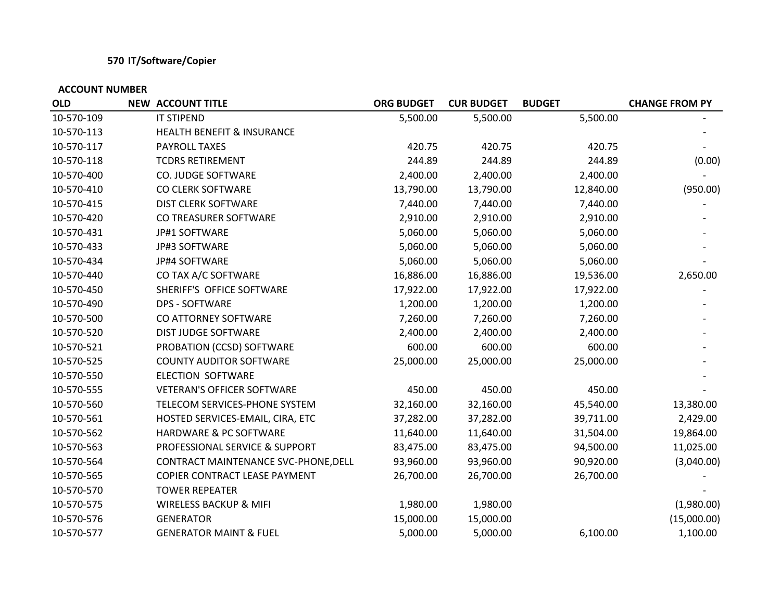## **570 IT/Software/Copier**

| <b>OLD</b> | <b>NEW ACCOUNT TITLE</b>              | <b>ORG BUDGET</b> | <b>CUR BUDGET</b> | <b>BUDGET</b> | <b>CHANGE FROM PY</b> |
|------------|---------------------------------------|-------------------|-------------------|---------------|-----------------------|
| 10-570-109 | IT STIPEND                            | 5,500.00          | 5,500.00          | 5,500.00      |                       |
| 10-570-113 | <b>HEALTH BENEFIT &amp; INSURANCE</b> |                   |                   |               |                       |
| 10-570-117 | PAYROLL TAXES                         | 420.75            | 420.75            | 420.75        |                       |
| 10-570-118 | <b>TCDRS RETIREMENT</b>               | 244.89            | 244.89            | 244.89        | (0.00)                |
| 10-570-400 | CO. JUDGE SOFTWARE                    | 2,400.00          | 2,400.00          | 2,400.00      |                       |
| 10-570-410 | CO CLERK SOFTWARE                     | 13,790.00         | 13,790.00         | 12,840.00     | (950.00)              |
| 10-570-415 | <b>DIST CLERK SOFTWARE</b>            | 7,440.00          | 7,440.00          | 7,440.00      |                       |
| 10-570-420 | CO TREASURER SOFTWARE                 | 2,910.00          | 2,910.00          | 2,910.00      |                       |
| 10-570-431 | JP#1 SOFTWARE                         | 5,060.00          | 5,060.00          | 5,060.00      |                       |
| 10-570-433 | JP#3 SOFTWARE                         | 5,060.00          | 5,060.00          | 5,060.00      |                       |
| 10-570-434 | JP#4 SOFTWARE                         | 5,060.00          | 5,060.00          | 5,060.00      |                       |
| 10-570-440 | CO TAX A/C SOFTWARE                   | 16,886.00         | 16,886.00         | 19,536.00     | 2,650.00              |
| 10-570-450 | SHERIFF'S OFFICE SOFTWARE             | 17,922.00         | 17,922.00         | 17,922.00     |                       |
| 10-570-490 | <b>DPS - SOFTWARE</b>                 | 1,200.00          | 1,200.00          | 1,200.00      |                       |
| 10-570-500 | CO ATTORNEY SOFTWARE                  | 7,260.00          | 7,260.00          | 7,260.00      |                       |
| 10-570-520 | DIST JUDGE SOFTWARE                   | 2,400.00          | 2,400.00          | 2,400.00      |                       |
| 10-570-521 | PROBATION (CCSD) SOFTWARE             | 600.00            | 600.00            | 600.00        |                       |
| 10-570-525 | <b>COUNTY AUDITOR SOFTWARE</b>        | 25,000.00         | 25,000.00         | 25,000.00     |                       |
| 10-570-550 | <b>ELECTION SOFTWARE</b>              |                   |                   |               |                       |
| 10-570-555 | <b>VETERAN'S OFFICER SOFTWARE</b>     | 450.00            | 450.00            | 450.00        |                       |
| 10-570-560 | TELECOM SERVICES-PHONE SYSTEM         | 32,160.00         | 32,160.00         | 45,540.00     | 13,380.00             |
| 10-570-561 | HOSTED SERVICES-EMAIL, CIRA, ETC      | 37,282.00         | 37,282.00         | 39,711.00     | 2,429.00              |
| 10-570-562 | HARDWARE & PC SOFTWARE                | 11,640.00         | 11,640.00         | 31,504.00     | 19,864.00             |
| 10-570-563 | PROFESSIONAL SERVICE & SUPPORT        | 83,475.00         | 83,475.00         | 94,500.00     | 11,025.00             |
| 10-570-564 | CONTRACT MAINTENANCE SVC-PHONE, DELL  | 93,960.00         | 93,960.00         | 90,920.00     | (3,040.00)            |
| 10-570-565 | COPIER CONTRACT LEASE PAYMENT         | 26,700.00         | 26,700.00         | 26,700.00     |                       |
| 10-570-570 | <b>TOWER REPEATER</b>                 |                   |                   |               |                       |
| 10-570-575 | WIRELESS BACKUP & MIFI                | 1,980.00          | 1,980.00          |               | (1,980.00)            |
| 10-570-576 | <b>GENERATOR</b>                      | 15,000.00         | 15,000.00         |               | (15,000.00)           |
| 10-570-577 | <b>GENERATOR MAINT &amp; FUEL</b>     | 5,000.00          | 5,000.00          | 6,100.00      | 1,100.00              |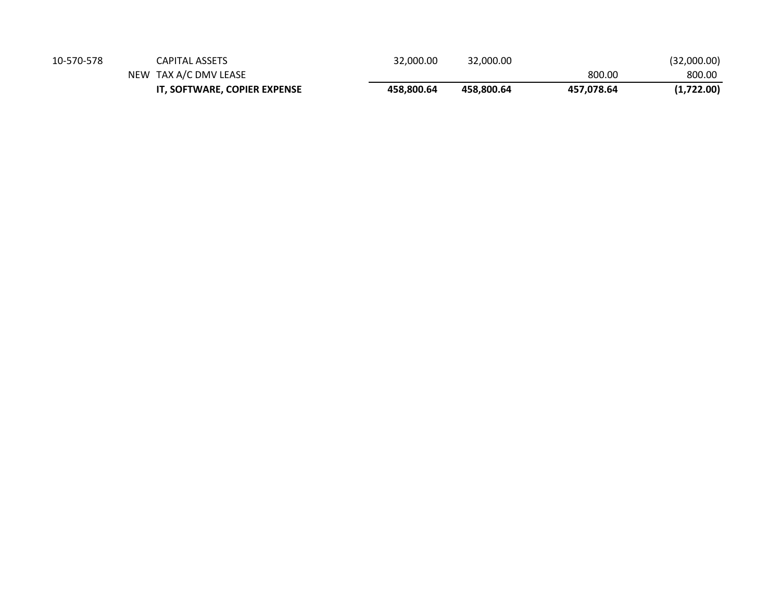|            | IT, SOFTWARE, COPIER EXPENSE | 458.800.64 | 458.800.64 | 457.078.64 | (1,722.00)  |
|------------|------------------------------|------------|------------|------------|-------------|
|            | NEW TAX A/C DMV LEASE        |            |            | 800.00     | 800.00      |
| 10-570-578 | CAPITAL ASSETS               | 32,000.00  | 32,000.00  |            | (32,000.00) |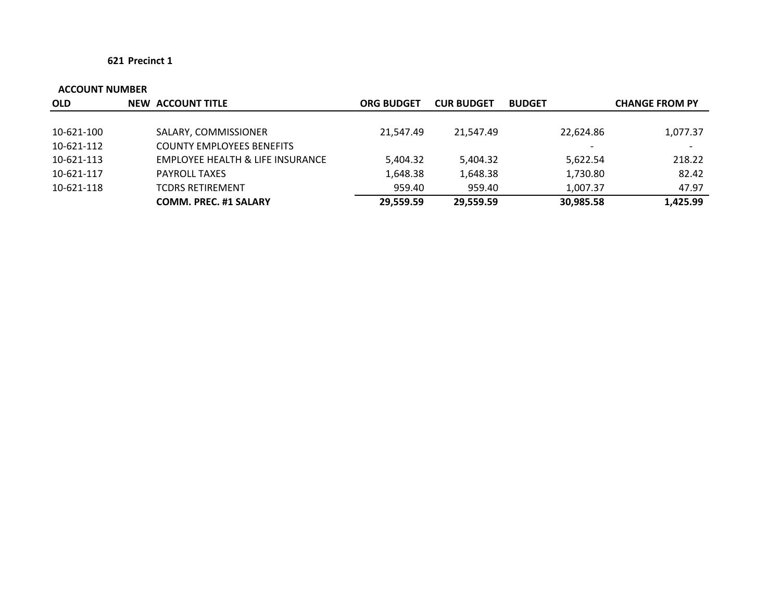| <b>OLD</b> | <b>NEW ACCOUNT TITLE</b>         | <b>ORG BUDGET</b> | <b>CUR BUDGET</b> | <b>BUDGET</b> | <b>CHANGE FROM PY</b> |
|------------|----------------------------------|-------------------|-------------------|---------------|-----------------------|
|            |                                  |                   |                   |               |                       |
| 10-621-100 | SALARY, COMMISSIONER             | 21,547.49         | 21,547.49         | 22,624.86     | 1,077.37              |
| 10-621-112 | <b>COUNTY EMPLOYEES BENEFITS</b> |                   |                   |               |                       |
| 10-621-113 | EMPLOYEE HEALTH & LIFE INSURANCE | 5,404.32          | 5,404.32          | 5,622.54      | 218.22                |
| 10-621-117 | <b>PAYROLL TAXES</b>             | 1,648.38          | 1,648.38          | 1,730.80      | 82.42                 |
| 10-621-118 | <b>TCDRS RETIREMENT</b>          | 959.40            | 959.40            | 1,007.37      | 47.97                 |
|            | <b>COMM. PREC. #1 SALARY</b>     | 29,559.59         | 29,559.59         | 30,985.58     | 1,425.99              |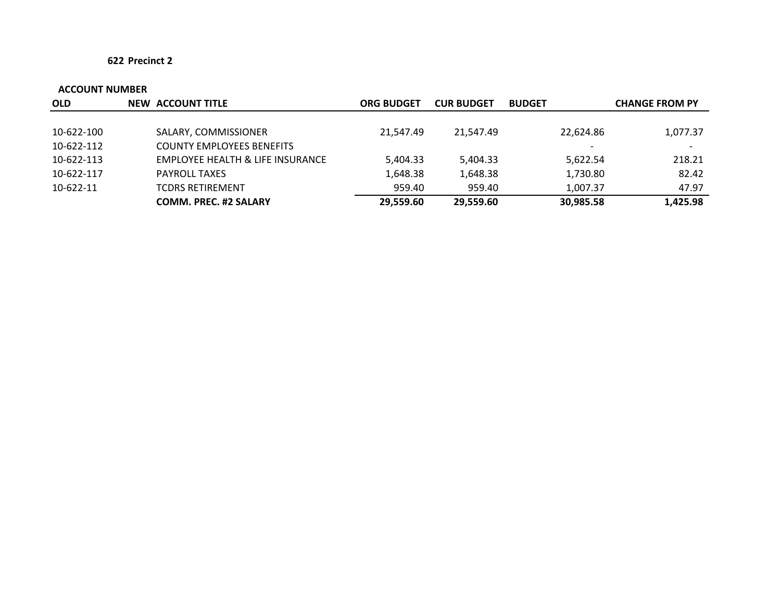| <b>OLD</b> | <b>NEW ACCOUNT TITLE</b>                    | <b>ORG BUDGET</b> | <b>CUR BUDGET</b> | <b>BUDGET</b> | <b>CHANGE FROM PY</b> |
|------------|---------------------------------------------|-------------------|-------------------|---------------|-----------------------|
|            |                                             |                   |                   |               |                       |
| 10-622-100 | SALARY, COMMISSIONER                        | 21.547.49         | 21.547.49         | 22,624.86     | 1,077.37              |
| 10-622-112 | <b>COUNTY EMPLOYEES BENEFITS</b>            |                   |                   |               |                       |
| 10-622-113 | <b>EMPLOYEE HEALTH &amp; LIFE INSURANCE</b> | 5,404.33          | 5,404.33          | 5,622.54      | 218.21                |
| 10-622-117 | <b>PAYROLL TAXES</b>                        | 1,648.38          | 1,648.38          | 1,730.80      | 82.42                 |
| 10-622-11  | <b>TCDRS RETIREMENT</b>                     | 959.40            | 959.40            | 1,007.37      | 47.97                 |
|            | <b>COMM. PREC. #2 SALARY</b>                | 29.559.60         | 29,559.60         | 30,985.58     | 1,425.98              |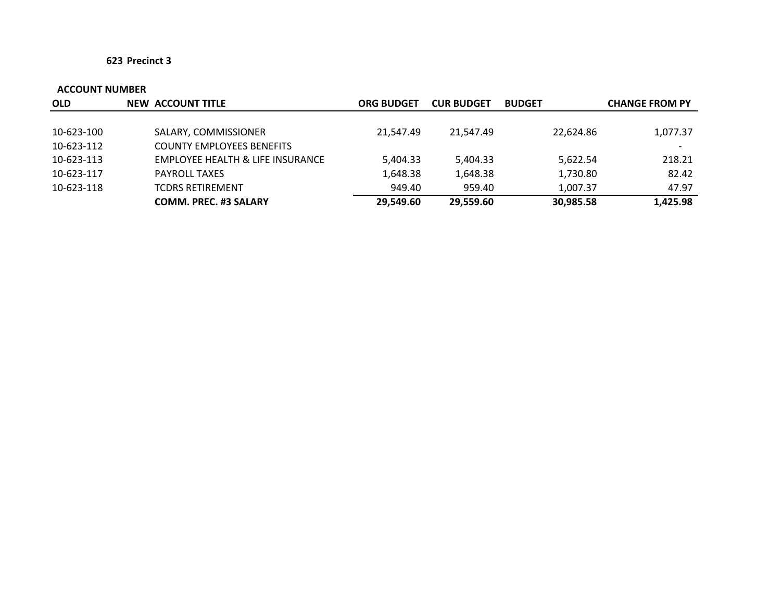| <b>OLD</b> | <b>NEW ACCOUNT TITLE</b>                    | <b>ORG BUDGET</b> | <b>CUR BUDGET</b> | <b>BUDGET</b> | <b>CHANGE FROM PY</b> |
|------------|---------------------------------------------|-------------------|-------------------|---------------|-----------------------|
|            |                                             |                   |                   |               |                       |
| 10-623-100 | SALARY, COMMISSIONER                        | 21,547.49         | 21.547.49         | 22,624.86     | 1,077.37              |
| 10-623-112 | <b>COUNTY EMPLOYEES BENEFITS</b>            |                   |                   |               |                       |
| 10-623-113 | <b>EMPLOYEE HEALTH &amp; LIFE INSURANCE</b> | 5,404.33          | 5,404.33          | 5,622.54      | 218.21                |
| 10-623-117 | <b>PAYROLL TAXES</b>                        | 1,648.38          | 1.648.38          | 1,730.80      | 82.42                 |
| 10-623-118 | <b>TCDRS RETIREMENT</b>                     | 949.40            | 959.40            | 1,007.37      | 47.97                 |
|            | <b>COMM. PREC. #3 SALARY</b>                | 29,549.60         | 29.559.60         | 30,985.58     | 1,425.98              |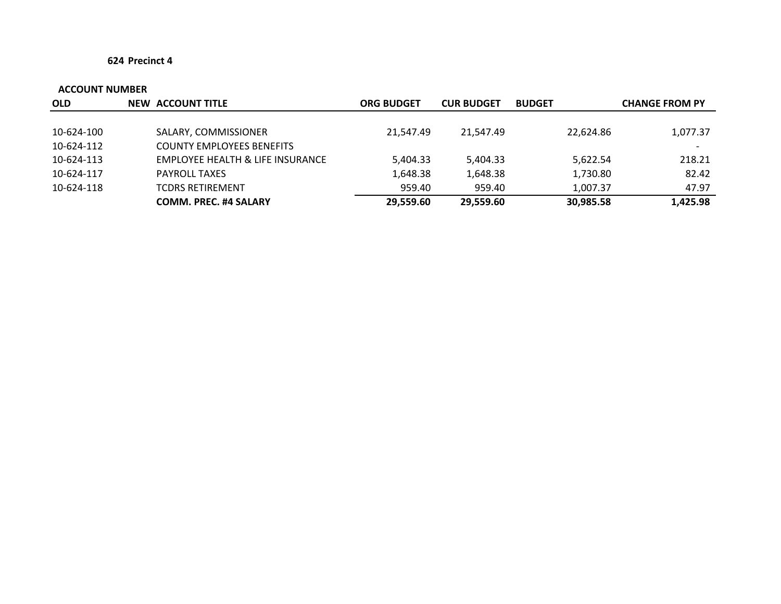| <b>OLD</b> | <b>NEW ACCOUNT TITLE</b>         | <b>ORG BUDGET</b> | <b>CUR BUDGET</b> | <b>BUDGET</b> | <b>CHANGE FROM PY</b>    |
|------------|----------------------------------|-------------------|-------------------|---------------|--------------------------|
|            |                                  |                   |                   |               |                          |
| 10-624-100 | SALARY, COMMISSIONER             | 21.547.49         | 21.547.49         | 22,624.86     | 1,077.37                 |
| 10-624-112 | <b>COUNTY EMPLOYEES BENEFITS</b> |                   |                   |               | $\overline{\phantom{0}}$ |
| 10-624-113 | EMPLOYEE HEALTH & LIFE INSURANCE | 5,404.33          | 5,404.33          | 5,622.54      | 218.21                   |
| 10-624-117 | <b>PAYROLL TAXES</b>             | 1,648.38          | 1,648.38          | 1,730.80      | 82.42                    |
| 10-624-118 | <b>TCDRS RETIREMENT</b>          | 959.40            | 959.40            | 1.007.37      | 47.97                    |
|            | <b>COMM. PREC. #4 SALARY</b>     | 29,559.60         | 29,559.60         | 30,985.58     | 1,425.98                 |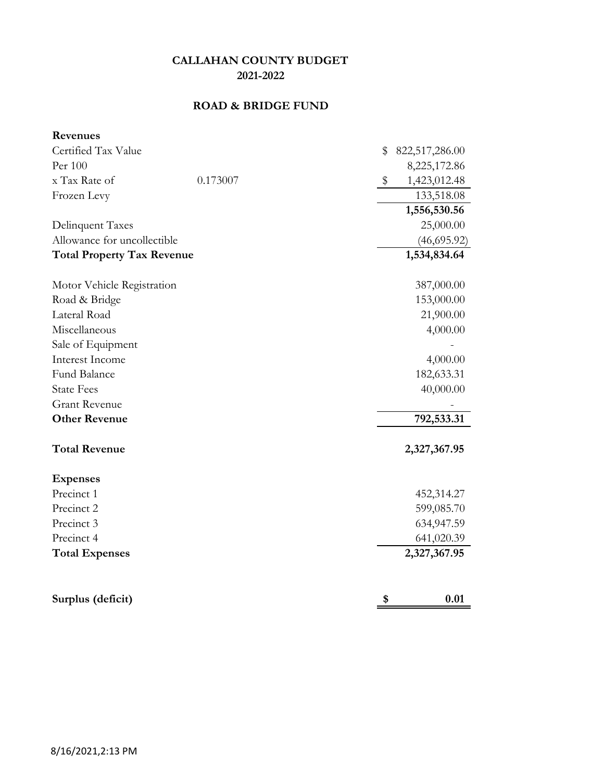## **ROAD & BRIDGE FUND**

| Revenues                          |          |               |                |
|-----------------------------------|----------|---------------|----------------|
| Certified Tax Value               |          | \$            | 822,517,286.00 |
| Per 100                           |          |               | 8,225,172.86   |
| x Tax Rate of                     | 0.173007 | $\frac{1}{2}$ | 1,423,012.48   |
| Frozen Levy                       |          |               | 133,518.08     |
|                                   |          |               | 1,556,530.56   |
| Delinquent Taxes                  |          |               | 25,000.00      |
| Allowance for uncollectible       |          |               | (46, 695.92)   |
| <b>Total Property Tax Revenue</b> |          |               | 1,534,834.64   |
| Motor Vehicle Registration        |          |               | 387,000.00     |
| Road & Bridge                     |          |               | 153,000.00     |
| Lateral Road                      |          |               | 21,900.00      |
| Miscellaneous                     |          |               | 4,000.00       |
| Sale of Equipment                 |          |               |                |
| Interest Income                   |          |               | 4,000.00       |
| Fund Balance                      |          |               | 182,633.31     |
| <b>State Fees</b>                 |          |               | 40,000.00      |
| <b>Grant Revenue</b>              |          |               |                |
| <b>Other Revenue</b>              |          |               | 792,533.31     |
| <b>Total Revenue</b>              |          |               | 2,327,367.95   |
| <b>Expenses</b>                   |          |               |                |
| Precinct 1                        |          |               | 452,314.27     |
| Precinct 2                        |          |               | 599,085.70     |
| Precinct 3                        |          |               | 634,947.59     |
| Precinct 4                        |          |               | 641,020.39     |
| <b>Total Expenses</b>             |          |               | 2,327,367.95   |
| Surplus (deficit)                 |          | \$            | 0.01           |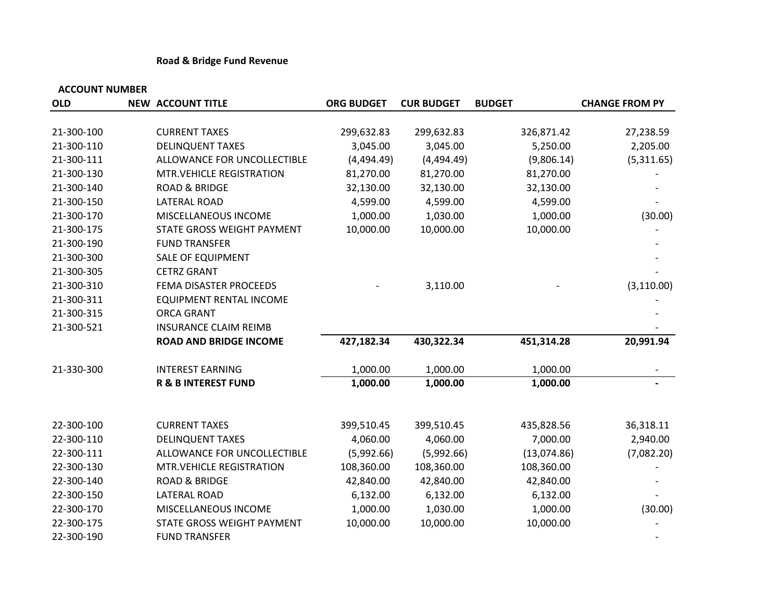## **Road & Bridge Fund Revenue**

| <b>OLD</b> | <b>NEW ACCOUNT TITLE</b>       | <b>ORG BUDGET</b> | <b>CUR BUDGET</b> | <b>BUDGET</b> | <b>CHANGE FROM PY</b> |
|------------|--------------------------------|-------------------|-------------------|---------------|-----------------------|
|            |                                |                   |                   |               |                       |
| 21-300-100 | <b>CURRENT TAXES</b>           | 299,632.83        | 299,632.83        | 326,871.42    | 27,238.59             |
| 21-300-110 | <b>DELINQUENT TAXES</b>        | 3,045.00          | 3,045.00          | 5,250.00      | 2,205.00              |
| 21-300-111 | ALLOWANCE FOR UNCOLLECTIBLE    | (4,494.49)        | (4,494.49)        | (9,806.14)    | (5,311.65)            |
| 21-300-130 | MTR.VEHICLE REGISTRATION       | 81,270.00         | 81,270.00         | 81,270.00     |                       |
| 21-300-140 | <b>ROAD &amp; BRIDGE</b>       | 32,130.00         | 32,130.00         | 32,130.00     |                       |
| 21-300-150 | <b>LATERAL ROAD</b>            | 4,599.00          | 4,599.00          | 4,599.00      |                       |
| 21-300-170 | MISCELLANEOUS INCOME           | 1,000.00          | 1,030.00          | 1,000.00      | (30.00)               |
| 21-300-175 | STATE GROSS WEIGHT PAYMENT     | 10,000.00         | 10,000.00         | 10,000.00     |                       |
| 21-300-190 | <b>FUND TRANSFER</b>           |                   |                   |               |                       |
| 21-300-300 | <b>SALE OF EQUIPMENT</b>       |                   |                   |               |                       |
| 21-300-305 | <b>CETRZ GRANT</b>             |                   |                   |               |                       |
| 21-300-310 | FEMA DISASTER PROCEEDS         |                   | 3,110.00          |               | (3, 110.00)           |
| 21-300-311 | <b>EQUIPMENT RENTAL INCOME</b> |                   |                   |               |                       |
| 21-300-315 | <b>ORCA GRANT</b>              |                   |                   |               |                       |
| 21-300-521 | <b>INSURANCE CLAIM REIMB</b>   |                   |                   |               |                       |
|            | <b>ROAD AND BRIDGE INCOME</b>  | 427,182.34        | 430,322.34        | 451,314.28    | 20,991.94             |
| 21-330-300 | <b>INTEREST EARNING</b>        | 1,000.00          | 1,000.00          | 1,000.00      |                       |
|            | <b>R &amp; B INTEREST FUND</b> | 1,000.00          | 1,000.00          | 1,000.00      |                       |
| 22-300-100 | <b>CURRENT TAXES</b>           | 399,510.45        | 399,510.45        | 435,828.56    | 36,318.11             |
| 22-300-110 | <b>DELINQUENT TAXES</b>        | 4,060.00          | 4,060.00          | 7,000.00      | 2,940.00              |
| 22-300-111 | ALLOWANCE FOR UNCOLLECTIBLE    | (5,992.66)        | (5,992.66)        | (13,074.86)   | (7,082.20)            |
| 22-300-130 | MTR.VEHICLE REGISTRATION       | 108,360.00        | 108,360.00        | 108,360.00    |                       |
| 22-300-140 | <b>ROAD &amp; BRIDGE</b>       | 42,840.00         | 42,840.00         | 42,840.00     |                       |
| 22-300-150 | <b>LATERAL ROAD</b>            | 6,132.00          | 6,132.00          | 6,132.00      |                       |
| 22-300-170 | MISCELLANEOUS INCOME           | 1,000.00          | 1,030.00          | 1,000.00      | (30.00)               |
| 22-300-175 | STATE GROSS WEIGHT PAYMENT     | 10,000.00         | 10,000.00         | 10,000.00     |                       |
| 22-300-190 | <b>FUND TRANSFER</b>           |                   |                   |               |                       |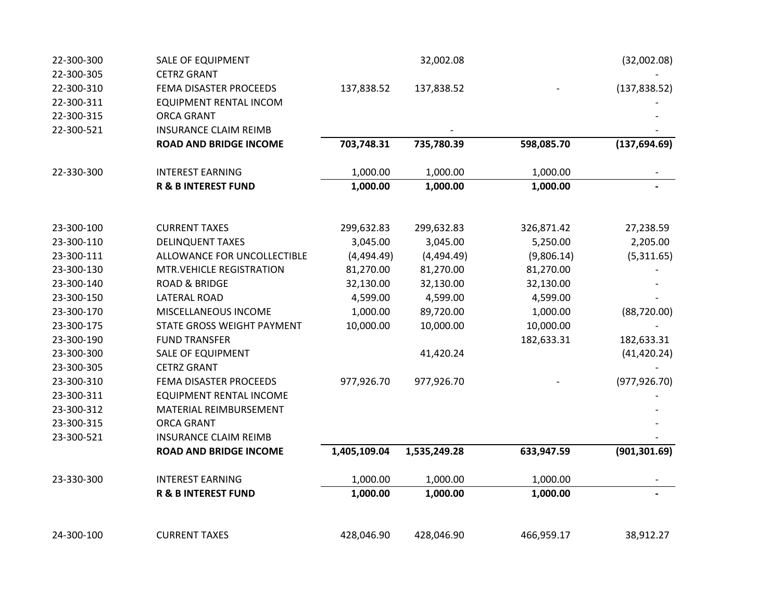| 22-300-300 | <b>SALE OF EQUIPMENT</b>       |              | 32,002.08    |            | (32,002.08)   |
|------------|--------------------------------|--------------|--------------|------------|---------------|
| 22-300-305 | <b>CETRZ GRANT</b>             |              |              |            |               |
| 22-300-310 | FEMA DISASTER PROCEEDS         | 137,838.52   | 137,838.52   |            | (137, 838.52) |
| 22-300-311 | EQUIPMENT RENTAL INCOM         |              |              |            |               |
| 22-300-315 | <b>ORCA GRANT</b>              |              |              |            |               |
| 22-300-521 | <b>INSURANCE CLAIM REIMB</b>   |              |              |            |               |
|            | <b>ROAD AND BRIDGE INCOME</b>  | 703,748.31   | 735,780.39   | 598,085.70 | (137, 694.69) |
| 22-330-300 | <b>INTEREST EARNING</b>        | 1,000.00     | 1,000.00     | 1,000.00   |               |
|            | <b>R &amp; B INTEREST FUND</b> | 1,000.00     | 1,000.00     | 1,000.00   |               |
|            |                                |              |              |            |               |
| 23-300-100 | <b>CURRENT TAXES</b>           | 299,632.83   | 299,632.83   | 326,871.42 | 27,238.59     |
| 23-300-110 | <b>DELINQUENT TAXES</b>        | 3,045.00     | 3,045.00     | 5,250.00   | 2,205.00      |
| 23-300-111 | ALLOWANCE FOR UNCOLLECTIBLE    | (4,494.49)   | (4,494.49)   | (9,806.14) | (5,311.65)    |
| 23-300-130 | MTR.VEHICLE REGISTRATION       | 81,270.00    | 81,270.00    | 81,270.00  |               |
| 23-300-140 | <b>ROAD &amp; BRIDGE</b>       | 32,130.00    | 32,130.00    | 32,130.00  |               |
| 23-300-150 | LATERAL ROAD                   | 4,599.00     | 4,599.00     | 4,599.00   |               |
| 23-300-170 | MISCELLANEOUS INCOME           | 1,000.00     | 89,720.00    | 1,000.00   | (88, 720.00)  |
| 23-300-175 | STATE GROSS WEIGHT PAYMENT     | 10,000.00    | 10,000.00    | 10,000.00  |               |
| 23-300-190 | <b>FUND TRANSFER</b>           |              |              | 182,633.31 | 182,633.31    |
| 23-300-300 | <b>SALE OF EQUIPMENT</b>       |              | 41,420.24    |            | (41, 420.24)  |
| 23-300-305 | <b>CETRZ GRANT</b>             |              |              |            |               |
| 23-300-310 | FEMA DISASTER PROCEEDS         | 977,926.70   | 977,926.70   |            | (977, 926.70) |
| 23-300-311 | <b>EQUIPMENT RENTAL INCOME</b> |              |              |            |               |
| 23-300-312 | MATERIAL REIMBURSEMENT         |              |              |            |               |
| 23-300-315 | <b>ORCA GRANT</b>              |              |              |            |               |
| 23-300-521 | <b>INSURANCE CLAIM REIMB</b>   |              |              |            |               |
|            | <b>ROAD AND BRIDGE INCOME</b>  | 1,405,109.04 | 1,535,249.28 | 633,947.59 | (901, 301.69) |
| 23-330-300 | <b>INTEREST EARNING</b>        | 1,000.00     | 1,000.00     | 1,000.00   |               |
|            | <b>R &amp; B INTEREST FUND</b> | 1,000.00     | 1,000.00     | 1,000.00   |               |
| 24-300-100 | <b>CURRENT TAXES</b>           | 428,046.90   | 428,046.90   | 466,959.17 | 38,912.27     |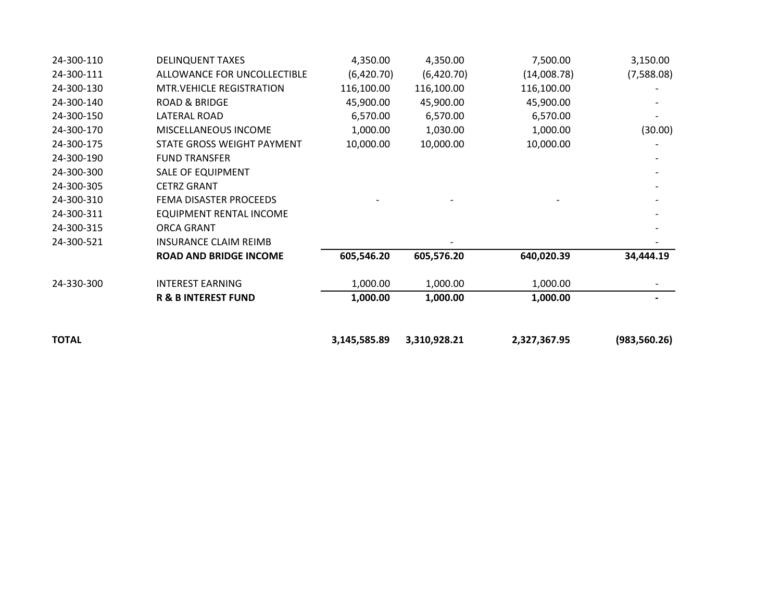| <b>TOTAL</b> |                                  | 3,145,585.89 | 3,310,928.21 | 2,327,367.95 | (983, 560.26) |
|--------------|----------------------------------|--------------|--------------|--------------|---------------|
|              | <b>R &amp; B INTEREST FUND</b>   | 1,000.00     | 1,000.00     | 1,000.00     |               |
| 24-330-300   | <b>INTEREST EARNING</b>          | 1,000.00     | 1,000.00     | 1,000.00     |               |
|              | <b>ROAD AND BRIDGE INCOME</b>    | 605,546.20   | 605,576.20   | 640,020.39   | 34,444.19     |
| 24-300-521   | <b>INSURANCE CLAIM REIMB</b>     |              |              |              |               |
| 24-300-315   | <b>ORCA GRANT</b>                |              |              |              |               |
| 24-300-311   | EQUIPMENT RENTAL INCOME          |              |              |              |               |
| 24-300-310   | FEMA DISASTER PROCEEDS           |              |              |              |               |
| 24-300-305   | <b>CETRZ GRANT</b>               |              |              |              |               |
| 24-300-300   | <b>SALE OF EQUIPMENT</b>         |              |              |              |               |
| 24-300-190   | <b>FUND TRANSFER</b>             |              |              |              |               |
| 24-300-175   | STATE GROSS WEIGHT PAYMENT       | 10,000.00    | 10,000.00    | 10,000.00    |               |
| 24-300-170   | MISCELLANEOUS INCOME             | 1,000.00     | 1,030.00     | 1,000.00     | (30.00)       |
| 24-300-150   | LATERAL ROAD                     | 6,570.00     | 6,570.00     | 6,570.00     |               |
| 24-300-140   | <b>ROAD &amp; BRIDGE</b>         | 45,900.00    | 45,900.00    | 45,900.00    |               |
| 24-300-130   | <b>MTR. VEHICLE REGISTRATION</b> | 116,100.00   | 116,100.00   | 116,100.00   |               |
| 24-300-111   | ALLOWANCE FOR UNCOLLECTIBLE      | (6,420.70)   | (6,420.70)   | (14,008.78)  | (7,588.08)    |
| 24-300-110   | <b>DELINQUENT TAXES</b>          | 4,350.00     | 4,350.00     | 7,500.00     | 3,150.00      |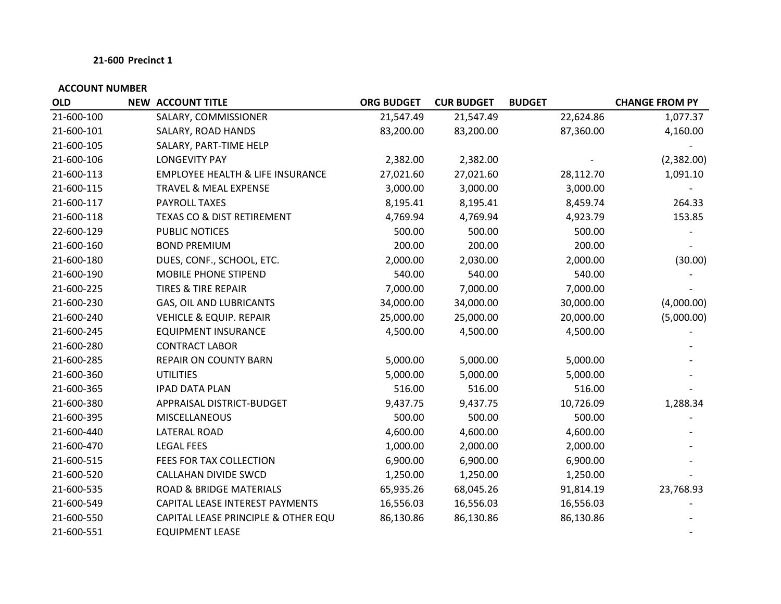| <b>OLD</b> | <b>NEW ACCOUNT TITLE</b>                    | <b>ORG BUDGET</b> | <b>CUR BUDGET</b> | <b>BUDGET</b> | <b>CHANGE FROM PY</b> |
|------------|---------------------------------------------|-------------------|-------------------|---------------|-----------------------|
| 21-600-100 | SALARY, COMMISSIONER                        | 21,547.49         | 21,547.49         | 22,624.86     | 1,077.37              |
| 21-600-101 | SALARY, ROAD HANDS                          | 83,200.00         | 83,200.00         | 87,360.00     | 4,160.00              |
| 21-600-105 | SALARY, PART-TIME HELP                      |                   |                   |               |                       |
| 21-600-106 | <b>LONGEVITY PAY</b>                        | 2,382.00          | 2,382.00          |               | (2,382.00)            |
| 21-600-113 | <b>EMPLOYEE HEALTH &amp; LIFE INSURANCE</b> | 27,021.60         | 27,021.60         | 28,112.70     | 1,091.10              |
| 21-600-115 | TRAVEL & MEAL EXPENSE                       | 3,000.00          | 3,000.00          | 3,000.00      |                       |
| 21-600-117 | PAYROLL TAXES                               | 8,195.41          | 8,195.41          | 8,459.74      | 264.33                |
| 21-600-118 | TEXAS CO & DIST RETIREMENT                  | 4,769.94          | 4,769.94          | 4,923.79      | 153.85                |
| 22-600-129 | PUBLIC NOTICES                              | 500.00            | 500.00            | 500.00        |                       |
| 21-600-160 | <b>BOND PREMIUM</b>                         | 200.00            | 200.00            | 200.00        |                       |
| 21-600-180 | DUES, CONF., SCHOOL, ETC.                   | 2,000.00          | 2,030.00          | 2,000.00      | (30.00)               |
| 21-600-190 | MOBILE PHONE STIPEND                        | 540.00            | 540.00            | 540.00        |                       |
| 21-600-225 | <b>TIRES &amp; TIRE REPAIR</b>              | 7,000.00          | 7,000.00          | 7,000.00      |                       |
| 21-600-230 | GAS, OIL AND LUBRICANTS                     | 34,000.00         | 34,000.00         | 30,000.00     | (4,000.00)            |
| 21-600-240 | <b>VEHICLE &amp; EQUIP. REPAIR</b>          | 25,000.00         | 25,000.00         | 20,000.00     | (5,000.00)            |
| 21-600-245 | <b>EQUIPMENT INSURANCE</b>                  | 4,500.00          | 4,500.00          | 4,500.00      |                       |
| 21-600-280 | <b>CONTRACT LABOR</b>                       |                   |                   |               |                       |
| 21-600-285 | <b>REPAIR ON COUNTY BARN</b>                | 5,000.00          | 5,000.00          | 5,000.00      |                       |
| 21-600-360 | <b>UTILITIES</b>                            | 5,000.00          | 5,000.00          | 5,000.00      |                       |
| 21-600-365 | <b>IPAD DATA PLAN</b>                       | 516.00            | 516.00            | 516.00        |                       |
| 21-600-380 | APPRAISAL DISTRICT-BUDGET                   | 9,437.75          | 9,437.75          | 10,726.09     | 1,288.34              |
| 21-600-395 | <b>MISCELLANEOUS</b>                        | 500.00            | 500.00            | 500.00        |                       |
| 21-600-440 | <b>LATERAL ROAD</b>                         | 4,600.00          | 4,600.00          | 4,600.00      |                       |
| 21-600-470 | <b>LEGAL FEES</b>                           | 1,000.00          | 2,000.00          | 2,000.00      |                       |
| 21-600-515 | FEES FOR TAX COLLECTION                     | 6,900.00          | 6,900.00          | 6,900.00      |                       |
| 21-600-520 | CALLAHAN DIVIDE SWCD                        | 1,250.00          | 1,250.00          | 1,250.00      |                       |
| 21-600-535 | <b>ROAD &amp; BRIDGE MATERIALS</b>          | 65,935.26         | 68,045.26         | 91,814.19     | 23,768.93             |
| 21-600-549 | CAPITAL LEASE INTEREST PAYMENTS             | 16,556.03         | 16,556.03         | 16,556.03     |                       |
| 21-600-550 | CAPITAL LEASE PRINCIPLE & OTHER EQU         | 86,130.86         | 86,130.86         | 86,130.86     |                       |
| 21-600-551 | <b>EQUIPMENT LEASE</b>                      |                   |                   |               |                       |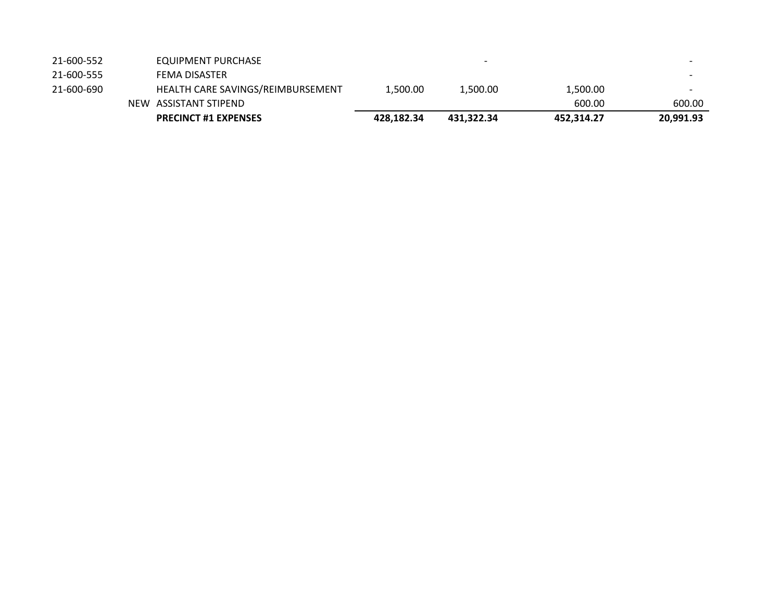| 21-600-552 | EQUIPMENT PURCHASE                |            | $\overline{\phantom{0}}$ |            | $\hskip1.6cm$            |
|------------|-----------------------------------|------------|--------------------------|------------|--------------------------|
| 21-600-555 | FEMA DISASTER                     |            |                          |            |                          |
| 21-600-690 | HEALTH CARE SAVINGS/REIMBURSEMENT | 1.500.00   | 1,500.00                 | 1,500.00   | $\overline{\phantom{0}}$ |
|            | NEW ASSISTANT STIPEND             |            |                          | 600.00     | 600.00                   |
|            | <b>PRECINCT #1 EXPENSES</b>       | 428.182.34 | 431.322.34               | 452.314.27 | 20,991.93                |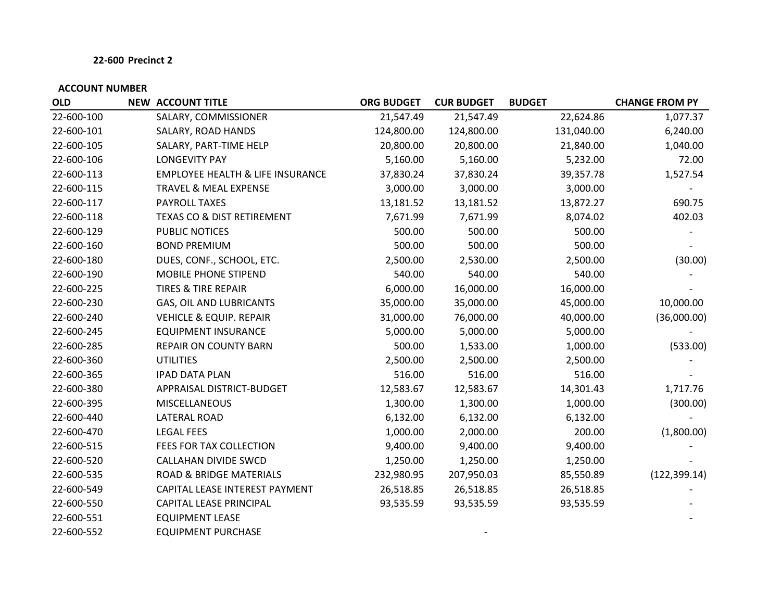| <b>OLD</b> | <b>NEW ACCOUNT TITLE</b> |                                             | <b>ORG BUDGET</b> | <b>CUR BUDGET</b> | <b>BUDGET</b> | <b>CHANGE FROM PY</b> |
|------------|--------------------------|---------------------------------------------|-------------------|-------------------|---------------|-----------------------|
| 22-600-100 |                          | SALARY, COMMISSIONER                        | 21,547.49         | 21,547.49         | 22,624.86     | 1,077.37              |
| 22-600-101 |                          | SALARY, ROAD HANDS                          | 124,800.00        | 124,800.00        | 131,040.00    | 6,240.00              |
| 22-600-105 |                          | SALARY, PART-TIME HELP                      | 20,800.00         | 20,800.00         | 21,840.00     | 1,040.00              |
| 22-600-106 | <b>LONGEVITY PAY</b>     |                                             | 5,160.00          | 5,160.00          | 5,232.00      | 72.00                 |
| 22-600-113 |                          | <b>EMPLOYEE HEALTH &amp; LIFE INSURANCE</b> | 37,830.24         | 37,830.24         | 39,357.78     | 1,527.54              |
| 22-600-115 |                          | TRAVEL & MEAL EXPENSE                       | 3,000.00          | 3,000.00          | 3,000.00      |                       |
| 22-600-117 | PAYROLL TAXES            |                                             | 13,181.52         | 13,181.52         | 13,872.27     | 690.75                |
| 22-600-118 |                          | TEXAS CO & DIST RETIREMENT                  | 7,671.99          | 7,671.99          | 8,074.02      | 402.03                |
| 22-600-129 | PUBLIC NOTICES           |                                             | 500.00            | 500.00            | 500.00        |                       |
| 22-600-160 |                          | <b>BOND PREMIUM</b>                         | 500.00            | 500.00            | 500.00        |                       |
| 22-600-180 |                          | DUES, CONF., SCHOOL, ETC.                   | 2,500.00          | 2,530.00          | 2,500.00      | (30.00)               |
| 22-600-190 |                          | MOBILE PHONE STIPEND                        | 540.00            | 540.00            | 540.00        |                       |
| 22-600-225 |                          | <b>TIRES &amp; TIRE REPAIR</b>              | 6,000.00          | 16,000.00         | 16,000.00     |                       |
| 22-600-230 |                          | GAS, OIL AND LUBRICANTS                     | 35,000.00         | 35,000.00         | 45,000.00     | 10,000.00             |
| 22-600-240 |                          | <b>VEHICLE &amp; EQUIP. REPAIR</b>          | 31,000.00         | 76,000.00         | 40,000.00     | (36,000.00)           |
| 22-600-245 |                          | <b>EQUIPMENT INSURANCE</b>                  | 5,000.00          | 5,000.00          | 5,000.00      |                       |
| 22-600-285 |                          | REPAIR ON COUNTY BARN                       | 500.00            | 1,533.00          | 1,000.00      | (533.00)              |
| 22-600-360 | <b>UTILITIES</b>         |                                             | 2,500.00          | 2,500.00          | 2,500.00      |                       |
| 22-600-365 |                          | <b>IPAD DATA PLAN</b>                       | 516.00            | 516.00            | 516.00        |                       |
| 22-600-380 |                          | APPRAISAL DISTRICT-BUDGET                   | 12,583.67         | 12,583.67         | 14,301.43     | 1,717.76              |
| 22-600-395 |                          | <b>MISCELLANEOUS</b>                        | 1,300.00          | 1,300.00          | 1,000.00      | (300.00)              |
| 22-600-440 | <b>LATERAL ROAD</b>      |                                             | 6,132.00          | 6,132.00          | 6,132.00      |                       |
| 22-600-470 | <b>LEGAL FEES</b>        |                                             | 1,000.00          | 2,000.00          | 200.00        | (1,800.00)            |
| 22-600-515 |                          | FEES FOR TAX COLLECTION                     | 9,400.00          | 9,400.00          | 9,400.00      |                       |
| 22-600-520 |                          | <b>CALLAHAN DIVIDE SWCD</b>                 | 1,250.00          | 1,250.00          | 1,250.00      |                       |
| 22-600-535 |                          | <b>ROAD &amp; BRIDGE MATERIALS</b>          | 232,980.95        | 207,950.03        | 85,550.89     | (122, 399.14)         |
| 22-600-549 |                          | CAPITAL LEASE INTEREST PAYMENT              | 26,518.85         | 26,518.85         | 26,518.85     |                       |
| 22-600-550 |                          | CAPITAL LEASE PRINCIPAL                     | 93,535.59         | 93,535.59         | 93,535.59     |                       |
| 22-600-551 |                          | <b>EQUIPMENT LEASE</b>                      |                   |                   |               |                       |
| 22-600-552 |                          | <b>EQUIPMENT PURCHASE</b>                   |                   |                   |               |                       |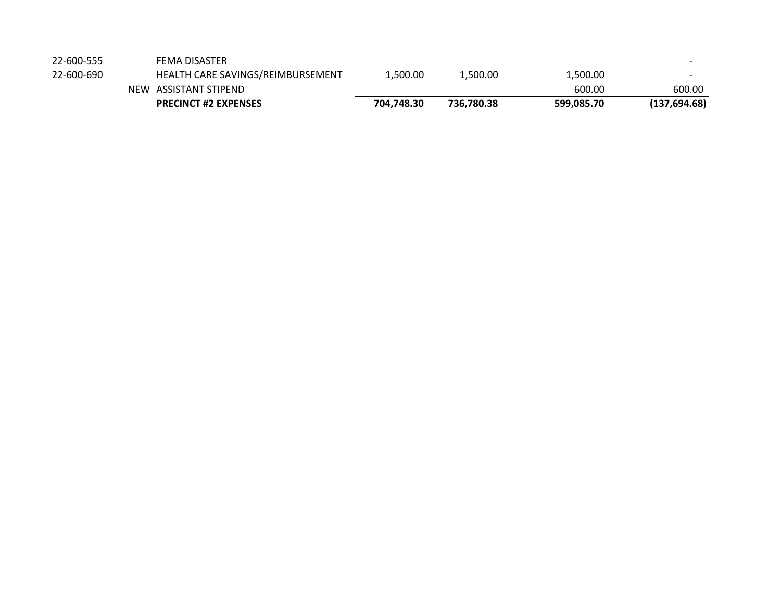|            | <b>PRECINCT #2 EXPENSES</b>       | 704.748.30 | 736.780.38 | 599,085.70 | (137, 694.68)            |
|------------|-----------------------------------|------------|------------|------------|--------------------------|
|            | NEW ASSISTANT STIPEND             |            |            | 600.00     | 600.00                   |
| 22-600-690 | HEALTH CARE SAVINGS/REIMBURSEMENT | 1.500.00   | 1,500.00   | 1,500.00   | $\overline{\phantom{0}}$ |
| 22-600-555 | <b>FEMA DISASTER</b>              |            |            |            |                          |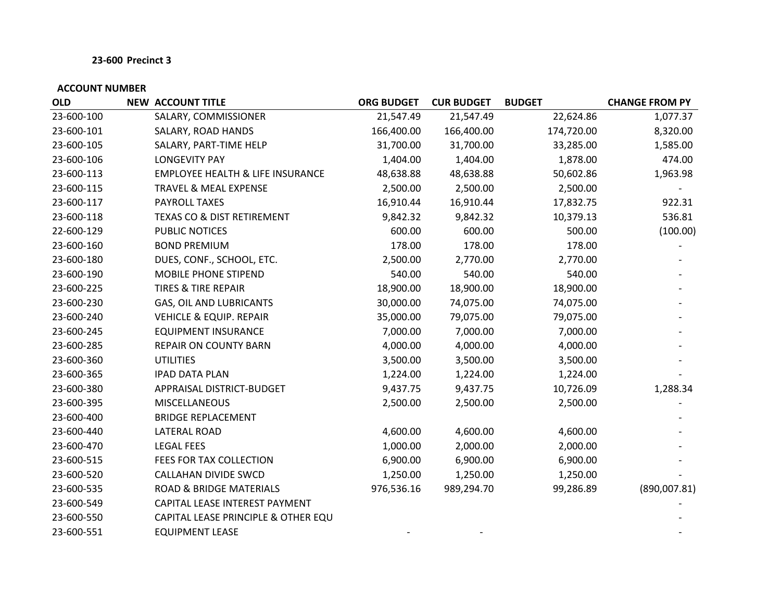| <b>OLD</b> | <b>NEW ACCOUNT TITLE</b>                    | <b>ORG BUDGET</b> | <b>CUR BUDGET</b> | <b>BUDGET</b> | <b>CHANGE FROM PY</b> |
|------------|---------------------------------------------|-------------------|-------------------|---------------|-----------------------|
| 23-600-100 | SALARY, COMMISSIONER                        | 21,547.49         | 21,547.49         | 22,624.86     | 1,077.37              |
| 23-600-101 | SALARY, ROAD HANDS                          | 166,400.00        | 166,400.00        | 174,720.00    | 8,320.00              |
| 23-600-105 | SALARY, PART-TIME HELP                      | 31,700.00         | 31,700.00         | 33,285.00     | 1,585.00              |
| 23-600-106 | <b>LONGEVITY PAY</b>                        | 1,404.00          | 1,404.00          | 1,878.00      | 474.00                |
| 23-600-113 | <b>EMPLOYEE HEALTH &amp; LIFE INSURANCE</b> | 48,638.88         | 48,638.88         | 50,602.86     | 1,963.98              |
| 23-600-115 | TRAVEL & MEAL EXPENSE                       | 2,500.00          | 2,500.00          | 2,500.00      |                       |
| 23-600-117 | <b>PAYROLL TAXES</b>                        | 16,910.44         | 16,910.44         | 17,832.75     | 922.31                |
| 23-600-118 | <b>TEXAS CO &amp; DIST RETIREMENT</b>       | 9,842.32          | 9,842.32          | 10,379.13     | 536.81                |
| 22-600-129 | PUBLIC NOTICES                              | 600.00            | 600.00            | 500.00        | (100.00)              |
| 23-600-160 | <b>BOND PREMIUM</b>                         | 178.00            | 178.00            | 178.00        |                       |
| 23-600-180 | DUES, CONF., SCHOOL, ETC.                   | 2,500.00          | 2,770.00          | 2,770.00      |                       |
| 23-600-190 | MOBILE PHONE STIPEND                        | 540.00            | 540.00            | 540.00        |                       |
| 23-600-225 | <b>TIRES &amp; TIRE REPAIR</b>              | 18,900.00         | 18,900.00         | 18,900.00     |                       |
| 23-600-230 | GAS, OIL AND LUBRICANTS                     | 30,000.00         | 74,075.00         | 74,075.00     |                       |
| 23-600-240 | <b>VEHICLE &amp; EQUIP. REPAIR</b>          | 35,000.00         | 79,075.00         | 79,075.00     |                       |
| 23-600-245 | <b>EQUIPMENT INSURANCE</b>                  | 7,000.00          | 7,000.00          | 7,000.00      |                       |
| 23-600-285 | REPAIR ON COUNTY BARN                       | 4,000.00          | 4,000.00          | 4,000.00      |                       |
| 23-600-360 | <b>UTILITIES</b>                            | 3,500.00          | 3,500.00          | 3,500.00      |                       |
| 23-600-365 | <b>IPAD DATA PLAN</b>                       | 1,224.00          | 1,224.00          | 1,224.00      |                       |
| 23-600-380 | APPRAISAL DISTRICT-BUDGET                   | 9,437.75          | 9,437.75          | 10,726.09     | 1,288.34              |
| 23-600-395 | <b>MISCELLANEOUS</b>                        | 2,500.00          | 2,500.00          | 2,500.00      |                       |
| 23-600-400 | <b>BRIDGE REPLACEMENT</b>                   |                   |                   |               |                       |
| 23-600-440 | <b>LATERAL ROAD</b>                         | 4,600.00          | 4,600.00          | 4,600.00      |                       |
| 23-600-470 | <b>LEGAL FEES</b>                           | 1,000.00          | 2,000.00          | 2,000.00      |                       |
| 23-600-515 | FEES FOR TAX COLLECTION                     | 6,900.00          | 6,900.00          | 6,900.00      |                       |
| 23-600-520 | CALLAHAN DIVIDE SWCD                        | 1,250.00          | 1,250.00          | 1,250.00      |                       |
| 23-600-535 | <b>ROAD &amp; BRIDGE MATERIALS</b>          | 976,536.16        | 989,294.70        | 99,286.89     | (890,007.81)          |
| 23-600-549 | CAPITAL LEASE INTEREST PAYMENT              |                   |                   |               |                       |
| 23-600-550 | CAPITAL LEASE PRINCIPLE & OTHER EQU         |                   |                   |               |                       |
| 23-600-551 | <b>EQUIPMENT LEASE</b>                      |                   |                   |               |                       |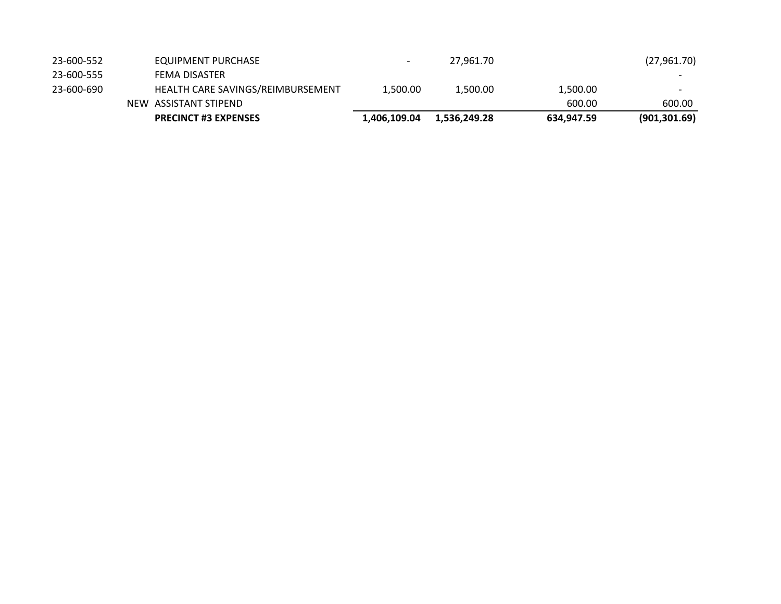|            | <b>PRECINCT #3 EXPENSES</b>       | 1,406,109.04             | 1,536,249.28 | 634,947.59 | (901, 301.69)            |
|------------|-----------------------------------|--------------------------|--------------|------------|--------------------------|
|            | NEW ASSISTANT STIPEND             |                          |              | 600.00     | 600.00                   |
| 23-600-690 | HEALTH CARE SAVINGS/REIMBURSEMENT | 1.500.00                 | 1.500.00     | 1.500.00   | $\overline{\phantom{a}}$ |
| 23-600-555 | <b>FEMA DISASTER</b>              |                          |              |            |                          |
| 23-600-552 | EQUIPMENT PURCHASE                | $\overline{\phantom{0}}$ | 27,961.70    |            | (27,961.70)              |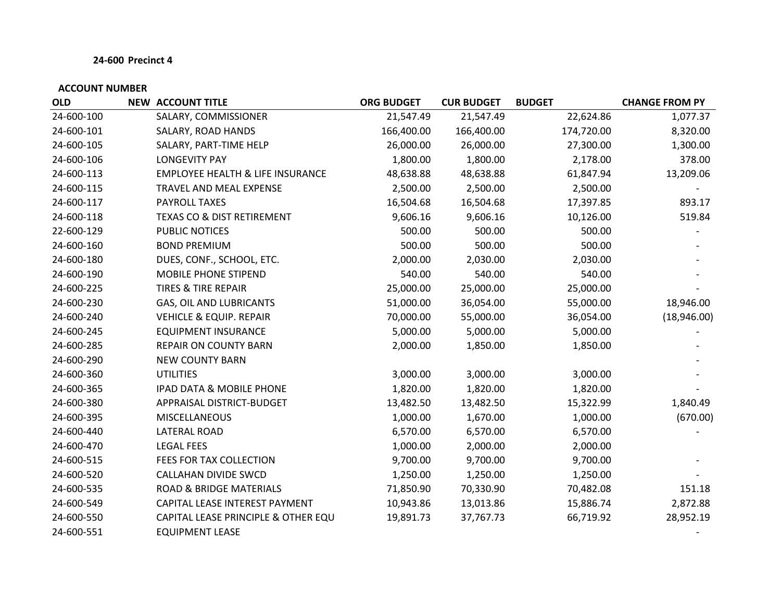| <b>OLD</b> | <b>NEW ACCOUNT TITLE</b>                    | <b>ORG BUDGET</b> | <b>CUR BUDGET</b> | <b>BUDGET</b> | <b>CHANGE FROM PY</b> |
|------------|---------------------------------------------|-------------------|-------------------|---------------|-----------------------|
| 24-600-100 | SALARY, COMMISSIONER                        | 21,547.49         | 21,547.49         | 22,624.86     | 1,077.37              |
| 24-600-101 | SALARY, ROAD HANDS                          | 166,400.00        | 166,400.00        | 174,720.00    | 8,320.00              |
| 24-600-105 | SALARY, PART-TIME HELP                      | 26,000.00         | 26,000.00         | 27,300.00     | 1,300.00              |
| 24-600-106 | <b>LONGEVITY PAY</b>                        | 1,800.00          | 1,800.00          | 2,178.00      | 378.00                |
| 24-600-113 | <b>EMPLOYEE HEALTH &amp; LIFE INSURANCE</b> | 48,638.88         | 48,638.88         | 61,847.94     | 13,209.06             |
| 24-600-115 | TRAVEL AND MEAL EXPENSE                     | 2,500.00          | 2,500.00          | 2,500.00      |                       |
| 24-600-117 | PAYROLL TAXES                               | 16,504.68         | 16,504.68         | 17,397.85     | 893.17                |
| 24-600-118 | <b>TEXAS CO &amp; DIST RETIREMENT</b>       | 9,606.16          | 9,606.16          | 10,126.00     | 519.84                |
| 22-600-129 | PUBLIC NOTICES                              | 500.00            | 500.00            | 500.00        |                       |
| 24-600-160 | <b>BOND PREMIUM</b>                         | 500.00            | 500.00            | 500.00        |                       |
| 24-600-180 | DUES, CONF., SCHOOL, ETC.                   | 2,000.00          | 2,030.00          | 2,030.00      |                       |
| 24-600-190 | MOBILE PHONE STIPEND                        | 540.00            | 540.00            | 540.00        |                       |
| 24-600-225 | <b>TIRES &amp; TIRE REPAIR</b>              | 25,000.00         | 25,000.00         | 25,000.00     |                       |
| 24-600-230 | GAS, OIL AND LUBRICANTS                     | 51,000.00         | 36,054.00         | 55,000.00     | 18,946.00             |
| 24-600-240 | <b>VEHICLE &amp; EQUIP. REPAIR</b>          | 70,000.00         | 55,000.00         | 36,054.00     | (18,946.00)           |
| 24-600-245 | <b>EQUIPMENT INSURANCE</b>                  | 5,000.00          | 5,000.00          | 5,000.00      |                       |
| 24-600-285 | REPAIR ON COUNTY BARN                       | 2,000.00          | 1,850.00          | 1,850.00      |                       |
| 24-600-290 | <b>NEW COUNTY BARN</b>                      |                   |                   |               |                       |
| 24-600-360 | <b>UTILITIES</b>                            | 3,000.00          | 3,000.00          | 3,000.00      |                       |
| 24-600-365 | <b>IPAD DATA &amp; MOBILE PHONE</b>         | 1,820.00          | 1,820.00          | 1,820.00      |                       |
| 24-600-380 | APPRAISAL DISTRICT-BUDGET                   | 13,482.50         | 13,482.50         | 15,322.99     | 1,840.49              |
| 24-600-395 | <b>MISCELLANEOUS</b>                        | 1,000.00          | 1,670.00          | 1,000.00      | (670.00)              |
| 24-600-440 | <b>LATERAL ROAD</b>                         | 6,570.00          | 6,570.00          | 6,570.00      |                       |
| 24-600-470 | <b>LEGAL FEES</b>                           | 1,000.00          | 2,000.00          | 2,000.00      |                       |
| 24-600-515 | FEES FOR TAX COLLECTION                     | 9,700.00          | 9,700.00          | 9,700.00      |                       |
| 24-600-520 | <b>CALLAHAN DIVIDE SWCD</b>                 | 1,250.00          | 1,250.00          | 1,250.00      |                       |
| 24-600-535 | <b>ROAD &amp; BRIDGE MATERIALS</b>          | 71,850.90         | 70,330.90         | 70,482.08     | 151.18                |
| 24-600-549 | CAPITAL LEASE INTEREST PAYMENT              | 10,943.86         | 13,013.86         | 15,886.74     | 2,872.88              |
| 24-600-550 | CAPITAL LEASE PRINCIPLE & OTHER EQU         | 19,891.73         | 37,767.73         | 66,719.92     | 28,952.19             |
| 24-600-551 | <b>EQUIPMENT LEASE</b>                      |                   |                   |               |                       |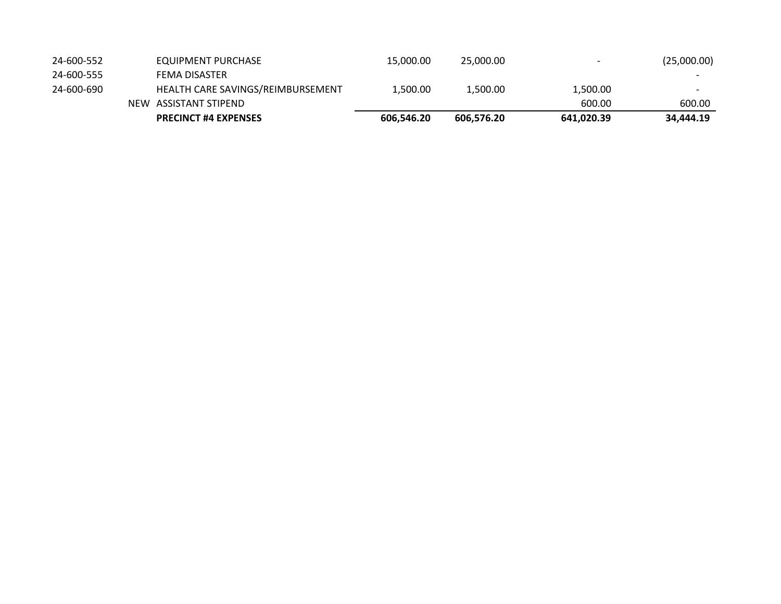| 24-600-552 | EQUIPMENT PURCHASE                | 15,000.00  | 25,000,00  | $\overline{\phantom{a}}$ | (25,000.00)              |
|------------|-----------------------------------|------------|------------|--------------------------|--------------------------|
| 24-600-555 | FEMA DISASTER                     |            |            |                          | $\overline{\phantom{a}}$ |
| 24-600-690 | HEALTH CARE SAVINGS/REIMBURSEMENT | 1.500.00   | 1.500.00   | 1,500.00                 | $\overline{\phantom{a}}$ |
|            | NEW ASSISTANT STIPEND             |            |            | 600.00                   | 600.00                   |
|            | <b>PRECINCT #4 EXPENSES</b>       | 606,546.20 | 606.576.20 | 641,020.39               | 34,444.19                |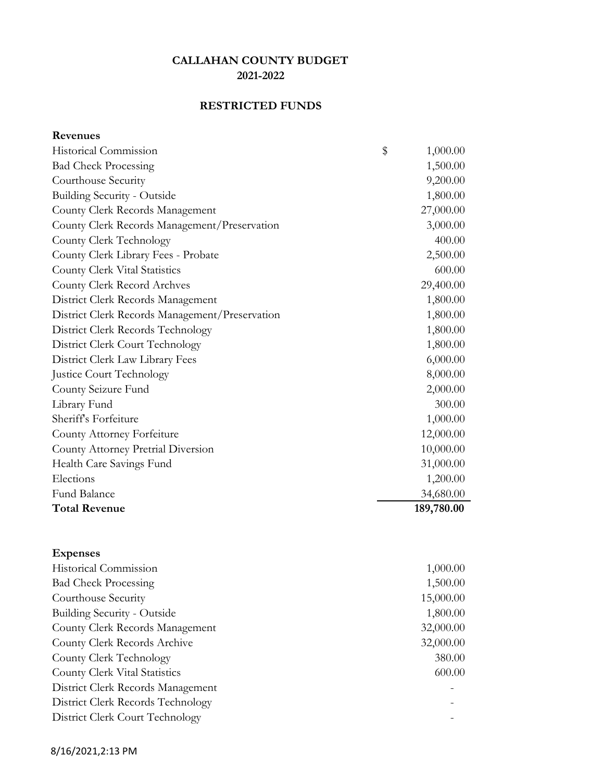## **RESTRICTED FUNDS**

| <b>Revenues</b> |
|-----------------|
|-----------------|

| <b>Historical Commission</b>                   | \$<br>1,000.00 |
|------------------------------------------------|----------------|
| <b>Bad Check Processing</b>                    | 1,500.00       |
| Courthouse Security                            | 9,200.00       |
| <b>Building Security - Outside</b>             | 1,800.00       |
| County Clerk Records Management                | 27,000.00      |
| County Clerk Records Management/Preservation   | 3,000.00       |
| County Clerk Technology                        | 400.00         |
| County Clerk Library Fees - Probate            | 2,500.00       |
| County Clerk Vital Statistics                  | 600.00         |
| County Clerk Record Archves                    | 29,400.00      |
| District Clerk Records Management              | 1,800.00       |
| District Clerk Records Management/Preservation | 1,800.00       |
| District Clerk Records Technology              | 1,800.00       |
| District Clerk Court Technology                | 1,800.00       |
| District Clerk Law Library Fees                | 6,000.00       |
| <b>Justice Court Technology</b>                | 8,000.00       |
| County Seizure Fund                            | 2,000.00       |
| Library Fund                                   | 300.00         |
| Sheriff's Forfeiture                           | 1,000.00       |
| County Attorney Forfeiture                     | 12,000.00      |
| County Attorney Pretrial Diversion             | 10,000.00      |
| Health Care Savings Fund                       | 31,000.00      |
| Elections                                      | 1,200.00       |
| Fund Balance                                   | 34,680.00      |
| <b>Total Revenue</b>                           | 189,780.00     |
|                                                |                |
|                                                |                |

| <b>Expenses</b>                   |           |
|-----------------------------------|-----------|
| Historical Commission             | 1,000.00  |
| <b>Bad Check Processing</b>       | 1,500.00  |
| Courthouse Security               | 15,000.00 |
| Building Security - Outside       | 1,800.00  |
| County Clerk Records Management   | 32,000.00 |
| County Clerk Records Archive      | 32,000.00 |
| County Clerk Technology           | 380.00    |
| County Clerk Vital Statistics     | 600.00    |
| District Clerk Records Management |           |
| District Clerk Records Technology |           |
| District Clerk Court Technology   |           |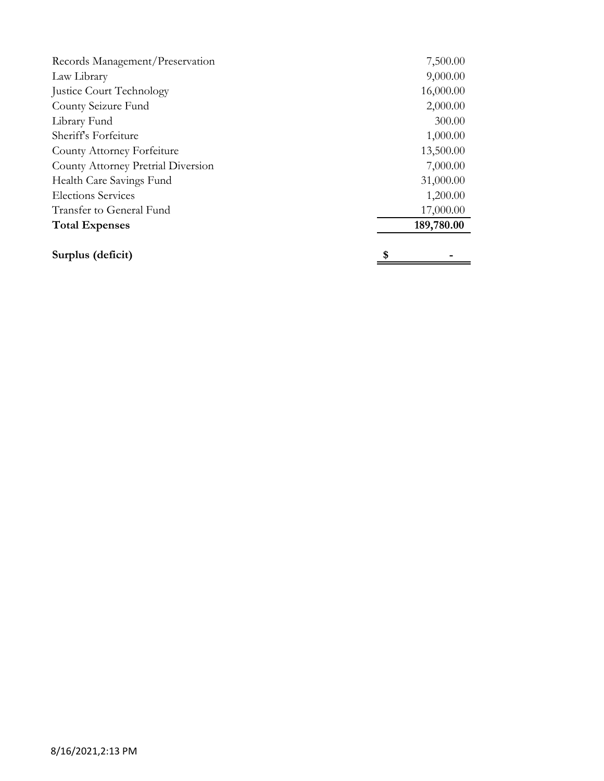| Records Management/Preservation    | 7,500.00   |
|------------------------------------|------------|
| Law Library                        | 9,000.00   |
| Justice Court Technology           | 16,000.00  |
| County Seizure Fund                | 2,000.00   |
| Library Fund                       | 300.00     |
| Sheriff's Forfeiture               | 1,000.00   |
| County Attorney Forfeiture         | 13,500.00  |
| County Attorney Pretrial Diversion | 7,000.00   |
| Health Care Savings Fund           | 31,000.00  |
| <b>Elections Services</b>          | 1,200.00   |
| Transfer to General Fund           | 17,000.00  |
| <b>Total Expenses</b>              | 189,780.00 |
| Surplus (deficit)                  | \$         |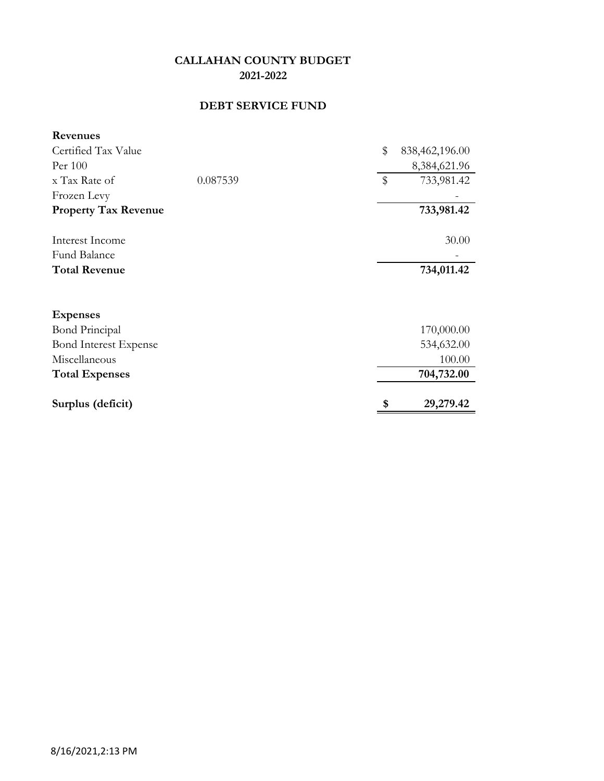## **DEBT SERVICE FUND**

| <b>Revenues</b>              |          |              |                |
|------------------------------|----------|--------------|----------------|
| Certified Tax Value          |          | \$           | 838,462,196.00 |
| Per 100                      |          |              | 8,384,621.96   |
| x Tax Rate of                | 0.087539 | $\mathbb{S}$ | 733,981.42     |
| Frozen Levy                  |          |              |                |
| <b>Property Tax Revenue</b>  |          |              | 733,981.42     |
| Interest Income              |          |              | 30.00          |
| Fund Balance                 |          |              |                |
| <b>Total Revenue</b>         |          |              | 734,011.42     |
| <b>Expenses</b>              |          |              |                |
| <b>Bond Principal</b>        |          |              | 170,000.00     |
| <b>Bond Interest Expense</b> |          |              | 534,632.00     |
| Miscellaneous                |          |              | 100.00         |
| <b>Total Expenses</b>        |          |              | 704,732.00     |
| Surplus (deficit)            |          | \$           | 29,279.42      |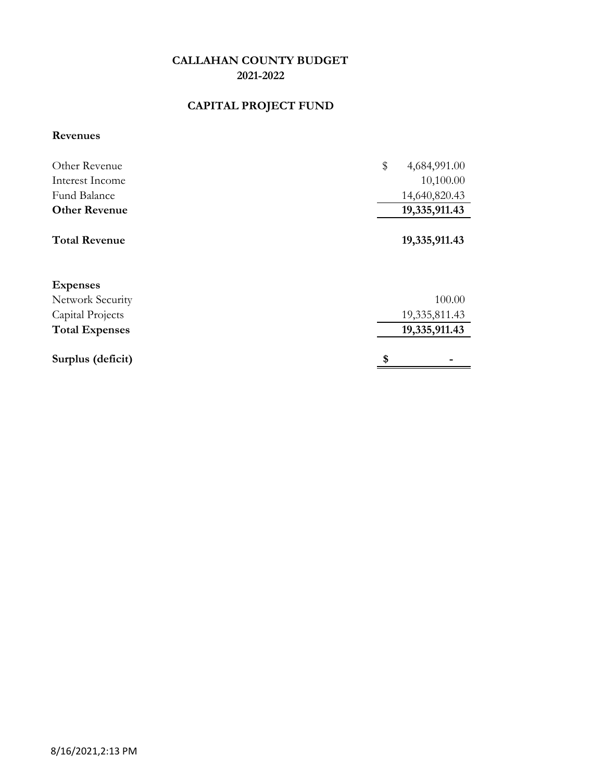## **CAPITAL PROJECT FUND**

## **Revenues**

| Other Revenue         | \$<br>4,684,991.00 |
|-----------------------|--------------------|
| Interest Income       | 10,100.00          |
| Fund Balance          | 14,640,820.43      |
| <b>Other Revenue</b>  | 19,335,911.43      |
| <b>Total Revenue</b>  | 19,335,911.43      |
| <b>Expenses</b>       |                    |
| Network Security      | 100.00             |
| Capital Projects      | 19,335,811.43      |
| <b>Total Expenses</b> | 19,335,911.43      |
| Surplus (deficit)     | \$                 |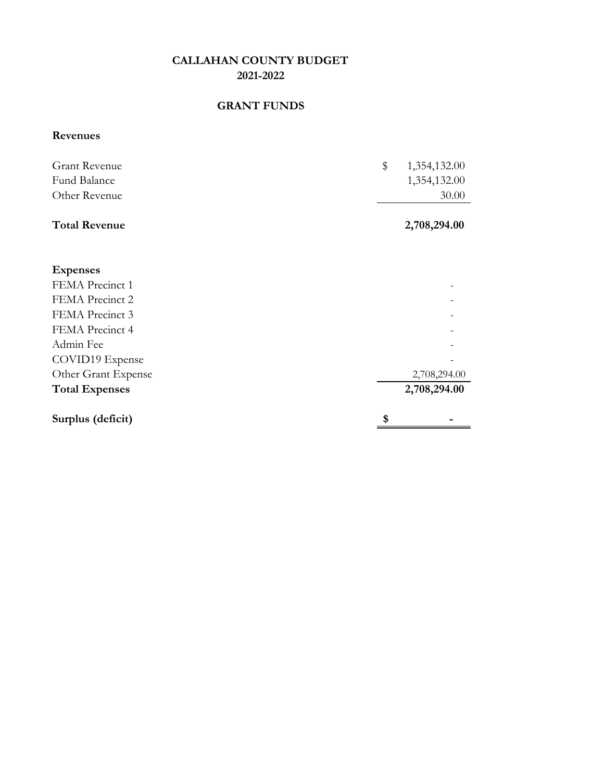## **GRANT FUNDS**

## **Revenues**

| <b>Grant Revenue</b> | $\mathbb{S}$ | 1,354,132.00 |
|----------------------|--------------|--------------|
| Fund Balance         |              | 1,354,132.00 |
| Other Revenue        |              | 30.00        |
|                      |              |              |

## **Total Revenue** 2,708,294.00

| <b>Expenses</b>       |              |
|-----------------------|--------------|
| FEMA Precinct 1       |              |
| FEMA Precinct 2       |              |
| FEMA Precinct 3       |              |
| FEMA Precinct 4       |              |
| Admin Fee             |              |
| COVID19 Expense       |              |
| Other Grant Expense   | 2,708,294.00 |
| <b>Total Expenses</b> | 2,708,294.00 |
| Surplus (deficit)     | \$           |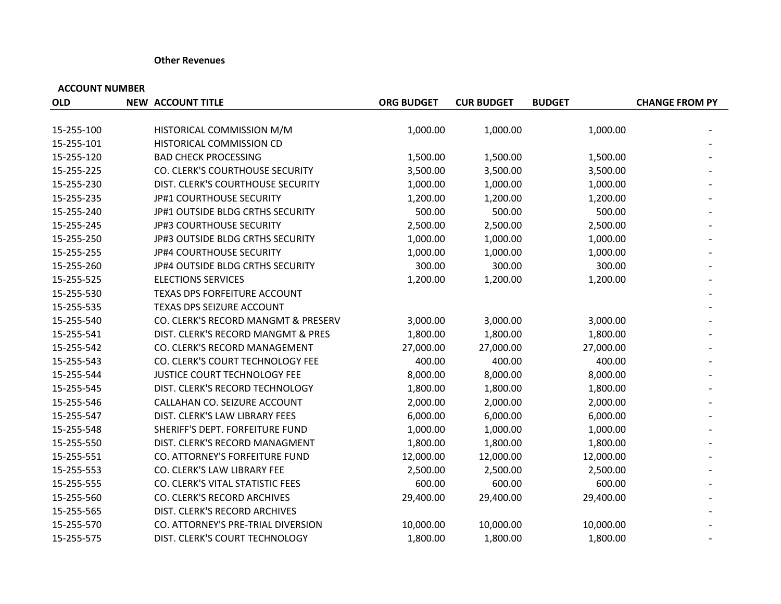#### **Other Revenues**

| <b>OLD</b> | <b>NEW ACCOUNT TITLE</b>            | <b>ORG BUDGET</b> | <b>CUR BUDGET</b> | <b>BUDGET</b> | <b>CHANGE FROM PY</b> |
|------------|-------------------------------------|-------------------|-------------------|---------------|-----------------------|
|            |                                     |                   |                   |               |                       |
| 15-255-100 | HISTORICAL COMMISSION M/M           | 1,000.00          | 1,000.00          | 1,000.00      |                       |
| 15-255-101 | HISTORICAL COMMISSION CD            |                   |                   |               |                       |
| 15-255-120 | <b>BAD CHECK PROCESSING</b>         | 1,500.00          | 1,500.00          | 1,500.00      |                       |
| 15-255-225 | CO. CLERK'S COURTHOUSE SECURITY     | 3,500.00          | 3,500.00          | 3,500.00      |                       |
| 15-255-230 | DIST. CLERK'S COURTHOUSE SECURITY   | 1,000.00          | 1,000.00          | 1,000.00      |                       |
| 15-255-235 | JP#1 COURTHOUSE SECURITY            | 1,200.00          | 1,200.00          | 1,200.00      |                       |
| 15-255-240 | JP#1 OUTSIDE BLDG CRTHS SECURITY    | 500.00            | 500.00            | 500.00        |                       |
| 15-255-245 | JP#3 COURTHOUSE SECURITY            | 2,500.00          | 2,500.00          | 2,500.00      |                       |
| 15-255-250 | JP#3 OUTSIDE BLDG CRTHS SECURITY    | 1,000.00          | 1,000.00          | 1,000.00      |                       |
| 15-255-255 | JP#4 COURTHOUSE SECURITY            | 1,000.00          | 1,000.00          | 1,000.00      |                       |
| 15-255-260 | JP#4 OUTSIDE BLDG CRTHS SECURITY    | 300.00            | 300.00            | 300.00        |                       |
| 15-255-525 | <b>ELECTIONS SERVICES</b>           | 1,200.00          | 1,200.00          | 1,200.00      |                       |
| 15-255-530 | TEXAS DPS FORFEITURE ACCOUNT        |                   |                   |               |                       |
| 15-255-535 | TEXAS DPS SEIZURE ACCOUNT           |                   |                   |               |                       |
| 15-255-540 | CO. CLERK'S RECORD MANGMT & PRESERV | 3,000.00          | 3,000.00          | 3,000.00      |                       |
| 15-255-541 | DIST. CLERK'S RECORD MANGMT & PRES  | 1,800.00          | 1,800.00          | 1,800.00      |                       |
| 15-255-542 | CO. CLERK'S RECORD MANAGEMENT       | 27,000.00         | 27,000.00         | 27,000.00     |                       |
| 15-255-543 | CO. CLERK'S COURT TECHNOLOGY FEE    | 400.00            | 400.00            | 400.00        |                       |
| 15-255-544 | JUSTICE COURT TECHNOLOGY FEE        | 8,000.00          | 8,000.00          | 8,000.00      |                       |
| 15-255-545 | DIST. CLERK'S RECORD TECHNOLOGY     | 1,800.00          | 1,800.00          | 1,800.00      |                       |
| 15-255-546 | CALLAHAN CO. SEIZURE ACCOUNT        | 2,000.00          | 2,000.00          | 2,000.00      |                       |
| 15-255-547 | DIST. CLERK'S LAW LIBRARY FEES      | 6,000.00          | 6,000.00          | 6,000.00      |                       |
| 15-255-548 | SHERIFF'S DEPT. FORFEITURE FUND     | 1,000.00          | 1,000.00          | 1,000.00      |                       |
| 15-255-550 | DIST. CLERK'S RECORD MANAGMENT      | 1,800.00          | 1,800.00          | 1,800.00      |                       |
| 15-255-551 | CO. ATTORNEY'S FORFEITURE FUND      | 12,000.00         | 12,000.00         | 12,000.00     |                       |
| 15-255-553 | CO. CLERK'S LAW LIBRARY FEE         | 2,500.00          | 2,500.00          | 2,500.00      |                       |
| 15-255-555 | CO. CLERK'S VITAL STATISTIC FEES    | 600.00            | 600.00            | 600.00        |                       |
| 15-255-560 | CO. CLERK'S RECORD ARCHIVES         | 29,400.00         | 29,400.00         | 29,400.00     |                       |
| 15-255-565 | DIST. CLERK'S RECORD ARCHIVES       |                   |                   |               |                       |
| 15-255-570 | CO. ATTORNEY'S PRE-TRIAL DIVERSION  | 10,000.00         | 10,000.00         | 10,000.00     |                       |
| 15-255-575 | DIST. CLERK'S COURT TECHNOLOGY      | 1,800.00          | 1,800.00          | 1,800.00      |                       |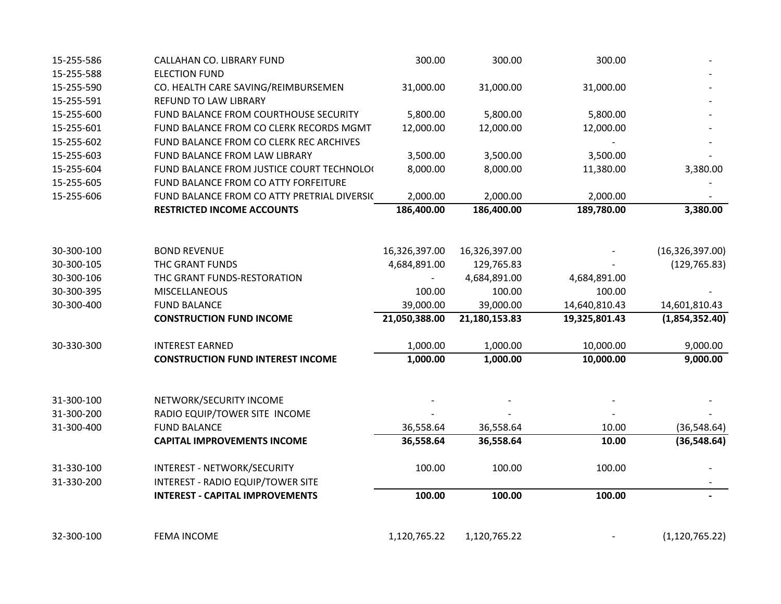| 15-255-586 | CALLAHAN CO. LIBRARY FUND                   | 300.00        | 300.00        | 300.00        |                   |
|------------|---------------------------------------------|---------------|---------------|---------------|-------------------|
| 15-255-588 | <b>ELECTION FUND</b>                        |               |               |               |                   |
| 15-255-590 | CO. HEALTH CARE SAVING/REIMBURSEMEN         | 31,000.00     | 31,000.00     | 31,000.00     |                   |
| 15-255-591 | REFUND TO LAW LIBRARY                       |               |               |               |                   |
| 15-255-600 | FUND BALANCE FROM COURTHOUSE SECURITY       | 5,800.00      | 5,800.00      | 5,800.00      |                   |
| 15-255-601 | FUND BALANCE FROM CO CLERK RECORDS MGMT     | 12,000.00     | 12,000.00     | 12,000.00     |                   |
| 15-255-602 | FUND BALANCE FROM CO CLERK REC ARCHIVES     |               |               |               |                   |
| 15-255-603 | FUND BALANCE FROM LAW LIBRARY               | 3,500.00      | 3,500.00      | 3,500.00      |                   |
| 15-255-604 | FUND BALANCE FROM JUSTICE COURT TECHNOLO(   | 8,000.00      | 8,000.00      | 11,380.00     | 3,380.00          |
| 15-255-605 | FUND BALANCE FROM CO ATTY FORFEITURE        |               |               |               |                   |
| 15-255-606 | FUND BALANCE FROM CO ATTY PRETRIAL DIVERSIC | 2,000.00      | 2,000.00      | 2,000.00      |                   |
|            | <b>RESTRICTED INCOME ACCOUNTS</b>           | 186,400.00    | 186,400.00    | 189,780.00    | 3,380.00          |
|            |                                             |               |               |               |                   |
| 30-300-100 | <b>BOND REVENUE</b>                         | 16,326,397.00 | 16,326,397.00 |               | (16, 326, 397.00) |
| 30-300-105 | THC GRANT FUNDS                             | 4,684,891.00  | 129,765.83    |               | (129, 765.83)     |
| 30-300-106 | THC GRANT FUNDS-RESTORATION                 |               | 4,684,891.00  | 4,684,891.00  |                   |
| 30-300-395 | MISCELLANEOUS                               | 100.00        | 100.00        | 100.00        |                   |
| 30-300-400 | <b>FUND BALANCE</b>                         | 39,000.00     | 39,000.00     | 14,640,810.43 | 14,601,810.43     |
|            | <b>CONSTRUCTION FUND INCOME</b>             | 21,050,388.00 | 21,180,153.83 | 19,325,801.43 | (1,854,352.40)    |
| 30-330-300 | <b>INTEREST EARNED</b>                      | 1,000.00      | 1,000.00      | 10,000.00     | 9,000.00          |
|            | <b>CONSTRUCTION FUND INTEREST INCOME</b>    | 1,000.00      | 1,000.00      | 10,000.00     | 9,000.00          |
|            |                                             |               |               |               |                   |
| 31-300-100 | NETWORK/SECURITY INCOME                     |               |               |               |                   |
| 31-300-200 | RADIO EQUIP/TOWER SITE INCOME               |               |               |               |                   |
| 31-300-400 | <b>FUND BALANCE</b>                         | 36,558.64     | 36,558.64     | 10.00         | (36, 548.64)      |
|            | <b>CAPITAL IMPROVEMENTS INCOME</b>          | 36,558.64     | 36,558.64     | 10.00         | (36, 548.64)      |
| 31-330-100 | INTEREST - NETWORK/SECURITY                 | 100.00        | 100.00        | 100.00        |                   |
| 31-330-200 | <b>INTEREST - RADIO EQUIP/TOWER SITE</b>    |               |               |               |                   |
|            | <b>INTEREST - CAPITAL IMPROVEMENTS</b>      | 100.00        | 100.00        | 100.00        |                   |
|            |                                             |               |               |               |                   |
| 32-300-100 | <b>FEMA INCOME</b>                          | 1,120,765.22  | 1,120,765.22  |               | (1, 120, 765.22)  |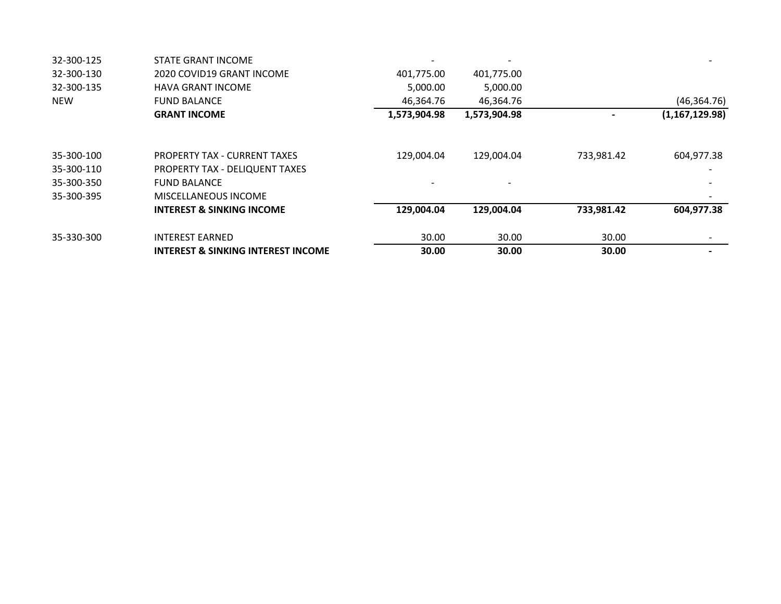| 32-300-125 | <b>STATE GRANT INCOME</b>                     |              |              |            |                  |
|------------|-----------------------------------------------|--------------|--------------|------------|------------------|
| 32-300-130 | 2020 COVID19 GRANT INCOME                     | 401,775.00   | 401,775.00   |            |                  |
| 32-300-135 | HAVA GRANT INCOME                             | 5,000.00     | 5,000.00     |            |                  |
| <b>NEW</b> | <b>FUND BALANCE</b>                           | 46,364.76    | 46,364.76    |            | (46, 364.76)     |
|            | <b>GRANT INCOME</b>                           | 1,573,904.98 | 1,573,904.98 |            | (1, 167, 129.98) |
| 35-300-100 | <b>PROPERTY TAX - CURRENT TAXES</b>           | 129,004.04   | 129,004.04   | 733,981.42 | 604,977.38       |
| 35-300-110 | PROPERTY TAX - DELIQUENT TAXES                |              |              |            |                  |
| 35-300-350 | <b>FUND BALANCE</b>                           |              |              |            |                  |
| 35-300-395 | <b>MISCELLANEOUS INCOME</b>                   |              |              |            |                  |
|            | <b>INTEREST &amp; SINKING INCOME</b>          | 129,004.04   | 129,004.04   | 733,981.42 | 604,977.38       |
| 35-330-300 | <b>INTEREST EARNED</b>                        | 30.00        | 30.00        | 30.00      |                  |
|            | <b>INTEREST &amp; SINKING INTEREST INCOME</b> | 30.00        | 30.00        | 30.00      |                  |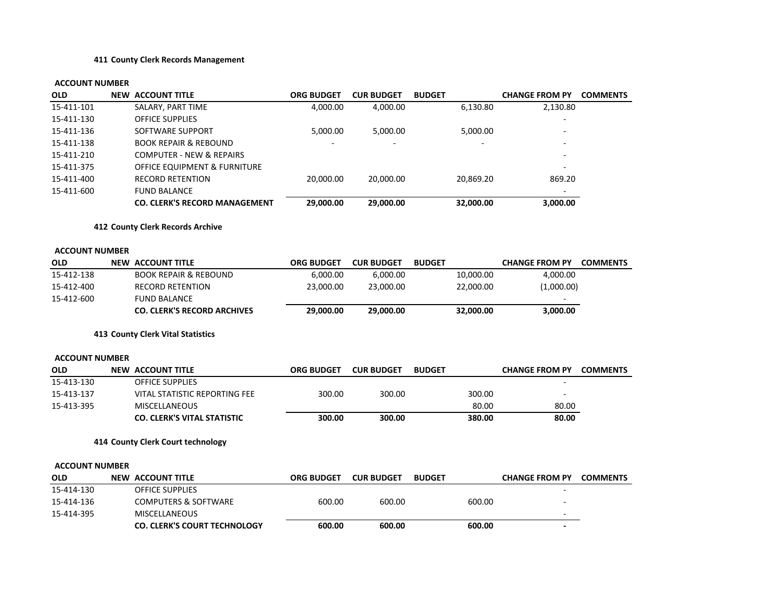#### **411 County Clerk Records Management**

| OLD                   | <b>NEW ACCOUNT TITLE</b>                | <b>ORG BUDGET</b> | <b>CUR BUDGET</b> | <b>BUDGET</b> |           | <b>CHANGE FROM PY</b> | <b>COMMENTS</b> |
|-----------------------|-----------------------------------------|-------------------|-------------------|---------------|-----------|-----------------------|-----------------|
| 15-411-101            | SALARY, PART TIME                       | 4,000.00          | 4,000.00          |               | 6,130.80  | 2,130.80              |                 |
| 15-411-130            | <b>OFFICE SUPPLIES</b>                  |                   |                   |               |           |                       |                 |
| 15-411-136            | SOFTWARE SUPPORT                        | 5,000.00          | 5,000.00          |               | 5,000.00  |                       |                 |
| 15-411-138            | <b>BOOK REPAIR &amp; REBOUND</b>        |                   |                   |               |           |                       |                 |
| 15-411-210            | <b>COMPUTER - NEW &amp; REPAIRS</b>     |                   |                   |               |           |                       |                 |
| 15-411-375            | <b>OFFICE EQUIPMENT &amp; FURNITURE</b> |                   |                   |               |           |                       |                 |
| 15-411-400            | <b>RECORD RETENTION</b>                 | 20,000.00         | 20,000.00         |               | 20,869.20 | 869.20                |                 |
| 15-411-600            | <b>FUND BALANCE</b>                     |                   |                   |               |           |                       |                 |
|                       | <b>CO. CLERK'S RECORD MANAGEMENT</b>    | 29,000.00         | 29,000.00         |               | 32,000.00 | 3,000.00              |                 |
|                       | 412 County Clerk Records Archive        |                   |                   |               |           |                       |                 |
| <b>ACCOUNT NUMBER</b> |                                         |                   |                   |               |           |                       |                 |
| <b>OLD</b>            | <b>NEW ACCOUNT TITLE</b>                | <b>ORG BUDGET</b> | <b>CUR BUDGET</b> | <b>BUDGET</b> |           | <b>CHANGE FROM PY</b> | <b>COMMENTS</b> |
| 15-412-138            | <b>BOOK REPAIR &amp; REBOUND</b>        | 6,000.00          | 6,000.00          |               | 10,000.00 | 4,000.00              |                 |
| 15-412-400            | <b>RECORD RETENTION</b>                 | 23,000.00         | 23,000.00         |               | 22,000.00 | (1,000.00)            |                 |
| 15-412-600            | <b>FUND BALANCE</b>                     |                   |                   |               |           |                       |                 |
|                       | <b>CO. CLERK'S RECORD ARCHIVES</b>      | 29,000.00         | 29,000.00         |               | 32,000.00 | 3,000.00              |                 |
|                       | 413 County Clerk Vital Statistics       |                   |                   |               |           |                       |                 |
| <b>ACCOUNT NUMBER</b> |                                         |                   |                   |               |           |                       |                 |
| OLD                   | <b>NEW ACCOUNT TITLE</b>                | <b>ORG BUDGET</b> | <b>CUR BUDGET</b> | <b>BUDGET</b> |           | <b>CHANGE FROM PY</b> | <b>COMMENTS</b> |
| 15-413-130            | <b>OFFICE SUPPLIES</b>                  |                   |                   |               |           |                       |                 |
| 15-413-137            | <b>VITAL STATISTIC REPORTING FEE</b>    | 300.00            | 300.00            |               | 300.00    |                       |                 |
| 15-413-395            | <b>MISCELLANEOUS</b>                    |                   |                   |               | 80.00     | 80.00                 |                 |
|                       | <b>CO. CLERK'S VITAL STATISTIC</b>      | 300.00            | 300.00            |               | 380.00    | 80.00                 |                 |
|                       | 414 County Clerk Court technology       |                   |                   |               |           |                       |                 |
| <b>ACCOUNT NUMBER</b> |                                         |                   |                   |               |           |                       |                 |
| <b>OLD</b>            | <b>NEW ACCOUNT TITLE</b>                | <b>ORG BUDGET</b> | <b>CUR BUDGET</b> | <b>BUDGET</b> |           | <b>CHANGE FROM PY</b> | <b>COMMENTS</b> |
| 15-414-130            | OFFICE SUPPLIES                         |                   |                   |               |           |                       |                 |
| 15-414-136            | <b>COMPUTERS &amp; SOFTWARE</b>         | 600.00            | 600.00            |               | 600.00    |                       |                 |
| 15-414-395            | <b>MISCELLANEOUS</b>                    |                   |                   |               |           |                       |                 |
|                       | <b>CO. CLERK'S COURT TECHNOLOGY</b>     | 600.00            | 600.00            |               | 600.00    |                       |                 |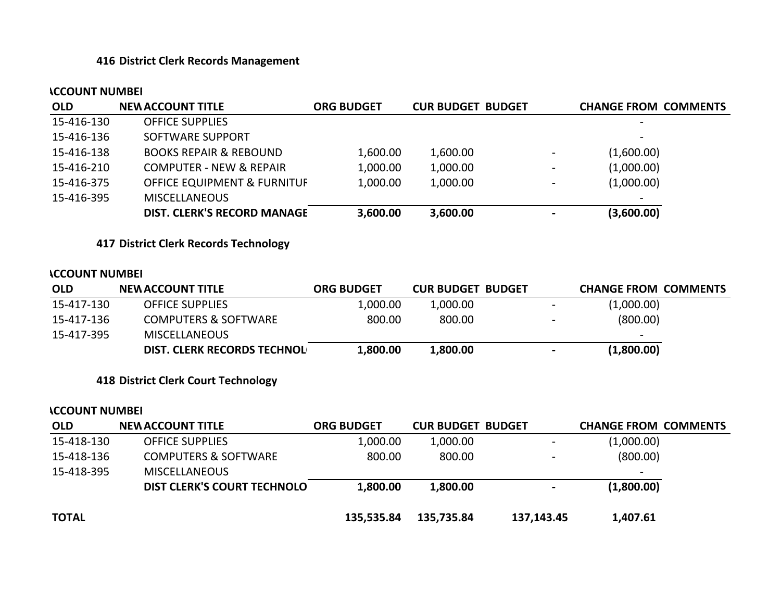## **416 District Clerk Records Management**

#### **ACCOUNT NUMBER**

| <b>OLD</b> | <b>NEW ACCOUNT TITLE</b>               | <b>ORG BUDGET</b> | <b>CUR BUDGET BUDGET</b> |                          | <b>CHANGE FROM COMMENTS</b> |
|------------|----------------------------------------|-------------------|--------------------------|--------------------------|-----------------------------|
| 15-416-130 | <b>OFFICE SUPPLIES</b>                 |                   |                          |                          | $\overline{\phantom{0}}$    |
| 15-416-136 | SOFTWARE SUPPORT                       |                   |                          |                          | $\overline{\phantom{0}}$    |
| 15-416-138 | <b>BOOKS REPAIR &amp; REBOUND</b>      | 1,600.00          | 1,600.00                 | $\overline{\phantom{a}}$ | (1,600.00)                  |
| 15-416-210 | <b>COMPUTER - NEW &amp; REPAIR</b>     | 1,000.00          | 1,000.00                 | $\overline{\phantom{0}}$ | (1,000.00)                  |
| 15-416-375 | <b>OFFICE EQUIPMENT &amp; FURNITUF</b> | 1,000.00          | 1,000.00                 | $\overline{\phantom{0}}$ | (1,000.00)                  |
| 15-416-395 | <b>MISCELLANEOUS</b>                   |                   |                          |                          | $\overline{\phantom{0}}$    |
|            | <b>DIST. CLERK'S RECORD MANAGE</b>     | 3,600.00          | 3,600.00                 |                          | (3,600.00)                  |

**417 District Clerk Records Technology**

#### **ACCOUNT NUMBER**

| <b>OLD</b> | <b>NEW ACCOUNT TITLE</b>           | <b>ORG BUDGET</b> | <b>CUR BUDGET BUDGET</b> |                          | <b>CHANGE FROM COMMENTS</b> |
|------------|------------------------------------|-------------------|--------------------------|--------------------------|-----------------------------|
| 15-417-130 | <b>OFFICE SUPPLIES</b>             | 1,000.00          | 1,000.00                 | $\overline{\phantom{0}}$ | (1,000.00)                  |
| 15-417-136 | <b>COMPUTERS &amp; SOFTWARE</b>    | 800.00            | 800.00                   | $\overline{\phantom{0}}$ | (800.00)                    |
| 15-417-395 | <b>MISCELLANEOUS</b>               |                   |                          |                          | $\overline{\phantom{0}}$    |
|            | <b>DIST. CLERK RECORDS TECHNOL</b> | 1,800.00          | 1,800.00                 | $\blacksquare$           | (1,800.00)                  |

## **418 District Clerk Court Technology**

| <b>OLD</b>   | <b>NEW ACCOUNT TITLE</b>           | <b>ORG BUDGET</b> | <b>CUR BUDGET BUDGET</b> |                          | <b>CHANGE FROM COMMENTS</b> |  |
|--------------|------------------------------------|-------------------|--------------------------|--------------------------|-----------------------------|--|
| 15-418-130   | <b>OFFICE SUPPLIES</b>             | 1,000.00          | 1,000.00                 | $\overline{\phantom{a}}$ | (1,000.00)                  |  |
| 15-418-136   | <b>COMPUTERS &amp; SOFTWARE</b>    | 800.00            | 800.00                   | $\overline{\phantom{a}}$ | (800.00)                    |  |
| 15-418-395   | <b>MISCELLANEOUS</b>               |                   |                          |                          |                             |  |
|              | <b>DIST CLERK'S COURT TECHNOLO</b> | 1,800.00          | 1,800.00                 | $\blacksquare$           | (1,800.00)                  |  |
| <b>TOTAL</b> |                                    | 135,535.84        | 135,735.84               | 137,143.45               | 1,407.61                    |  |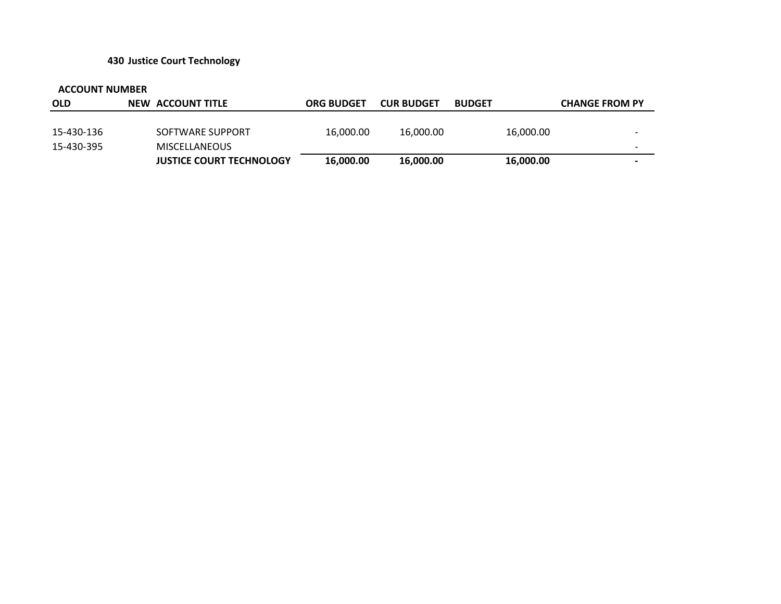## **430 Justice Court Technology**

| <b>OLD</b> | NEW ACCOUNT TITLE               | <b>ORG BUDGET</b> | <b>CUR BUDGET</b> | <b>BUDGET</b> |           | <b>CHANGE FROM PY</b>    |
|------------|---------------------------------|-------------------|-------------------|---------------|-----------|--------------------------|
|            |                                 |                   |                   |               |           |                          |
| 15-430-136 | SOFTWARE SUPPORT                | 16,000.00         | 16,000.00         |               | 16,000.00 | -                        |
| 15-430-395 | <b>MISCELLANEOUS</b>            |                   |                   |               |           | $\overline{\phantom{0}}$ |
|            | <b>JUSTICE COURT TECHNOLOGY</b> | 16,000.00         | 16,000.00         |               | 16,000.00 | $\overline{\phantom{0}}$ |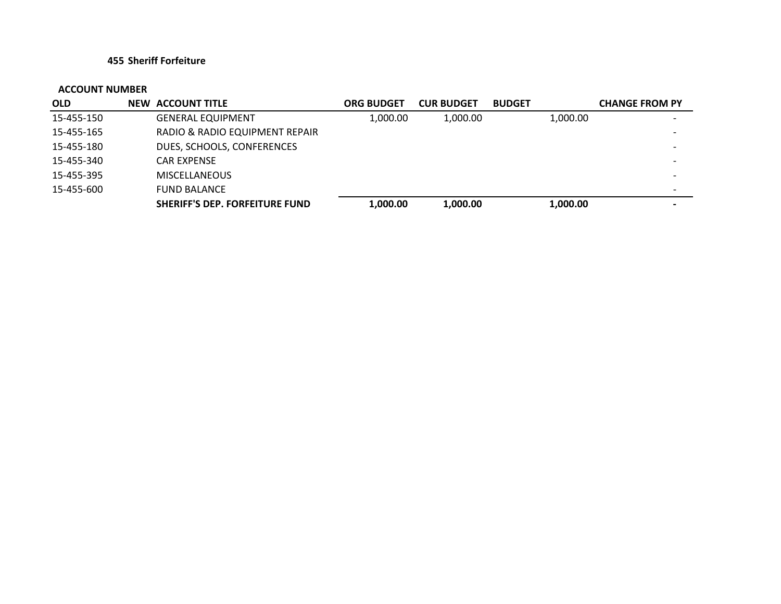## **455 Sheriff Forfeiture**

| <b>OLD</b> | <b>NEW ACCOUNT TITLE</b>              | <b>ORG BUDGET</b> | <b>CUR BUDGET</b> | <b>BUDGET</b> | <b>CHANGE FROM PY</b> |
|------------|---------------------------------------|-------------------|-------------------|---------------|-----------------------|
| 15-455-150 | <b>GENERAL EQUIPMENT</b>              | 1.000.00          | 1.000.00          | 1,000.00      |                       |
| 15-455-165 | RADIO & RADIO EQUIPMENT REPAIR        |                   |                   |               |                       |
| 15-455-180 | DUES, SCHOOLS, CONFERENCES            |                   |                   |               |                       |
| 15-455-340 | <b>CAR EXPENSE</b>                    |                   |                   |               |                       |
| 15-455-395 | <b>MISCELLANEOUS</b>                  |                   |                   |               |                       |
| 15-455-600 | <b>FUND BALANCE</b>                   |                   |                   |               |                       |
|            | <b>SHERIFF'S DEP. FORFEITURE FUND</b> | 1,000.00          | 1,000.00          | 1,000.00      |                       |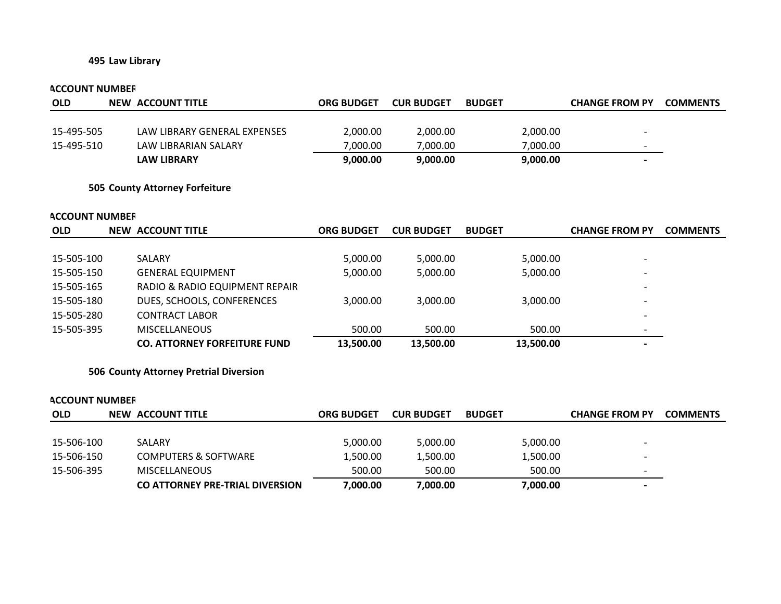## **495 Law Library**

#### **ACCOUNT NUMBER**

| <b>OLD</b> | NEW ACCOUNT TITLE            | <b>ORG BUDGET</b> | <b>CUR BUDGET</b> | <b>BUDGET</b> | <b>CHANGE FROM PY</b>    | <b>COMMENTS</b> |
|------------|------------------------------|-------------------|-------------------|---------------|--------------------------|-----------------|
|            |                              |                   |                   |               |                          |                 |
| 15-495-505 | LAW LIBRARY GENERAL EXPENSES | 2,000.00          | 2,000.00          | 2,000.00      | $\overline{\phantom{0}}$ |                 |
| 15-495-510 | LAW LIBRARIAN SALARY         | 7.000.00          | 7.000.00          | 7.000.00      | $\overline{\phantom{0}}$ |                 |
|            | <b>LAW LIBRARY</b>           | 9,000.00          | 9.000.00          | 9,000.00      |                          |                 |

#### **505 County Attorney Forfeiture**

#### **ACCOUNT NUMBER**

| <b>OLD</b> | NEW ACCOUNT TITLE                   | <b>ORG BUDGET</b> | <b>CUR BUDGET</b> | <b>BUDGET</b> | <b>CHANGE FROM PY</b>    | <b>COMMENTS</b> |
|------------|-------------------------------------|-------------------|-------------------|---------------|--------------------------|-----------------|
|            |                                     |                   |                   |               |                          |                 |
| 15-505-100 | <b>SALARY</b>                       | 5,000.00          | 5,000.00          | 5,000.00      | $\overline{\phantom{a}}$ |                 |
| 15-505-150 | <b>GENERAL EQUIPMENT</b>            | 5,000.00          | 5,000.00          | 5,000.00      | $\overline{\phantom{0}}$ |                 |
| 15-505-165 | RADIO & RADIO EQUIPMENT REPAIR      |                   |                   |               |                          |                 |
| 15-505-180 | DUES, SCHOOLS, CONFERENCES          | 3,000.00          | 3.000.00          | 3,000.00      |                          |                 |
| 15-505-280 | <b>CONTRACT LABOR</b>               |                   |                   |               |                          |                 |
| 15-505-395 | <b>MISCELLANEOUS</b>                | 500.00            | 500.00            | 500.00        | $\overline{\phantom{0}}$ |                 |
|            | <b>CO. ATTORNEY FORFEITURE FUND</b> | 13.500.00         | 13,500.00         | 13,500.00     | $\overline{\phantom{0}}$ |                 |

#### **506 County Attorney Pretrial Diversion**

## **OLD NEW ACCOUNT TITLE ORG BUDGET CUR BUDGET BUDGET CHANGE FROM PY COMMENTS** 15‐506‐100 SALARY 5,000.00 5,000.00 5,000.00 -15‐506‐150 COMPUTERS & SOFTWARE 1,500.00 1,500.00 1,500.00 1,500.00 15‐506‐395 MISCELLANEOUS 500.00 500.00 500.00 ‐ **CO ATTORNEY PRE‐TRIAL DIVERSION 7,000.00 7,000.00 7,000.00 ‐ ACCOUNT NUMBER**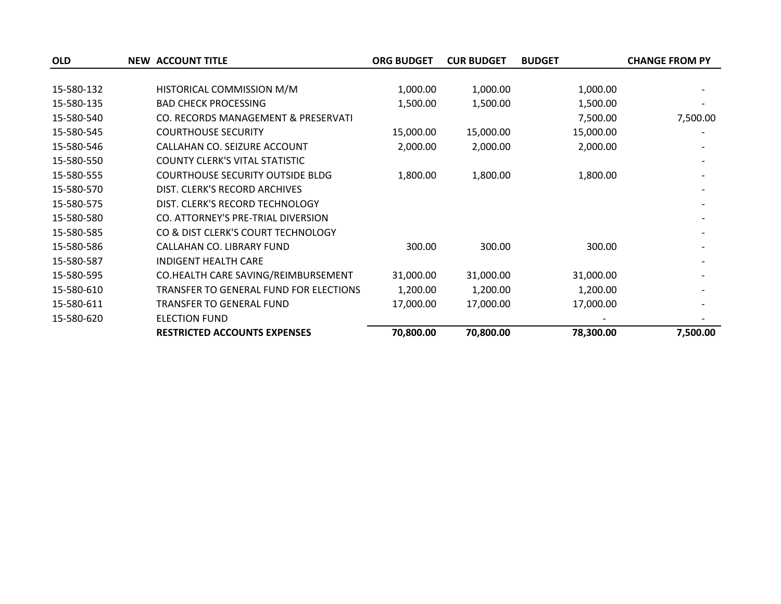| <b>OLD</b> | <b>NEW ACCOUNT TITLE</b>                | <b>ORG BUDGET</b> | <b>CUR BUDGET</b> | <b>BUDGET</b> | <b>CHANGE FROM PY</b> |
|------------|-----------------------------------------|-------------------|-------------------|---------------|-----------------------|
|            |                                         |                   |                   |               |                       |
| 15-580-132 | HISTORICAL COMMISSION M/M               | 1,000.00          | 1,000.00          | 1,000.00      |                       |
| 15-580-135 | <b>BAD CHECK PROCESSING</b>             | 1,500.00          | 1,500.00          | 1,500.00      |                       |
| 15-580-540 | CO. RECORDS MANAGEMENT & PRESERVATI     |                   |                   | 7,500.00      | 7,500.00              |
| 15-580-545 | <b>COURTHOUSE SECURITY</b>              | 15,000.00         | 15,000.00         | 15,000.00     |                       |
| 15-580-546 | CALLAHAN CO. SEIZURE ACCOUNT            | 2,000.00          | 2,000.00          | 2,000.00      |                       |
| 15-580-550 | <b>COUNTY CLERK'S VITAL STATISTIC</b>   |                   |                   |               |                       |
| 15-580-555 | <b>COURTHOUSE SECURITY OUTSIDE BLDG</b> | 1,800.00          | 1,800.00          | 1,800.00      |                       |
| 15-580-570 | DIST. CLERK'S RECORD ARCHIVES           |                   |                   |               |                       |
| 15-580-575 | DIST. CLERK'S RECORD TECHNOLOGY         |                   |                   |               |                       |
| 15-580-580 | CO. ATTORNEY'S PRE-TRIAL DIVERSION      |                   |                   |               |                       |
| 15-580-585 | CO & DIST CLERK'S COURT TECHNOLOGY      |                   |                   |               |                       |
| 15-580-586 | CALLAHAN CO. LIBRARY FUND               | 300.00            | 300.00            | 300.00        |                       |
| 15-580-587 | INDIGENT HEALTH CARE                    |                   |                   |               |                       |
| 15-580-595 | CO.HEALTH CARE SAVING/REIMBURSEMENT     | 31,000.00         | 31,000.00         | 31,000.00     |                       |
| 15-580-610 | TRANSFER TO GENERAL FUND FOR ELECTIONS  | 1,200.00          | 1,200.00          | 1,200.00      |                       |
| 15-580-611 | TRANSFER TO GENERAL FUND                | 17,000.00         | 17,000.00         | 17,000.00     |                       |
| 15-580-620 | <b>ELECTION FUND</b>                    |                   |                   |               |                       |
|            | <b>RESTRICTED ACCOUNTS EXPENSES</b>     | 70,800.00         | 70,800.00         | 78,300.00     | 7,500.00              |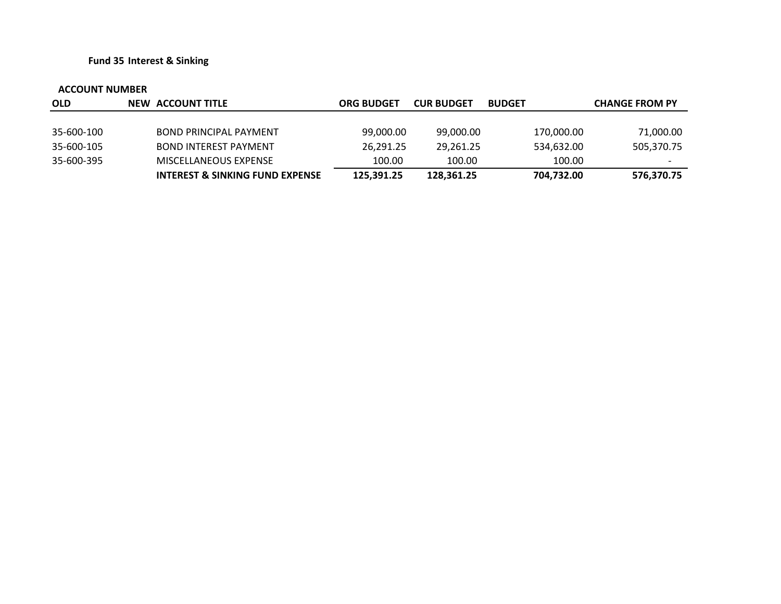**Fund 35 Interest & Sinking**

| <b>OLD</b> | NEW ACCOUNT TITLE               | <b>ORG BUDGET</b> | <b>CUR BUDGET</b> | <b>BUDGET</b> | <b>CHANGE FROM PY</b> |
|------------|---------------------------------|-------------------|-------------------|---------------|-----------------------|
|            |                                 |                   |                   |               |                       |
| 35-600-100 | <b>BOND PRINCIPAL PAYMENT</b>   | 99,000.00         | 99,000.00         | 170,000.00    | 71,000.00             |
| 35-600-105 | <b>BOND INTEREST PAYMENT</b>    | 26,291.25         | 29,261.25         | 534,632.00    | 505,370.75            |
| 35-600-395 | MISCELLANEOUS EXPENSE           | 100.00            | 100.00            | 100.00        | -                     |
|            | INTEREST & SINKING FUND EXPENSE | 125,391.25        | 128,361.25        | 704,732.00    | 576,370.75            |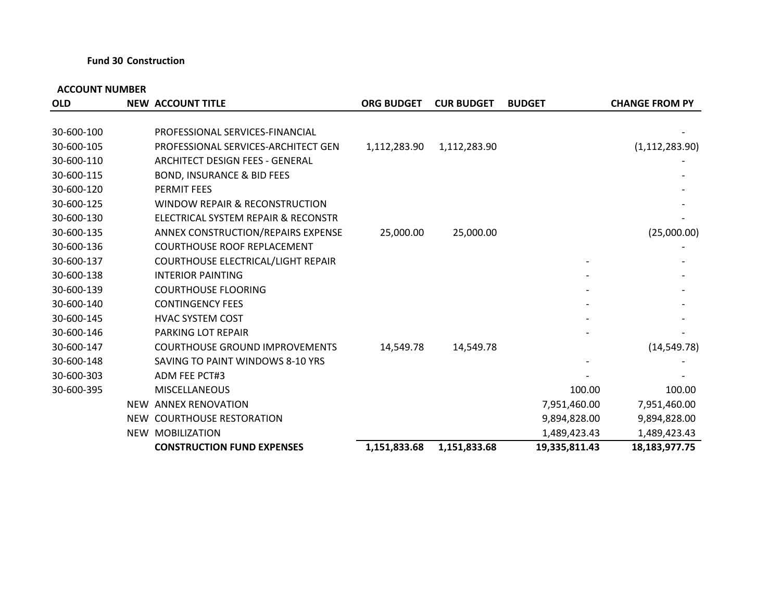## **Fund 30 Construction**

| <b>OLD</b> | <b>NEW ACCOUNT TITLE</b>              | <b>ORG BUDGET</b> | <b>CUR BUDGET</b> | <b>BUDGET</b> | <b>CHANGE FROM PY</b> |
|------------|---------------------------------------|-------------------|-------------------|---------------|-----------------------|
|            |                                       |                   |                   |               |                       |
| 30-600-100 | PROFESSIONAL SERVICES-FINANCIAL       |                   |                   |               |                       |
| 30-600-105 | PROFESSIONAL SERVICES-ARCHITECT GEN   | 1,112,283.90      | 1,112,283.90      |               | (1, 112, 283.90)      |
| 30-600-110 | ARCHITECT DESIGN FEES - GENERAL       |                   |                   |               |                       |
| 30-600-115 | <b>BOND, INSURANCE &amp; BID FEES</b> |                   |                   |               |                       |
| 30-600-120 | <b>PERMIT FEES</b>                    |                   |                   |               |                       |
| 30-600-125 | WINDOW REPAIR & RECONSTRUCTION        |                   |                   |               |                       |
| 30-600-130 | ELECTRICAL SYSTEM REPAIR & RECONSTR   |                   |                   |               |                       |
| 30-600-135 | ANNEX CONSTRUCTION/REPAIRS EXPENSE    | 25,000.00         | 25,000.00         |               | (25,000.00)           |
| 30-600-136 | <b>COURTHOUSE ROOF REPLACEMENT</b>    |                   |                   |               |                       |
| 30-600-137 | COURTHOUSE ELECTRICAL/LIGHT REPAIR    |                   |                   |               |                       |
| 30-600-138 | <b>INTERIOR PAINTING</b>              |                   |                   |               |                       |
| 30-600-139 | <b>COURTHOUSE FLOORING</b>            |                   |                   |               |                       |
| 30-600-140 | <b>CONTINGENCY FEES</b>               |                   |                   |               |                       |
| 30-600-145 | <b>HVAC SYSTEM COST</b>               |                   |                   |               |                       |
| 30-600-146 | <b>PARKING LOT REPAIR</b>             |                   |                   |               |                       |
| 30-600-147 | <b>COURTHOUSE GROUND IMPROVEMENTS</b> | 14,549.78         | 14,549.78         |               | (14, 549.78)          |
| 30-600-148 | SAVING TO PAINT WINDOWS 8-10 YRS      |                   |                   |               |                       |
| 30-600-303 | <b>ADM FEE PCT#3</b>                  |                   |                   |               |                       |
| 30-600-395 | <b>MISCELLANEOUS</b>                  |                   |                   | 100.00        | 100.00                |
|            | NEW ANNEX RENOVATION                  |                   |                   | 7,951,460.00  | 7,951,460.00          |
|            | NEW COURTHOUSE RESTORATION            |                   |                   | 9,894,828.00  | 9,894,828.00          |
|            | <b>NEW MOBILIZATION</b>               |                   |                   | 1,489,423.43  | 1,489,423.43          |
|            | <b>CONSTRUCTION FUND EXPENSES</b>     | 1,151,833.68      | 1,151,833.68      | 19,335,811.43 | 18,183,977.75         |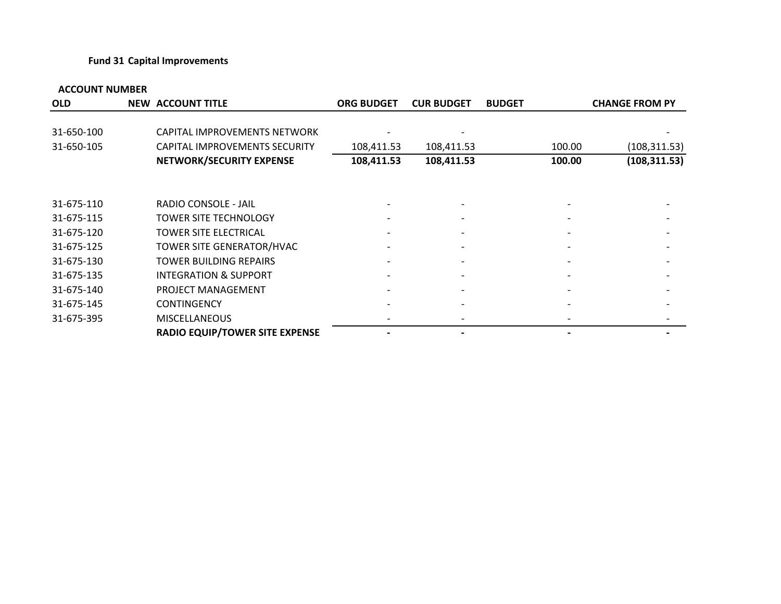## **Fund 31 Capital Improvements**

| <b>OLD</b> | <b>NEW ACCOUNT TITLE</b>              | <b>ORG BUDGET</b> | <b>CUR BUDGET</b>        | <b>BUDGET</b> | <b>CHANGE FROM PY</b> |               |
|------------|---------------------------------------|-------------------|--------------------------|---------------|-----------------------|---------------|
|            |                                       |                   |                          |               |                       |               |
| 31-650-100 | CAPITAL IMPROVEMENTS NETWORK          |                   |                          |               |                       |               |
| 31-650-105 | CAPITAL IMPROVEMENTS SECURITY         | 108,411.53        | 108,411.53               |               | 100.00                | (108, 311.53) |
|            | NETWORK/SECURITY EXPENSE              | 108,411.53        | 108,411.53               |               | 100.00                | (108, 311.53) |
|            |                                       |                   |                          |               |                       |               |
| 31-675-110 | RADIO CONSOLE - JAIL                  |                   |                          |               |                       |               |
| 31-675-115 | <b>TOWER SITE TECHNOLOGY</b>          |                   |                          |               |                       |               |
| 31-675-120 | <b>TOWER SITE ELECTRICAL</b>          |                   |                          |               |                       |               |
| 31-675-125 | TOWER SITE GENERATOR/HVAC             |                   | $\overline{\phantom{a}}$ |               |                       |               |
| 31-675-130 | TOWER BUILDING REPAIRS                |                   |                          |               |                       |               |
| 31-675-135 | <b>INTEGRATION &amp; SUPPORT</b>      |                   |                          |               |                       |               |
| 31-675-140 | PROJECT MANAGEMENT                    |                   |                          |               |                       |               |
| 31-675-145 | <b>CONTINGENCY</b>                    |                   | $\overline{\phantom{0}}$ |               |                       |               |
| 31-675-395 | <b>MISCELLANEOUS</b>                  |                   |                          |               |                       |               |
|            | <b>RADIO EQUIP/TOWER SITE EXPENSE</b> |                   |                          |               |                       |               |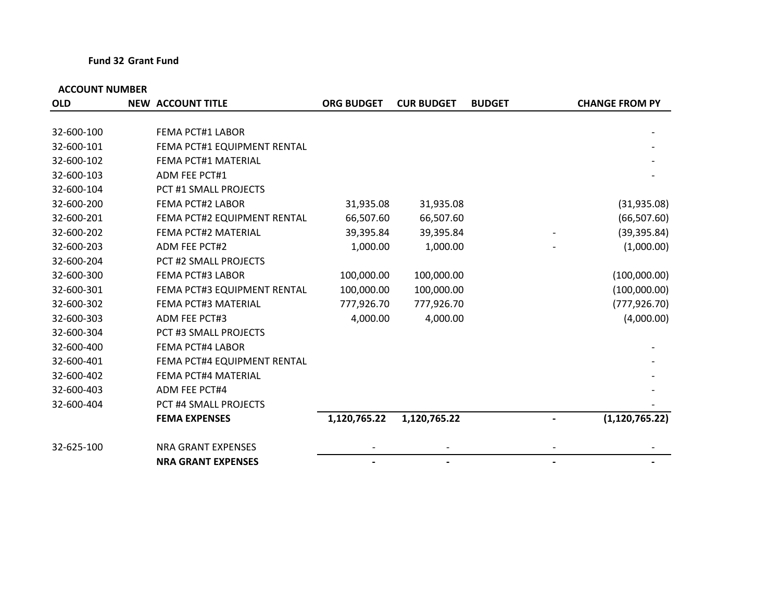## **Fund 32 Grant Fund**

| <b>OLD</b> | <b>NEW ACCOUNT TITLE</b>     | <b>ORG BUDGET</b> | <b>CUR BUDGET</b> | <b>BUDGET</b> | <b>CHANGE FROM PY</b> |
|------------|------------------------------|-------------------|-------------------|---------------|-----------------------|
|            |                              |                   |                   |               |                       |
| 32-600-100 | <b>FEMA PCT#1 LABOR</b>      |                   |                   |               |                       |
| 32-600-101 | FEMA PCT#1 EQUIPMENT RENTAL  |                   |                   |               |                       |
| 32-600-102 | FEMA PCT#1 MATERIAL          |                   |                   |               |                       |
| 32-600-103 | <b>ADM FEE PCT#1</b>         |                   |                   |               |                       |
| 32-600-104 | PCT #1 SMALL PROJECTS        |                   |                   |               |                       |
| 32-600-200 | <b>FEMA PCT#2 LABOR</b>      | 31,935.08         | 31,935.08         |               | (31, 935.08)          |
| 32-600-201 | FEMA PCT#2 EQUIPMENT RENTAL  | 66,507.60         | 66,507.60         |               | (66, 507.60)          |
| 32-600-202 | <b>FEMA PCT#2 MATERIAL</b>   | 39,395.84         | 39,395.84         |               | (39, 395.84)          |
| 32-600-203 | <b>ADM FEE PCT#2</b>         | 1,000.00          | 1,000.00          |               | (1,000.00)            |
| 32-600-204 | PCT #2 SMALL PROJECTS        |                   |                   |               |                       |
| 32-600-300 | <b>FEMA PCT#3 LABOR</b>      | 100,000.00        | 100,000.00        |               | (100,000.00)          |
| 32-600-301 | FEMA PCT#3 EQUIPMENT RENTAL  | 100,000.00        | 100,000.00        |               | (100,000.00)          |
| 32-600-302 | <b>FEMA PCT#3 MATERIAL</b>   | 777,926.70        | 777,926.70        |               | (777, 926.70)         |
| 32-600-303 | <b>ADM FEE PCT#3</b>         | 4,000.00          | 4,000.00          |               | (4,000.00)            |
| 32-600-304 | PCT #3 SMALL PROJECTS        |                   |                   |               |                       |
| 32-600-400 | <b>FEMA PCT#4 LABOR</b>      |                   |                   |               |                       |
| 32-600-401 | FEMA PCT#4 EQUIPMENT RENTAL  |                   |                   |               |                       |
| 32-600-402 | <b>FEMA PCT#4 MATERIAL</b>   |                   |                   |               |                       |
| 32-600-403 | <b>ADM FEE PCT#4</b>         |                   |                   |               |                       |
| 32-600-404 | <b>PCT #4 SMALL PROJECTS</b> |                   |                   |               |                       |
|            | <b>FEMA EXPENSES</b>         | 1,120,765.22      | 1,120,765.22      |               | (1, 120, 765.22)      |
| 32-625-100 | <b>NRA GRANT EXPENSES</b>    |                   |                   |               |                       |
|            | <b>NRA GRANT EXPENSES</b>    |                   |                   |               |                       |